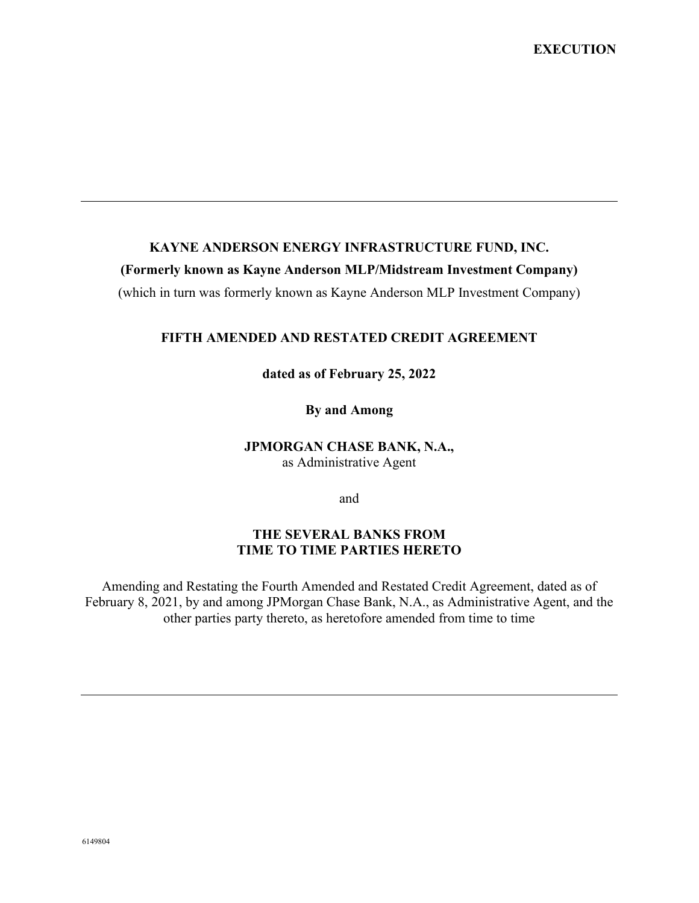#### **KAYNE ANDERSON ENERGY INFRASTRUCTURE FUND, INC.**

#### **(Formerly known as Kayne Anderson MLP/Midstream Investment Company)**

(which in turn was formerly known as Kayne Anderson MLP Investment Company)

#### **FIFTH AMENDED AND RESTATED CREDIT AGREEMENT**

**dated as of February 25, 2022**

**By and Among**

# **JPMORGAN CHASE BANK, N.A.,**

as Administrative Agent

and

### **THE SEVERAL BANKS FROM TIME TO TIME PARTIES HERETO**

Amending and Restating the Fourth Amended and Restated Credit Agreement, dated as of February 8, 2021, by and among JPMorgan Chase Bank, N.A., as Administrative Agent, and the other parties party thereto, as heretofore amended from time to time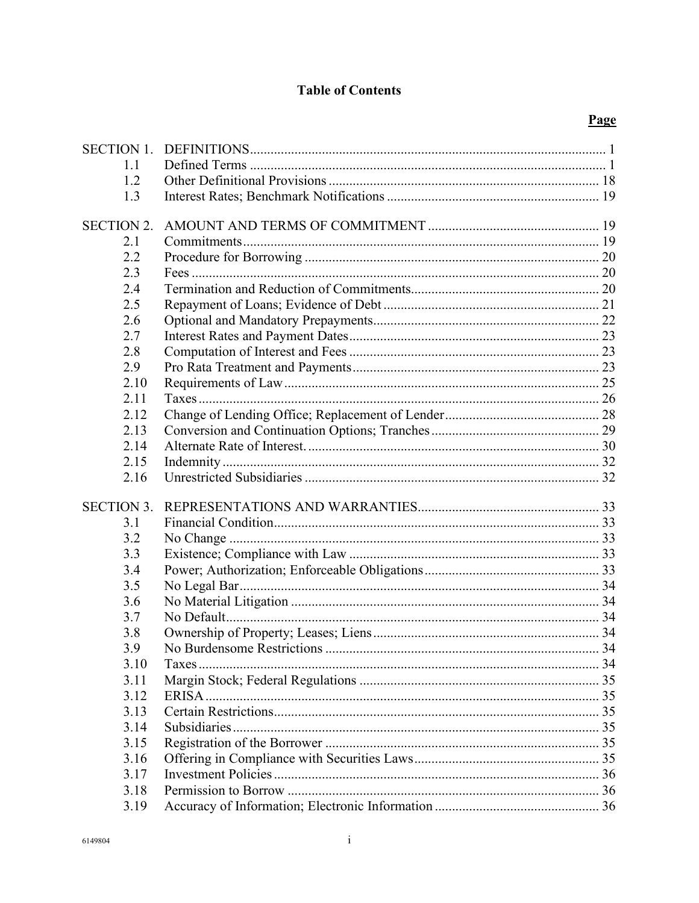# **Table of Contents**

| <b>SECTION 1.</b> |  |
|-------------------|--|
| 1.1               |  |
| 1.2               |  |
| 1.3               |  |
| <b>SECTION 2.</b> |  |
| 2.1               |  |
| 2.2               |  |
| 2.3               |  |
| 2.4               |  |
| 2.5               |  |
| 2.6               |  |
| 2.7               |  |
| 2.8               |  |
| 2.9               |  |
| 2.10              |  |
| 2.11              |  |
| 2.12              |  |
| 2.13              |  |
| 2.14              |  |
| 2.15              |  |
| 2.16              |  |
| <b>SECTION 3.</b> |  |
| 3.1               |  |
| 3.2               |  |
| 3.3               |  |
| 3.4               |  |
| 3.5               |  |
| 3.6               |  |
| 3.7               |  |
| 3.8               |  |
| 3.9               |  |
| 3.10              |  |
| 3.11              |  |
| 3.12              |  |
| 3.13              |  |
| 3.14              |  |
| 3.15              |  |
| 3.16              |  |
| 3.17              |  |
| 3.18              |  |
| 3.19              |  |
|                   |  |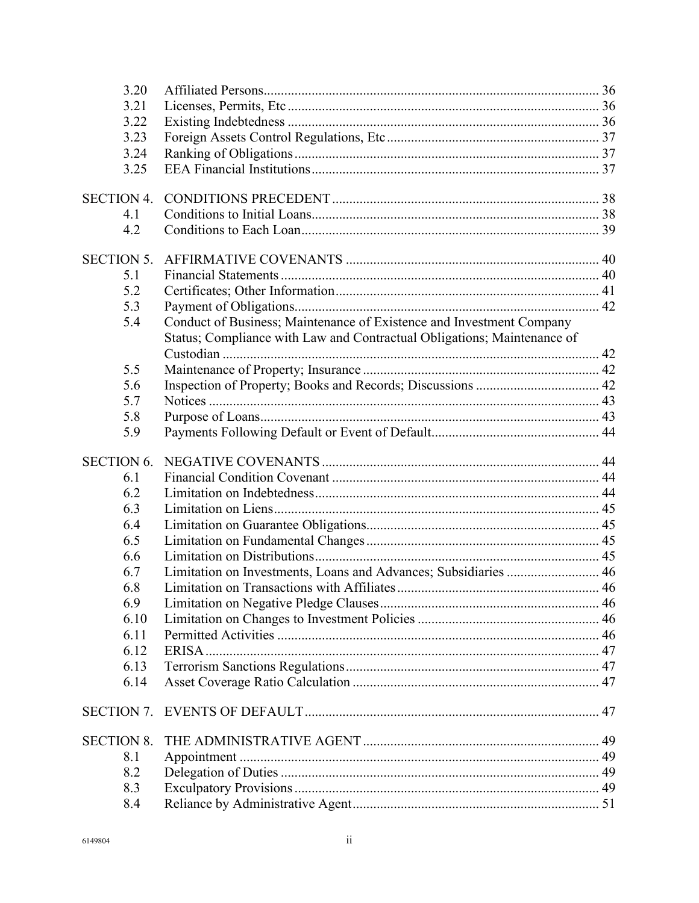|                   | 3.20       |                                                                         |  |
|-------------------|------------|-------------------------------------------------------------------------|--|
|                   | 3.21       |                                                                         |  |
|                   | 3.22       |                                                                         |  |
|                   | 3.23       |                                                                         |  |
|                   | 3.24       |                                                                         |  |
|                   | 3.25       |                                                                         |  |
| <b>SECTION 4.</b> |            |                                                                         |  |
|                   | 4.1        |                                                                         |  |
|                   | 4.2        |                                                                         |  |
| <b>SECTION 5.</b> |            |                                                                         |  |
|                   | 5.1        |                                                                         |  |
|                   | 5.2        |                                                                         |  |
|                   | 5.3        |                                                                         |  |
|                   | 5.4        | Conduct of Business; Maintenance of Existence and Investment Company    |  |
|                   |            | Status; Compliance with Law and Contractual Obligations; Maintenance of |  |
|                   | 5.5        |                                                                         |  |
|                   | 5.6        |                                                                         |  |
|                   | 5.7        |                                                                         |  |
|                   | 5.8        |                                                                         |  |
|                   | 5.9        |                                                                         |  |
|                   |            |                                                                         |  |
|                   |            |                                                                         |  |
| <b>SECTION 6.</b> |            |                                                                         |  |
|                   | 6.1        |                                                                         |  |
|                   | 6.2        |                                                                         |  |
|                   | 6.3        |                                                                         |  |
|                   | 6.4        |                                                                         |  |
|                   | 6.5<br>6.6 |                                                                         |  |
|                   | 6.7        |                                                                         |  |
|                   | 6.8        | Limitation on Investments, Loans and Advances; Subsidiaries  46         |  |
|                   | 6.9        |                                                                         |  |
|                   | 6.10       |                                                                         |  |
|                   | 6.11       |                                                                         |  |
|                   | 6.12       |                                                                         |  |
|                   | 6.13       |                                                                         |  |
|                   | 6.14       |                                                                         |  |
| <b>SECTION 7.</b> |            |                                                                         |  |
| <b>SECTION 8.</b> |            |                                                                         |  |
|                   | 8.1        |                                                                         |  |
|                   | 8.2        |                                                                         |  |
|                   | 8.3        |                                                                         |  |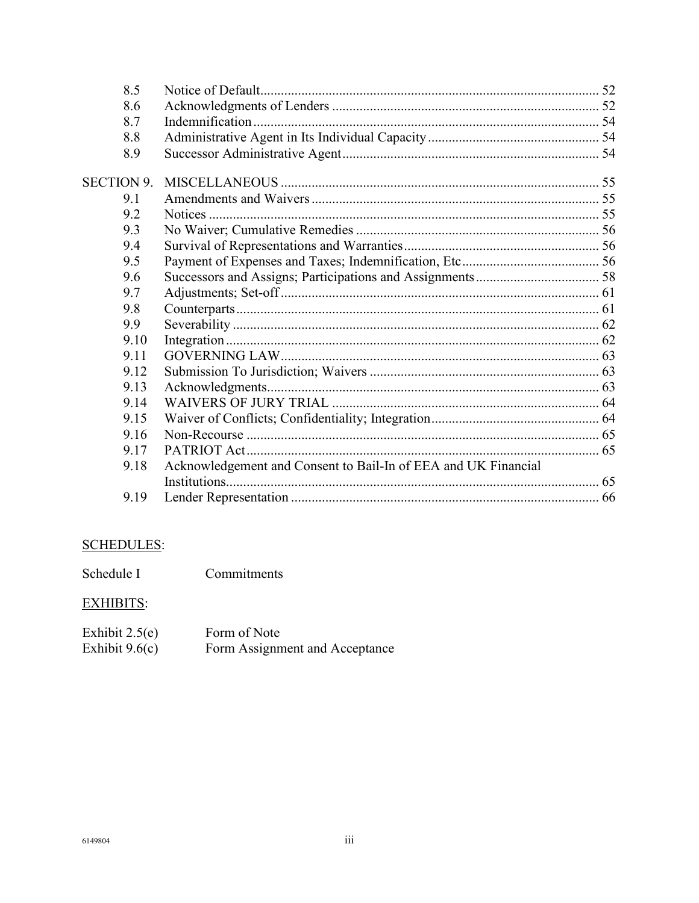| 8.5               |                                                                |  |
|-------------------|----------------------------------------------------------------|--|
| 8.6               |                                                                |  |
| 8.7               |                                                                |  |
| 8.8               |                                                                |  |
| 8.9               |                                                                |  |
| <b>SECTION 9.</b> |                                                                |  |
| 9.1               |                                                                |  |
| 9.2               |                                                                |  |
| 9.3               |                                                                |  |
| 9.4               |                                                                |  |
| 9.5               |                                                                |  |
| 9.6               |                                                                |  |
| 9.7               |                                                                |  |
| 9.8               |                                                                |  |
| 9.9               |                                                                |  |
| 9.10              |                                                                |  |
| 9.11              |                                                                |  |
| 9.12              |                                                                |  |
| 9.13              |                                                                |  |
| 9.14              |                                                                |  |
| 9.15              |                                                                |  |
| 9.16              |                                                                |  |
| 9.17              |                                                                |  |
| 9.18              | Acknowledgement and Consent to Bail-In of EEA and UK Financial |  |
|                   |                                                                |  |
| 9.19              |                                                                |  |

# **SCHEDULES:**

Commitments Schedule I

# **EXHIBITS:**

| Exhibit $2.5(e)$ | Form of Note                   |
|------------------|--------------------------------|
| Exhibit $9.6(c)$ | Form Assignment and Acceptance |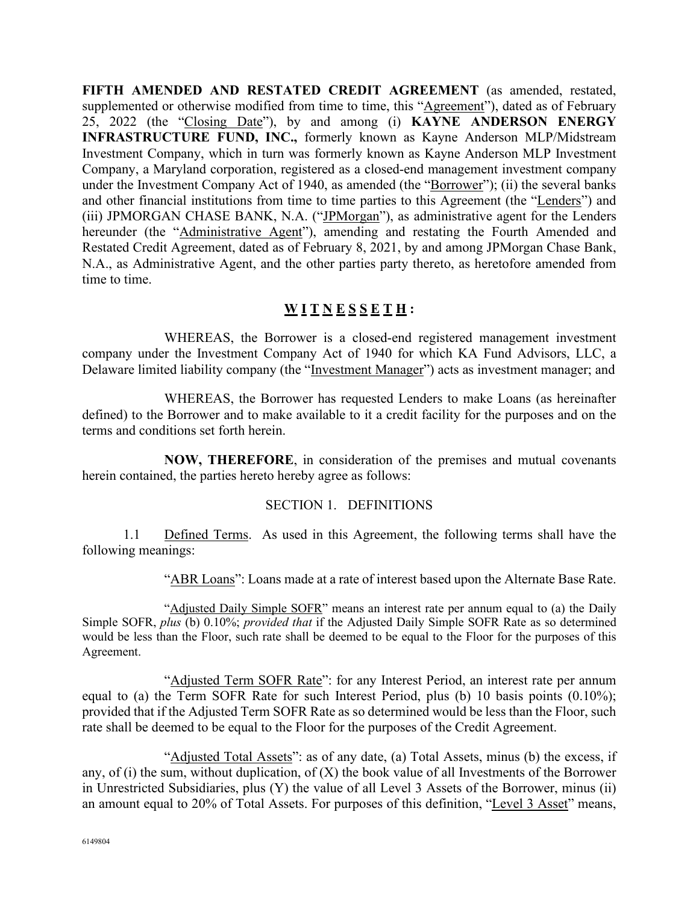**FIFTH AMENDED AND RESTATED CREDIT AGREEMENT** (as amended, restated, supplemented or otherwise modified from time to time, this "Agreement"), dated as of February 25, 2022 (the "Closing Date"), by and among (i) **KAYNE ANDERSON ENERGY INFRASTRUCTURE FUND, INC.,** formerly known as Kayne Anderson MLP/Midstream Investment Company, which in turn was formerly known as Kayne Anderson MLP Investment Company, a Maryland corporation, registered as a closed-end management investment company under the Investment Company Act of 1940, as amended (the "Borrower"); (ii) the several banks and other financial institutions from time to time parties to this Agreement (the "Lenders") and (iii) JPMORGAN CHASE BANK, N.A. ("JPMorgan"), as administrative agent for the Lenders hereunder (the "Administrative Agent"), amending and restating the Fourth Amended and Restated Credit Agreement, dated as of February 8, 2021, by and among JPMorgan Chase Bank, N.A., as Administrative Agent, and the other parties party thereto, as heretofore amended from time to time.

# **W I T N E S S E T H :**

WHEREAS, the Borrower is a closed-end registered management investment company under the Investment Company Act of 1940 for which KA Fund Advisors, LLC, a Delaware limited liability company (the "Investment Manager") acts as investment manager; and

WHEREAS, the Borrower has requested Lenders to make Loans (as hereinafter defined) to the Borrower and to make available to it a credit facility for the purposes and on the terms and conditions set forth herein.

**NOW, THEREFORE**, in consideration of the premises and mutual covenants herein contained, the parties hereto hereby agree as follows:

#### SECTION 1. DEFINITIONS

1.1 Defined Terms. As used in this Agreement, the following terms shall have the following meanings:

"ABR Loans": Loans made at a rate of interest based upon the Alternate Base Rate.

"Adjusted Daily Simple SOFR" means an interest rate per annum equal to (a) the Daily Simple SOFR, *plus* (b) 0.10%; *provided that* if the Adjusted Daily Simple SOFR Rate as so determined would be less than the Floor, such rate shall be deemed to be equal to the Floor for the purposes of this Agreement.

"Adjusted Term SOFR Rate": for any Interest Period, an interest rate per annum equal to (a) the Term SOFR Rate for such Interest Period, plus (b) 10 basis points (0.10%); provided that if the Adjusted Term SOFR Rate as so determined would be less than the Floor, such rate shall be deemed to be equal to the Floor for the purposes of the Credit Agreement.

"Adjusted Total Assets": as of any date, (a) Total Assets, minus (b) the excess, if any, of (i) the sum, without duplication, of  $(X)$  the book value of all Investments of the Borrower in Unrestricted Subsidiaries, plus (Y) the value of all Level 3 Assets of the Borrower, minus (ii) an amount equal to 20% of Total Assets. For purposes of this definition, "Level 3 Asset" means,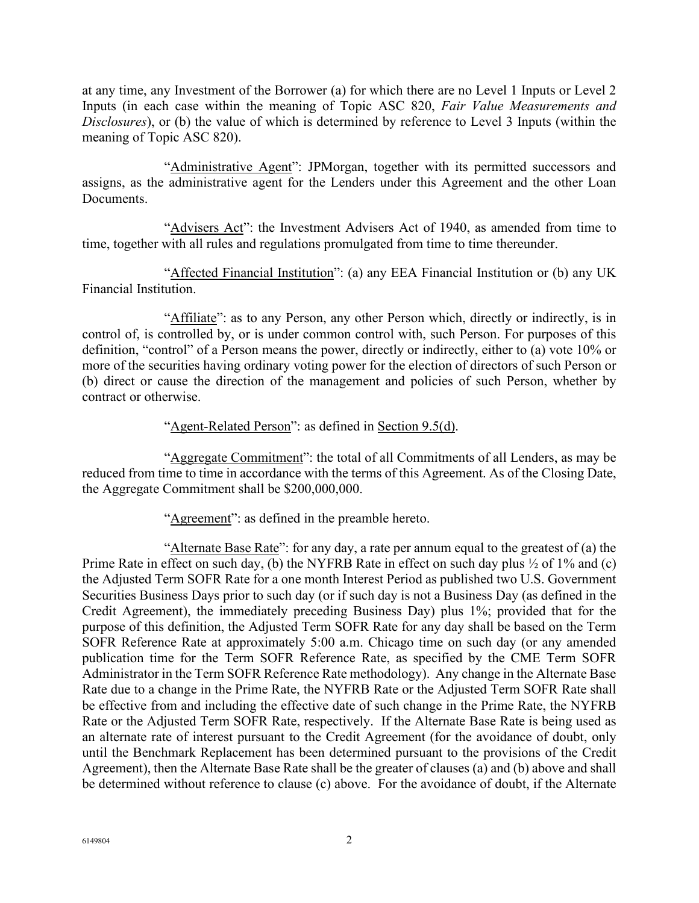at any time, any Investment of the Borrower (a) for which there are no Level 1 Inputs or Level 2 Inputs (in each case within the meaning of Topic ASC 820, *Fair Value Measurements and Disclosures*), or (b) the value of which is determined by reference to Level 3 Inputs (within the meaning of Topic ASC 820).

"Administrative Agent": JPMorgan, together with its permitted successors and assigns, as the administrative agent for the Lenders under this Agreement and the other Loan Documents.

"Advisers Act": the Investment Advisers Act of 1940, as amended from time to time, together with all rules and regulations promulgated from time to time thereunder.

"Affected Financial Institution": (a) any EEA Financial Institution or (b) any UK Financial Institution.

"Affiliate": as to any Person, any other Person which, directly or indirectly, is in control of, is controlled by, or is under common control with, such Person. For purposes of this definition, "control" of a Person means the power, directly or indirectly, either to (a) vote 10% or more of the securities having ordinary voting power for the election of directors of such Person or (b) direct or cause the direction of the management and policies of such Person, whether by contract or otherwise.

"Agent-Related Person": as defined in Section 9.5(d).

"Aggregate Commitment": the total of all Commitments of all Lenders, as may be reduced from time to time in accordance with the terms of this Agreement. As of the Closing Date, the Aggregate Commitment shall be \$200,000,000.

"Agreement": as defined in the preamble hereto.

"Alternate Base Rate": for any day, a rate per annum equal to the greatest of (a) the Prime Rate in effect on such day, (b) the NYFRB Rate in effect on such day plus  $\frac{1}{2}$  of 1% and (c) the Adjusted Term SOFR Rate for a one month Interest Period as published two U.S. Government Securities Business Days prior to such day (or if such day is not a Business Day (as defined in the Credit Agreement), the immediately preceding Business Day) plus 1%; provided that for the purpose of this definition, the Adjusted Term SOFR Rate for any day shall be based on the Term SOFR Reference Rate at approximately 5:00 a.m. Chicago time on such day (or any amended publication time for the Term SOFR Reference Rate, as specified by the CME Term SOFR Administrator in the Term SOFR Reference Rate methodology). Any change in the Alternate Base Rate due to a change in the Prime Rate, the NYFRB Rate or the Adjusted Term SOFR Rate shall be effective from and including the effective date of such change in the Prime Rate, the NYFRB Rate or the Adjusted Term SOFR Rate, respectively. If the Alternate Base Rate is being used as an alternate rate of interest pursuant to the Credit Agreement (for the avoidance of doubt, only until the Benchmark Replacement has been determined pursuant to the provisions of the Credit Agreement), then the Alternate Base Rate shall be the greater of clauses (a) and (b) above and shall be determined without reference to clause (c) above. For the avoidance of doubt, if the Alternate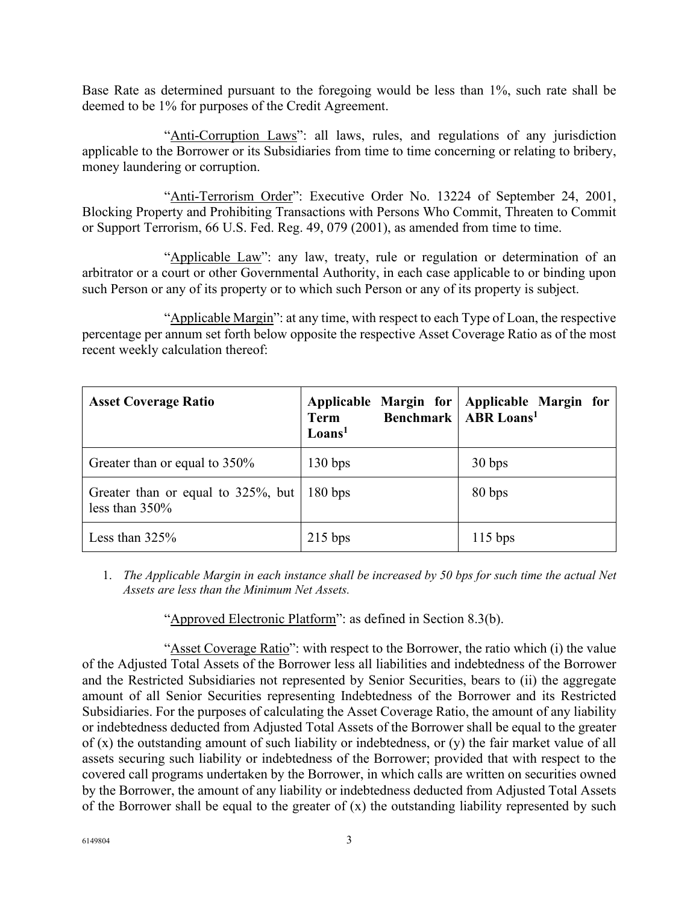Base Rate as determined pursuant to the foregoing would be less than 1%, such rate shall be deemed to be 1% for purposes of the Credit Agreement.

"Anti-Corruption Laws": all laws, rules, and regulations of any jurisdiction applicable to the Borrower or its Subsidiaries from time to time concerning or relating to bribery, money laundering or corruption.

"Anti-Terrorism Order": Executive Order No. 13224 of September 24, 2001, Blocking Property and Prohibiting Transactions with Persons Who Commit, Threaten to Commit or Support Terrorism, 66 U.S. Fed. Reg. 49, 079 (2001), as amended from time to time.

"Applicable Law": any law, treaty, rule or regulation or determination of an arbitrator or a court or other Governmental Authority, in each case applicable to or binding upon such Person or any of its property or to which such Person or any of its property is subject.

"Applicable Margin": at any time, with respect to each Type of Loan, the respective percentage per annum set forth below opposite the respective Asset Coverage Ratio as of the most recent weekly calculation thereof:

| <b>Asset Coverage Ratio</b>                                 | <b>Term</b><br>$\mathbf{Loans}^1$ | Applicable Margin for Applicable Margin for<br><b>Benchmark   ABR Loans<sup>1</sup></b> |
|-------------------------------------------------------------|-----------------------------------|-----------------------------------------------------------------------------------------|
| Greater than or equal to 350%                               | 130 bps                           | 30 bps                                                                                  |
| Greater than or equal to $325\%$ , but<br>less than $350\%$ | 180 bps                           | 80 bps                                                                                  |
| Less than $325%$                                            | $215$ bps                         | $115$ bps                                                                               |

1. *The Applicable Margin in each instance shall be increased by 50 bps for such time the actual Net Assets are less than the Minimum Net Assets.*

"Approved Electronic Platform": as defined in Section 8.3(b).

"Asset Coverage Ratio": with respect to the Borrower, the ratio which (i) the value of the Adjusted Total Assets of the Borrower less all liabilities and indebtedness of the Borrower and the Restricted Subsidiaries not represented by Senior Securities, bears to (ii) the aggregate amount of all Senior Securities representing Indebtedness of the Borrower and its Restricted Subsidiaries. For the purposes of calculating the Asset Coverage Ratio, the amount of any liability or indebtedness deducted from Adjusted Total Assets of the Borrower shall be equal to the greater of (x) the outstanding amount of such liability or indebtedness, or (y) the fair market value of all assets securing such liability or indebtedness of the Borrower; provided that with respect to the covered call programs undertaken by the Borrower, in which calls are written on securities owned by the Borrower, the amount of any liability or indebtedness deducted from Adjusted Total Assets of the Borrower shall be equal to the greater of  $(x)$  the outstanding liability represented by such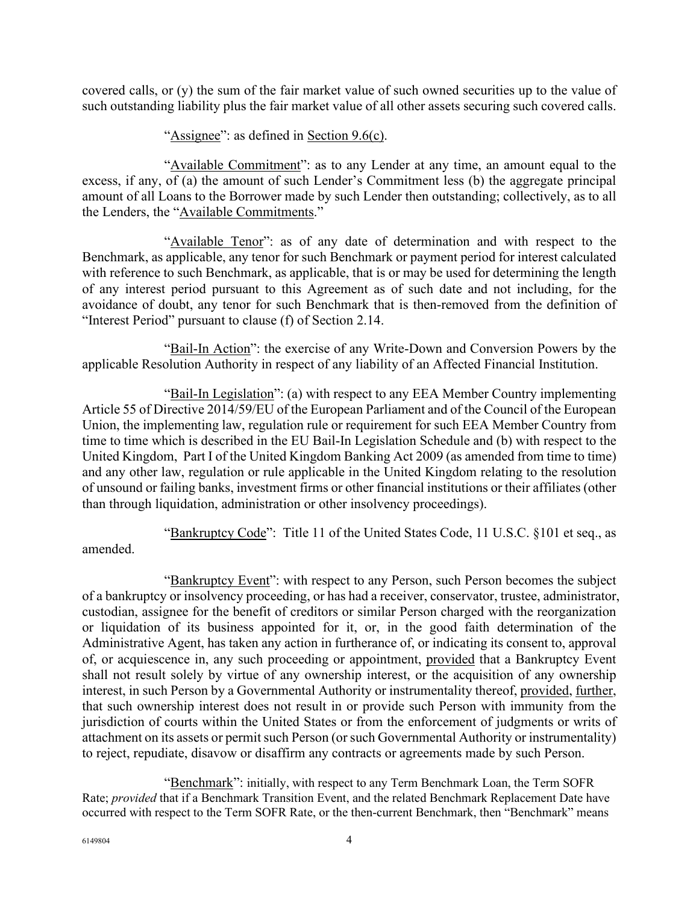covered calls, or (y) the sum of the fair market value of such owned securities up to the value of such outstanding liability plus the fair market value of all other assets securing such covered calls.

"Assignee": as defined in Section 9.6(c).

"Available Commitment": as to any Lender at any time, an amount equal to the excess, if any, of (a) the amount of such Lender's Commitment less (b) the aggregate principal amount of all Loans to the Borrower made by such Lender then outstanding; collectively, as to all the Lenders, the "Available Commitments."

"Available Tenor": as of any date of determination and with respect to the Benchmark, as applicable, any tenor for such Benchmark or payment period for interest calculated with reference to such Benchmark, as applicable, that is or may be used for determining the length of any interest period pursuant to this Agreement as of such date and not including, for the avoidance of doubt, any tenor for such Benchmark that is then-removed from the definition of "Interest Period" pursuant to clause (f) of Section 2.14.

"Bail-In Action": the exercise of any Write-Down and Conversion Powers by the applicable Resolution Authority in respect of any liability of an Affected Financial Institution.

"Bail-In Legislation": (a) with respect to any EEA Member Country implementing Article 55 of Directive 2014/59/EU of the European Parliament and of the Council of the European Union, the implementing law, regulation rule or requirement for such EEA Member Country from time to time which is described in the EU Bail-In Legislation Schedule and (b) with respect to the United Kingdom, Part I of the United Kingdom Banking Act 2009 (as amended from time to time) and any other law, regulation or rule applicable in the United Kingdom relating to the resolution of unsound or failing banks, investment firms or other financial institutions or their affiliates (other than through liquidation, administration or other insolvency proceedings).

"Bankruptcy Code": Title 11 of the United States Code, 11 U.S.C. §101 et seq., as amended.

"Bankruptcy Event": with respect to any Person, such Person becomes the subject of a bankruptcy or insolvency proceeding, or has had a receiver, conservator, trustee, administrator, custodian, assignee for the benefit of creditors or similar Person charged with the reorganization or liquidation of its business appointed for it, or, in the good faith determination of the Administrative Agent, has taken any action in furtherance of, or indicating its consent to, approval of, or acquiescence in, any such proceeding or appointment, provided that a Bankruptcy Event shall not result solely by virtue of any ownership interest, or the acquisition of any ownership interest, in such Person by a Governmental Authority or instrumentality thereof, provided, further, that such ownership interest does not result in or provide such Person with immunity from the jurisdiction of courts within the United States or from the enforcement of judgments or writs of attachment on its assets or permit such Person (or such Governmental Authority or instrumentality) to reject, repudiate, disavow or disaffirm any contracts or agreements made by such Person.

"Benchmark": initially, with respect to any Term Benchmark Loan, the Term SOFR Rate; *provided* that if a Benchmark Transition Event, and the related Benchmark Replacement Date have occurred with respect to the Term SOFR Rate, or the then-current Benchmark, then "Benchmark" means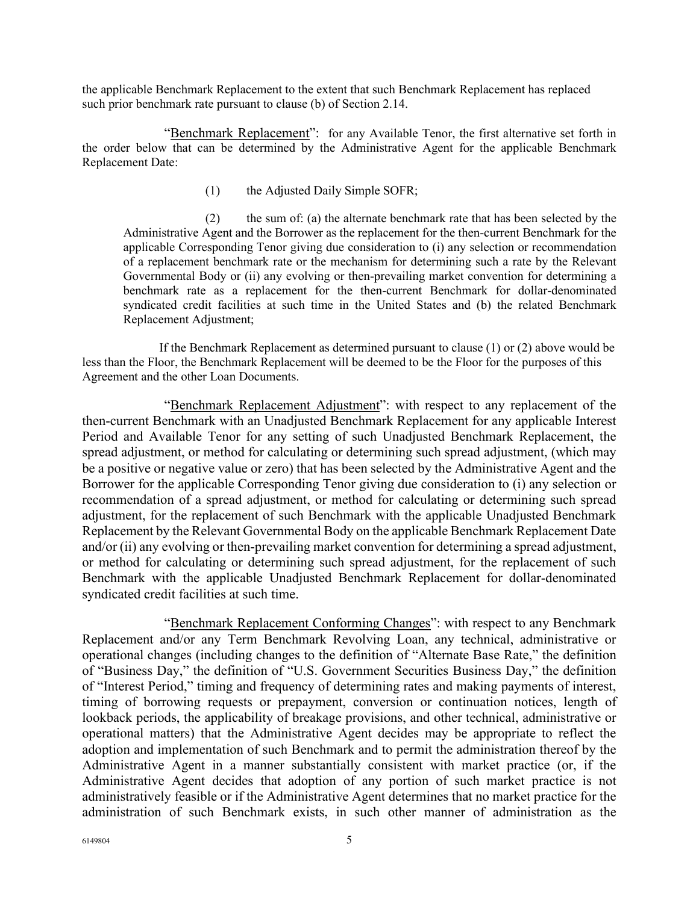the applicable Benchmark Replacement to the extent that such Benchmark Replacement has replaced such prior benchmark rate pursuant to clause (b) of Section 2.14.

"Benchmark Replacement": for any Available Tenor, the first alternative set forth in the order below that can be determined by the Administrative Agent for the applicable Benchmark Replacement Date:

(1) the Adjusted Daily Simple SOFR;

(2) the sum of: (a) the alternate benchmark rate that has been selected by the Administrative Agent and the Borrower as the replacement for the then-current Benchmark for the applicable Corresponding Tenor giving due consideration to (i) any selection or recommendation of a replacement benchmark rate or the mechanism for determining such a rate by the Relevant Governmental Body or (ii) any evolving or then-prevailing market convention for determining a benchmark rate as a replacement for the then-current Benchmark for dollar-denominated syndicated credit facilities at such time in the United States and (b) the related Benchmark Replacement Adjustment;

If the Benchmark Replacement as determined pursuant to clause (1) or (2) above would be less than the Floor, the Benchmark Replacement will be deemed to be the Floor for the purposes of this Agreement and the other Loan Documents.

"Benchmark Replacement Adjustment": with respect to any replacement of the then-current Benchmark with an Unadjusted Benchmark Replacement for any applicable Interest Period and Available Tenor for any setting of such Unadjusted Benchmark Replacement, the spread adjustment, or method for calculating or determining such spread adjustment, (which may be a positive or negative value or zero) that has been selected by the Administrative Agent and the Borrower for the applicable Corresponding Tenor giving due consideration to (i) any selection or recommendation of a spread adjustment, or method for calculating or determining such spread adjustment, for the replacement of such Benchmark with the applicable Unadjusted Benchmark Replacement by the Relevant Governmental Body on the applicable Benchmark Replacement Date and/or (ii) any evolving or then-prevailing market convention for determining a spread adjustment, or method for calculating or determining such spread adjustment, for the replacement of such Benchmark with the applicable Unadjusted Benchmark Replacement for dollar-denominated syndicated credit facilities at such time.

"Benchmark Replacement Conforming Changes": with respect to any Benchmark Replacement and/or any Term Benchmark Revolving Loan, any technical, administrative or operational changes (including changes to the definition of "Alternate Base Rate," the definition of "Business Day," the definition of "U.S. Government Securities Business Day," the definition of "Interest Period," timing and frequency of determining rates and making payments of interest, timing of borrowing requests or prepayment, conversion or continuation notices, length of lookback periods, the applicability of breakage provisions, and other technical, administrative or operational matters) that the Administrative Agent decides may be appropriate to reflect the adoption and implementation of such Benchmark and to permit the administration thereof by the Administrative Agent in a manner substantially consistent with market practice (or, if the Administrative Agent decides that adoption of any portion of such market practice is not administratively feasible or if the Administrative Agent determines that no market practice for the administration of such Benchmark exists, in such other manner of administration as the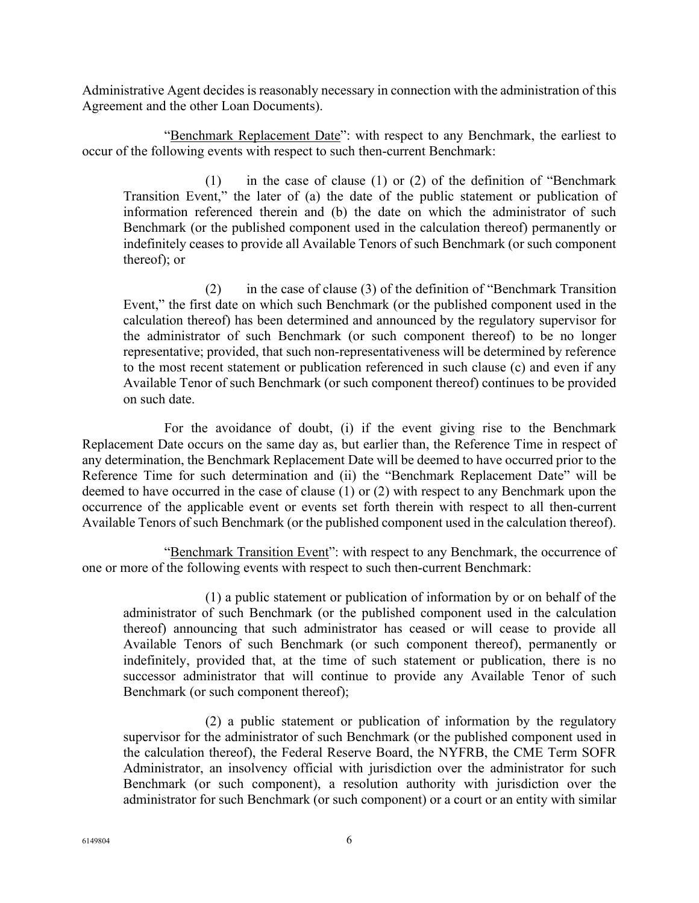Administrative Agent decides is reasonably necessary in connection with the administration of this Agreement and the other Loan Documents).

"Benchmark Replacement Date": with respect to any Benchmark, the earliest to occur of the following events with respect to such then-current Benchmark:

(1) in the case of clause (1) or (2) of the definition of "Benchmark Transition Event," the later of (a) the date of the public statement or publication of information referenced therein and (b) the date on which the administrator of such Benchmark (or the published component used in the calculation thereof) permanently or indefinitely ceases to provide all Available Tenors of such Benchmark (or such component thereof); or

(2) in the case of clause (3) of the definition of "Benchmark Transition Event," the first date on which such Benchmark (or the published component used in the calculation thereof) has been determined and announced by the regulatory supervisor for the administrator of such Benchmark (or such component thereof) to be no longer representative; provided, that such non-representativeness will be determined by reference to the most recent statement or publication referenced in such clause (c) and even if any Available Tenor of such Benchmark (or such component thereof) continues to be provided on such date.

For the avoidance of doubt, (i) if the event giving rise to the Benchmark Replacement Date occurs on the same day as, but earlier than, the Reference Time in respect of any determination, the Benchmark Replacement Date will be deemed to have occurred prior to the Reference Time for such determination and (ii) the "Benchmark Replacement Date" will be deemed to have occurred in the case of clause (1) or (2) with respect to any Benchmark upon the occurrence of the applicable event or events set forth therein with respect to all then-current Available Tenors of such Benchmark (or the published component used in the calculation thereof).

"Benchmark Transition Event": with respect to any Benchmark, the occurrence of one or more of the following events with respect to such then-current Benchmark:

(1) a public statement or publication of information by or on behalf of the administrator of such Benchmark (or the published component used in the calculation thereof) announcing that such administrator has ceased or will cease to provide all Available Tenors of such Benchmark (or such component thereof), permanently or indefinitely, provided that, at the time of such statement or publication, there is no successor administrator that will continue to provide any Available Tenor of such Benchmark (or such component thereof);

(2) a public statement or publication of information by the regulatory supervisor for the administrator of such Benchmark (or the published component used in the calculation thereof), the Federal Reserve Board, the NYFRB, the CME Term SOFR Administrator, an insolvency official with jurisdiction over the administrator for such Benchmark (or such component), a resolution authority with jurisdiction over the administrator for such Benchmark (or such component) or a court or an entity with similar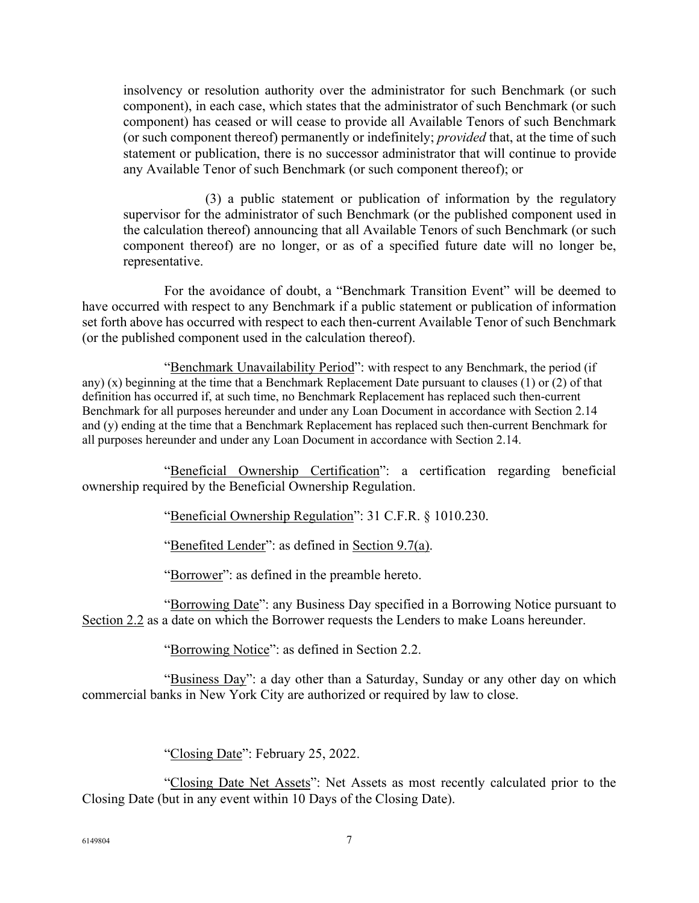insolvency or resolution authority over the administrator for such Benchmark (or such component), in each case, which states that the administrator of such Benchmark (or such component) has ceased or will cease to provide all Available Tenors of such Benchmark (or such component thereof) permanently or indefinitely; *provided* that, at the time of such statement or publication, there is no successor administrator that will continue to provide any Available Tenor of such Benchmark (or such component thereof); or

(3) a public statement or publication of information by the regulatory supervisor for the administrator of such Benchmark (or the published component used in the calculation thereof) announcing that all Available Tenors of such Benchmark (or such component thereof) are no longer, or as of a specified future date will no longer be, representative.

For the avoidance of doubt, a "Benchmark Transition Event" will be deemed to have occurred with respect to any Benchmark if a public statement or publication of information set forth above has occurred with respect to each then-current Available Tenor of such Benchmark (or the published component used in the calculation thereof).

"Benchmark Unavailability Period": with respect to any Benchmark, the period (if any) (x) beginning at the time that a Benchmark Replacement Date pursuant to clauses (1) or (2) of that definition has occurred if, at such time, no Benchmark Replacement has replaced such then-current Benchmark for all purposes hereunder and under any Loan Document in accordance with Section 2.14 and (y) ending at the time that a Benchmark Replacement has replaced such then-current Benchmark for all purposes hereunder and under any Loan Document in accordance with Section 2.14.

"Beneficial Ownership Certification": a certification regarding beneficial ownership required by the Beneficial Ownership Regulation.

"Beneficial Ownership Regulation": 31 C.F.R. § 1010.230.

"Benefited Lender": as defined in Section 9.7(a).

"Borrower": as defined in the preamble hereto.

"Borrowing Date": any Business Day specified in a Borrowing Notice pursuant to Section 2.2 as a date on which the Borrower requests the Lenders to make Loans hereunder.

"Borrowing Notice": as defined in Section 2.2.

"Business Day": a day other than a Saturday, Sunday or any other day on which commercial banks in New York City are authorized or required by law to close.

"Closing Date": February 25, 2022.

"Closing Date Net Assets": Net Assets as most recently calculated prior to the Closing Date (but in any event within 10 Days of the Closing Date).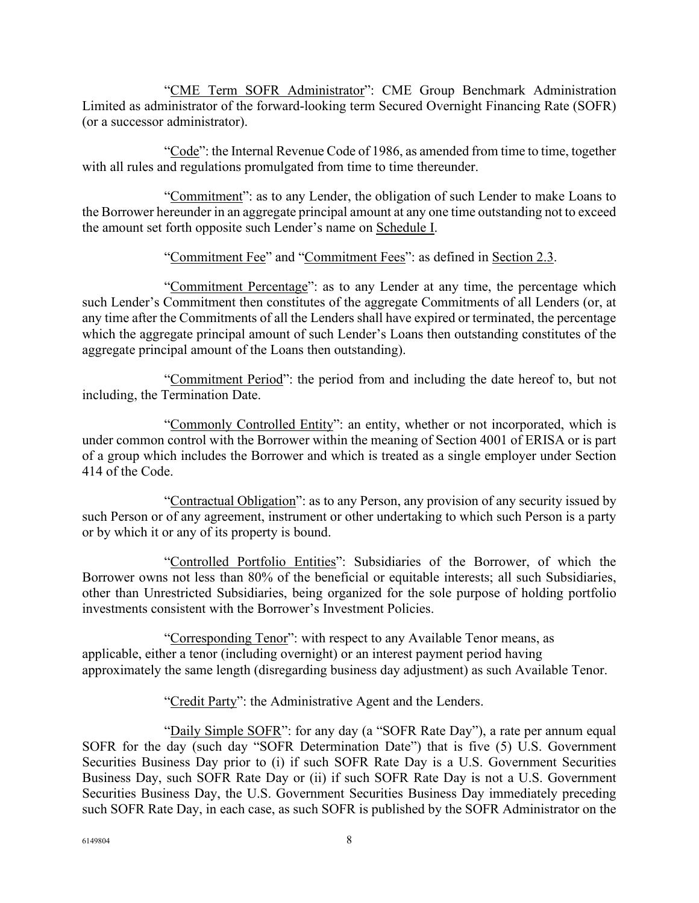"CME Term SOFR Administrator": CME Group Benchmark Administration Limited as administrator of the forward-looking term Secured Overnight Financing Rate (SOFR) (or a successor administrator).

"Code": the Internal Revenue Code of 1986, as amended from time to time, together with all rules and regulations promulgated from time to time thereunder.

"Commitment": as to any Lender, the obligation of such Lender to make Loans to the Borrower hereunder in an aggregate principal amount at any one time outstanding not to exceed the amount set forth opposite such Lender's name on Schedule I.

"Commitment Fee" and "Commitment Fees": as defined in Section 2.3.

"Commitment Percentage": as to any Lender at any time, the percentage which such Lender's Commitment then constitutes of the aggregate Commitments of all Lenders (or, at any time after the Commitments of all the Lenders shall have expired or terminated, the percentage which the aggregate principal amount of such Lender's Loans then outstanding constitutes of the aggregate principal amount of the Loans then outstanding).

"Commitment Period": the period from and including the date hereof to, but not including, the Termination Date.

"Commonly Controlled Entity": an entity, whether or not incorporated, which is under common control with the Borrower within the meaning of Section 4001 of ERISA or is part of a group which includes the Borrower and which is treated as a single employer under Section 414 of the Code.

"Contractual Obligation": as to any Person, any provision of any security issued by such Person or of any agreement, instrument or other undertaking to which such Person is a party or by which it or any of its property is bound.

"Controlled Portfolio Entities": Subsidiaries of the Borrower, of which the Borrower owns not less than 80% of the beneficial or equitable interests; all such Subsidiaries, other than Unrestricted Subsidiaries, being organized for the sole purpose of holding portfolio investments consistent with the Borrower's Investment Policies.

"Corresponding Tenor": with respect to any Available Tenor means, as applicable, either a tenor (including overnight) or an interest payment period having approximately the same length (disregarding business day adjustment) as such Available Tenor.

"Credit Party": the Administrative Agent and the Lenders.

"Daily Simple SOFR": for any day (a "SOFR Rate Day"), a rate per annum equal SOFR for the day (such day "SOFR Determination Date") that is five (5) U.S. Government Securities Business Day prior to (i) if such SOFR Rate Day is a U.S. Government Securities Business Day, such SOFR Rate Day or (ii) if such SOFR Rate Day is not a U.S. Government Securities Business Day, the U.S. Government Securities Business Day immediately preceding such SOFR Rate Day, in each case, as such SOFR is published by the SOFR Administrator on the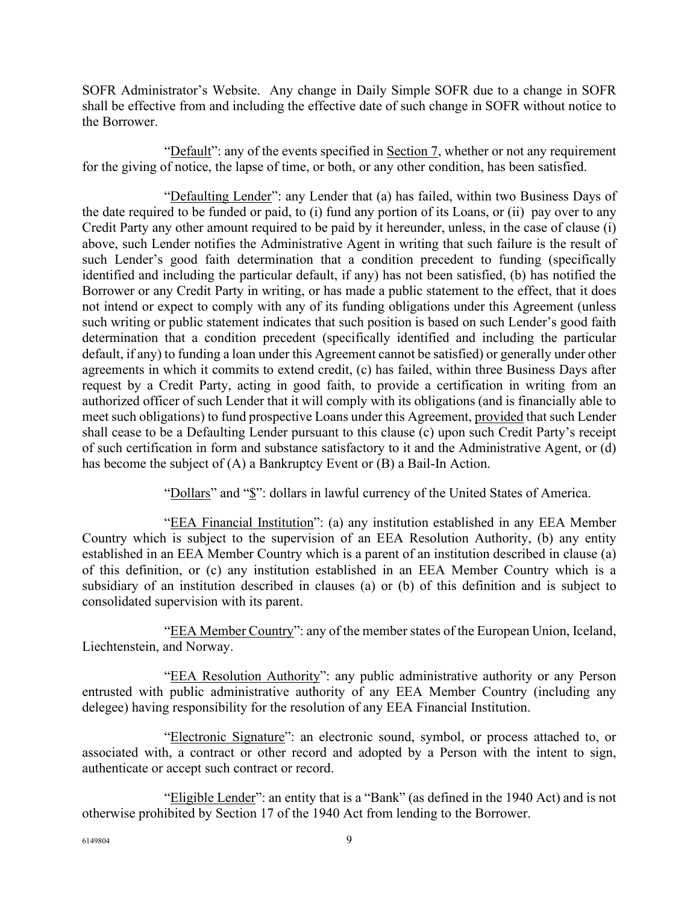SOFR Administrator's Website. Any change in Daily Simple SOFR due to a change in SOFR shall be effective from and including the effective date of such change in SOFR without notice to the Borrower.

"Default": any of the events specified in Section 7, whether or not any requirement for the giving of notice, the lapse of time, or both, or any other condition, has been satisfied.

"Defaulting Lender": any Lender that (a) has failed, within two Business Days of the date required to be funded or paid, to (i) fund any portion of its Loans, or (ii) pay over to any Credit Party any other amount required to be paid by it hereunder, unless, in the case of clause (i) above, such Lender notifies the Administrative Agent in writing that such failure is the result of such Lender's good faith determination that a condition precedent to funding (specifically identified and including the particular default, if any) has not been satisfied, (b) has notified the Borrower or any Credit Party in writing, or has made a public statement to the effect, that it does not intend or expect to comply with any of its funding obligations under this Agreement (unless such writing or public statement indicates that such position is based on such Lender's good faith determination that a condition precedent (specifically identified and including the particular default, if any) to funding a loan under this Agreement cannot be satisfied) or generally under other agreements in which it commits to extend credit, (c) has failed, within three Business Days after request by a Credit Party, acting in good faith, to provide a certification in writing from an authorized officer of such Lender that it will comply with its obligations (and is financially able to meet such obligations) to fund prospective Loans under this Agreement, provided that such Lender shall cease to be a Defaulting Lender pursuant to this clause (c) upon such Credit Party's receipt of such certification in form and substance satisfactory to it and the Administrative Agent, or (d) has become the subject of (A) a Bankruptcy Event or (B) a Bail-In Action.

"Dollars" and " $\mathcal{S}$ ": dollars in lawful currency of the United States of America.

"EEA Financial Institution": (a) any institution established in any EEA Member Country which is subject to the supervision of an EEA Resolution Authority, (b) any entity established in an EEA Member Country which is a parent of an institution described in clause (a) of this definition, or (c) any institution established in an EEA Member Country which is a subsidiary of an institution described in clauses (a) or (b) of this definition and is subject to consolidated supervision with its parent.

"EEA Member Country": any of the member states of the European Union, Iceland, Liechtenstein, and Norway.

"EEA Resolution Authority": any public administrative authority or any Person entrusted with public administrative authority of any EEA Member Country (including any delegee) having responsibility for the resolution of any EEA Financial Institution.

"Electronic Signature": an electronic sound, symbol, or process attached to, or associated with, a contract or other record and adopted by a Person with the intent to sign, authenticate or accept such contract or record.

"Eligible Lender": an entity that is a "Bank" (as defined in the 1940 Act) and is not otherwise prohibited by Section 17 of the 1940 Act from lending to the Borrower.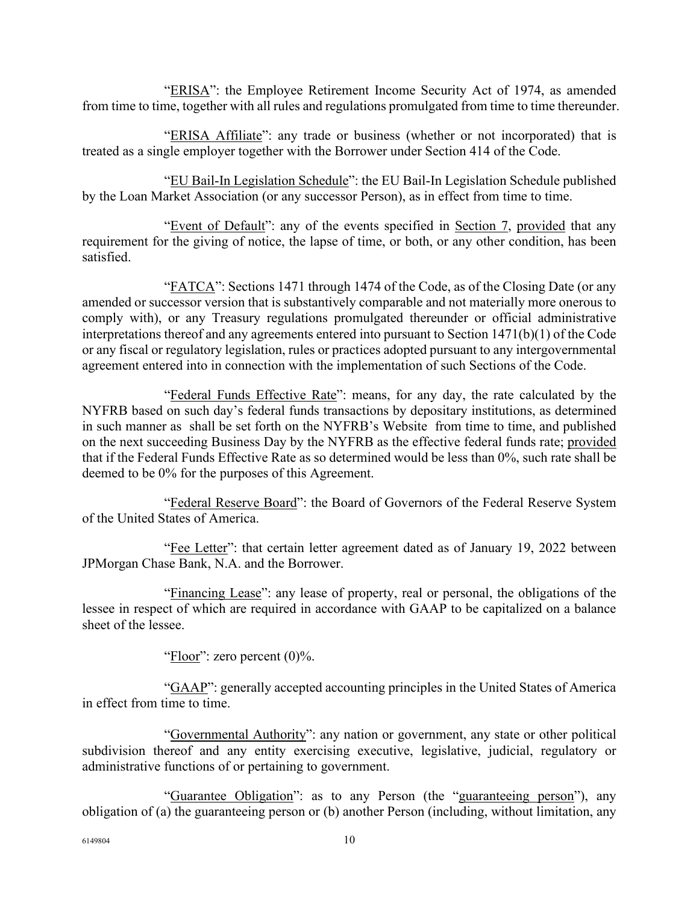"ERISA": the Employee Retirement Income Security Act of 1974, as amended from time to time, together with all rules and regulations promulgated from time to time thereunder.

"ERISA Affiliate": any trade or business (whether or not incorporated) that is treated as a single employer together with the Borrower under Section 414 of the Code.

"EU Bail-In Legislation Schedule": the EU Bail-In Legislation Schedule published by the Loan Market Association (or any successor Person), as in effect from time to time.

"Event of Default": any of the events specified in Section 7, provided that any requirement for the giving of notice, the lapse of time, or both, or any other condition, has been satisfied.

"FATCA": Sections 1471 through 1474 of the Code, as of the Closing Date (or any amended or successor version that is substantively comparable and not materially more onerous to comply with), or any Treasury regulations promulgated thereunder or official administrative interpretations thereof and any agreements entered into pursuant to Section 1471(b)(1) of the Code or any fiscal or regulatory legislation, rules or practices adopted pursuant to any intergovernmental agreement entered into in connection with the implementation of such Sections of the Code.

"Federal Funds Effective Rate": means, for any day, the rate calculated by the NYFRB based on such day's federal funds transactions by depositary institutions, as determined in such manner as shall be set forth on the NYFRB's Website from time to time, and published on the next succeeding Business Day by the NYFRB as the effective federal funds rate; provided that if the Federal Funds Effective Rate as so determined would be less than 0%, such rate shall be deemed to be 0% for the purposes of this Agreement.

"Federal Reserve Board": the Board of Governors of the Federal Reserve System of the United States of America.

"Fee Letter": that certain letter agreement dated as of January 19, 2022 between JPMorgan Chase Bank, N.A. and the Borrower.

"Financing Lease": any lease of property, real or personal, the obligations of the lessee in respect of which are required in accordance with GAAP to be capitalized on a balance sheet of the lessee.

"Floor": zero percent  $(0)$ %.

"GAAP": generally accepted accounting principles in the United States of America in effect from time to time.

"Governmental Authority": any nation or government, any state or other political subdivision thereof and any entity exercising executive, legislative, judicial, regulatory or administrative functions of or pertaining to government.

"Guarantee Obligation": as to any Person (the "guaranteeing person"), any obligation of (a) the guaranteeing person or (b) another Person (including, without limitation, any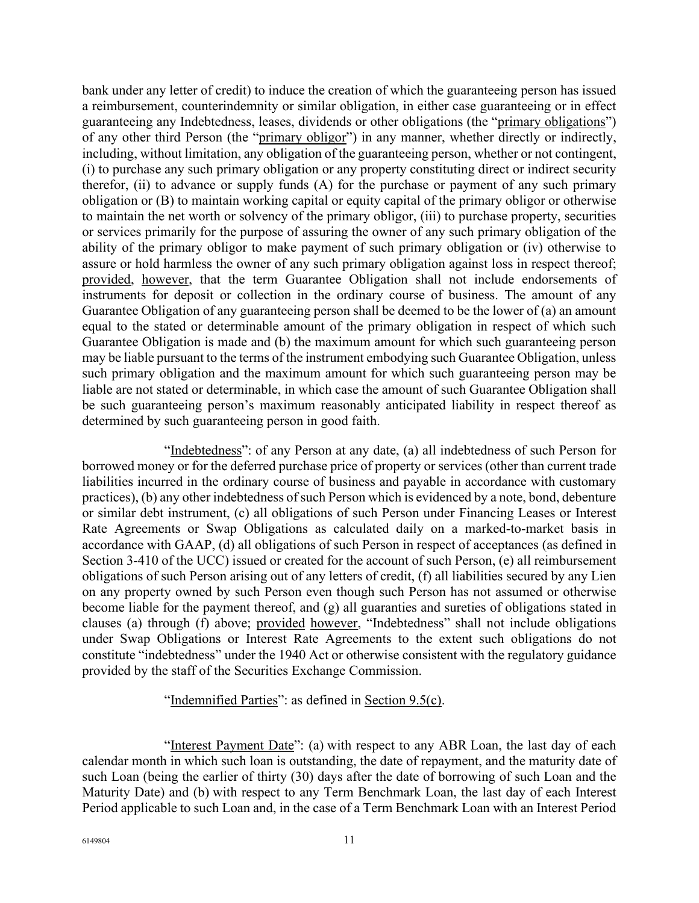bank under any letter of credit) to induce the creation of which the guaranteeing person has issued a reimbursement, counterindemnity or similar obligation, in either case guaranteeing or in effect guaranteeing any Indebtedness, leases, dividends or other obligations (the "primary obligations") of any other third Person (the "primary obligor") in any manner, whether directly or indirectly, including, without limitation, any obligation of the guaranteeing person, whether or not contingent, (i) to purchase any such primary obligation or any property constituting direct or indirect security therefor, (ii) to advance or supply funds (A) for the purchase or payment of any such primary obligation or (B) to maintain working capital or equity capital of the primary obligor or otherwise to maintain the net worth or solvency of the primary obligor, (iii) to purchase property, securities or services primarily for the purpose of assuring the owner of any such primary obligation of the ability of the primary obligor to make payment of such primary obligation or (iv) otherwise to assure or hold harmless the owner of any such primary obligation against loss in respect thereof; provided, however, that the term Guarantee Obligation shall not include endorsements of instruments for deposit or collection in the ordinary course of business. The amount of any Guarantee Obligation of any guaranteeing person shall be deemed to be the lower of (a) an amount equal to the stated or determinable amount of the primary obligation in respect of which such Guarantee Obligation is made and (b) the maximum amount for which such guaranteeing person may be liable pursuant to the terms of the instrument embodying such Guarantee Obligation, unless such primary obligation and the maximum amount for which such guaranteeing person may be liable are not stated or determinable, in which case the amount of such Guarantee Obligation shall be such guaranteeing person's maximum reasonably anticipated liability in respect thereof as determined by such guaranteeing person in good faith.

"Indebtedness": of any Person at any date, (a) all indebtedness of such Person for borrowed money or for the deferred purchase price of property or services (other than current trade liabilities incurred in the ordinary course of business and payable in accordance with customary practices), (b) any other indebtedness of such Person which is evidenced by a note, bond, debenture or similar debt instrument, (c) all obligations of such Person under Financing Leases or Interest Rate Agreements or Swap Obligations as calculated daily on a marked-to-market basis in accordance with GAAP, (d) all obligations of such Person in respect of acceptances (as defined in Section 3-410 of the UCC) issued or created for the account of such Person, (e) all reimbursement obligations of such Person arising out of any letters of credit, (f) all liabilities secured by any Lien on any property owned by such Person even though such Person has not assumed or otherwise become liable for the payment thereof, and (g) all guaranties and sureties of obligations stated in clauses (a) through (f) above; provided however, "Indebtedness" shall not include obligations under Swap Obligations or Interest Rate Agreements to the extent such obligations do not constitute "indebtedness" under the 1940 Act or otherwise consistent with the regulatory guidance provided by the staff of the Securities Exchange Commission.

#### "Indemnified Parties": as defined in Section 9.5(c).

"Interest Payment Date": (a) with respect to any ABR Loan, the last day of each calendar month in which such loan is outstanding, the date of repayment, and the maturity date of such Loan (being the earlier of thirty (30) days after the date of borrowing of such Loan and the Maturity Date) and (b) with respect to any Term Benchmark Loan, the last day of each Interest Period applicable to such Loan and, in the case of a Term Benchmark Loan with an Interest Period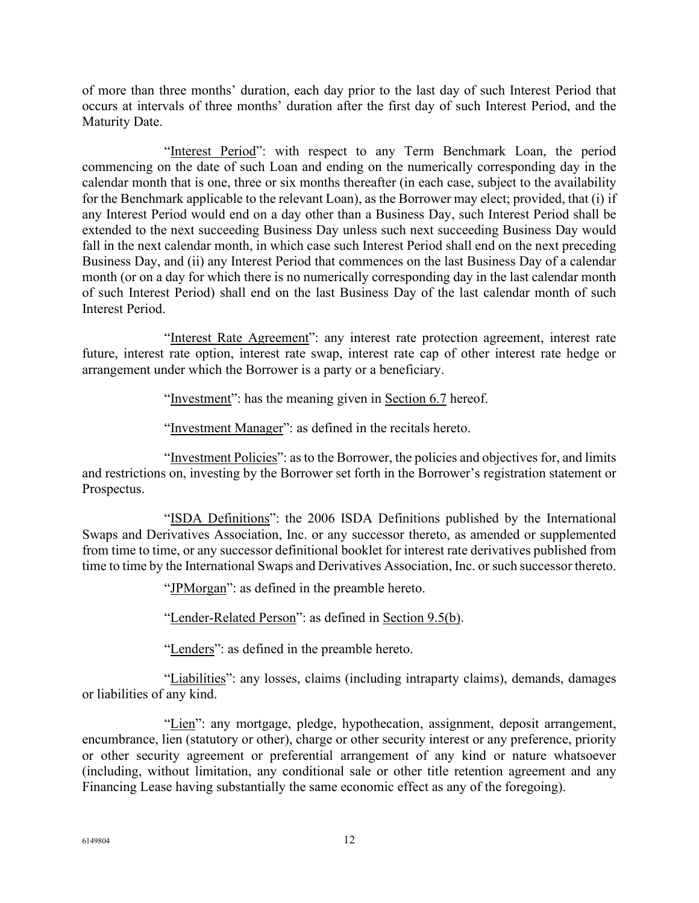of more than three months' duration, each day prior to the last day of such Interest Period that occurs at intervals of three months' duration after the first day of such Interest Period, and the Maturity Date.

"Interest Period": with respect to any Term Benchmark Loan, the period commencing on the date of such Loan and ending on the numerically corresponding day in the calendar month that is one, three or six months thereafter (in each case, subject to the availability for the Benchmark applicable to the relevant Loan), as the Borrower may elect; provided, that (i) if any Interest Period would end on a day other than a Business Day, such Interest Period shall be extended to the next succeeding Business Day unless such next succeeding Business Day would fall in the next calendar month, in which case such Interest Period shall end on the next preceding Business Day, and (ii) any Interest Period that commences on the last Business Day of a calendar month (or on a day for which there is no numerically corresponding day in the last calendar month of such Interest Period) shall end on the last Business Day of the last calendar month of such Interest Period.

"Interest Rate Agreement": any interest rate protection agreement, interest rate future, interest rate option, interest rate swap, interest rate cap of other interest rate hedge or arrangement under which the Borrower is a party or a beneficiary.

"Investment": has the meaning given in Section 6.7 hereof.

"Investment Manager": as defined in the recitals hereto.

"Investment Policies": as to the Borrower, the policies and objectives for, and limits and restrictions on, investing by the Borrower set forth in the Borrower's registration statement or Prospectus.

"ISDA Definitions": the 2006 ISDA Definitions published by the International Swaps and Derivatives Association, Inc. or any successor thereto, as amended or supplemented from time to time, or any successor definitional booklet for interest rate derivatives published from time to time by the International Swaps and Derivatives Association, Inc. or such successor thereto.

"JPMorgan": as defined in the preamble hereto.

"Lender-Related Person": as defined in Section 9.5(b).

"Lenders": as defined in the preamble hereto.

"Liabilities": any losses, claims (including intraparty claims), demands, damages or liabilities of any kind.

"Lien": any mortgage, pledge, hypothecation, assignment, deposit arrangement, encumbrance, lien (statutory or other), charge or other security interest or any preference, priority or other security agreement or preferential arrangement of any kind or nature whatsoever (including, without limitation, any conditional sale or other title retention agreement and any Financing Lease having substantially the same economic effect as any of the foregoing).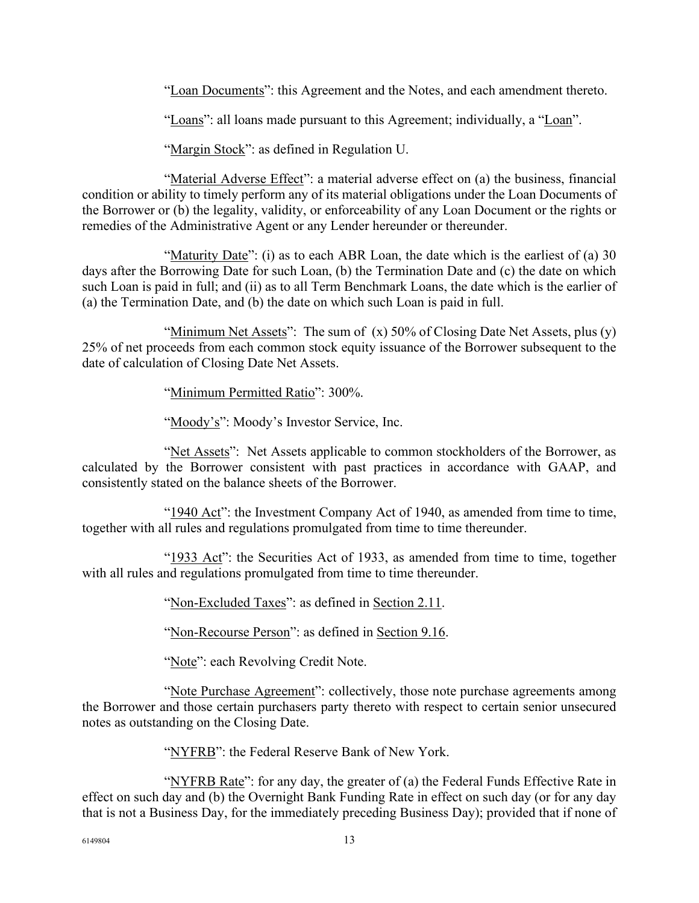"Loan Documents": this Agreement and the Notes, and each amendment thereto.

"Loans": all loans made pursuant to this Agreement; individually, a "Loan".

"Margin Stock": as defined in Regulation U.

"Material Adverse Effect": a material adverse effect on (a) the business, financial condition or ability to timely perform any of its material obligations under the Loan Documents of the Borrower or (b) the legality, validity, or enforceability of any Loan Document or the rights or remedies of the Administrative Agent or any Lender hereunder or thereunder.

"Maturity Date": (i) as to each ABR Loan, the date which is the earliest of (a) 30 days after the Borrowing Date for such Loan, (b) the Termination Date and (c) the date on which such Loan is paid in full; and (ii) as to all Term Benchmark Loans, the date which is the earlier of (a) the Termination Date, and (b) the date on which such Loan is paid in full.

"Minimum Net Assets": The sum of  $(x)$  50% of Closing Date Net Assets, plus  $(y)$ 25% of net proceeds from each common stock equity issuance of the Borrower subsequent to the date of calculation of Closing Date Net Assets.

"Minimum Permitted Ratio": 300%.

"Moody's": Moody's Investor Service, Inc.

"Net Assets": Net Assets applicable to common stockholders of the Borrower, as calculated by the Borrower consistent with past practices in accordance with GAAP, and consistently stated on the balance sheets of the Borrower.

"1940 Act": the Investment Company Act of 1940, as amended from time to time, together with all rules and regulations promulgated from time to time thereunder.

"1933 Act": the Securities Act of 1933, as amended from time to time, together with all rules and regulations promulgated from time to time thereunder.

"Non-Excluded Taxes": as defined in Section 2.11.

"Non-Recourse Person": as defined in Section 9.16.

"Note": each Revolving Credit Note.

"Note Purchase Agreement": collectively, those note purchase agreements among the Borrower and those certain purchasers party thereto with respect to certain senior unsecured notes as outstanding on the Closing Date.

"NYFRB": the Federal Reserve Bank of New York.

"NYFRB Rate": for any day, the greater of (a) the Federal Funds Effective Rate in effect on such day and (b) the Overnight Bank Funding Rate in effect on such day (or for any day that is not a Business Day, for the immediately preceding Business Day); provided that if none of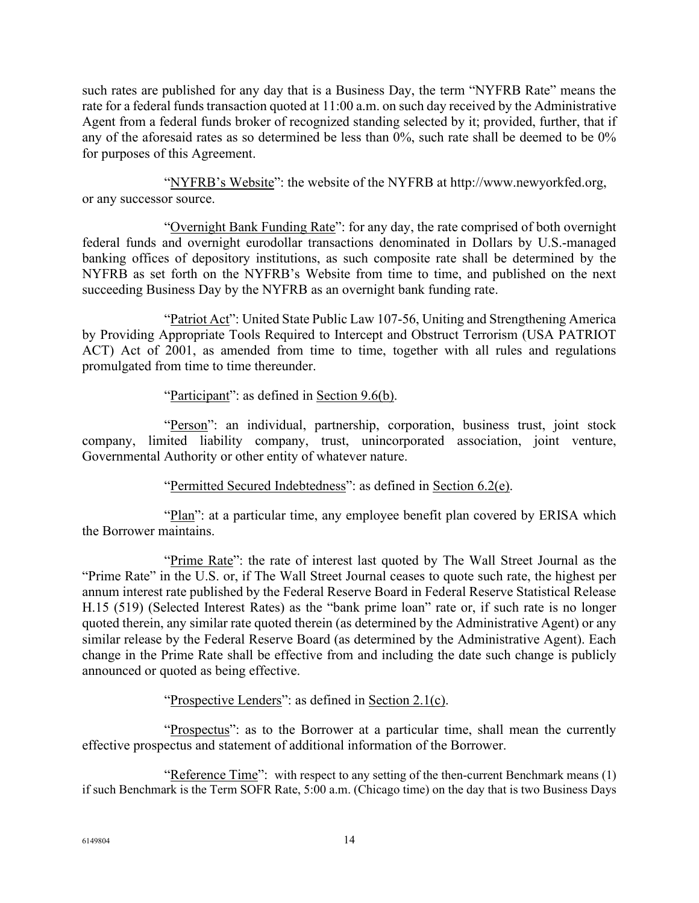such rates are published for any day that is a Business Day, the term "NYFRB Rate" means the rate for a federal funds transaction quoted at 11:00 a.m. on such day received by the Administrative Agent from a federal funds broker of recognized standing selected by it; provided, further, that if any of the aforesaid rates as so determined be less than 0%, such rate shall be deemed to be 0% for purposes of this Agreement.

"NYFRB's Website": the website of the NYFRB at http://www.newyorkfed.org, or any successor source.

"Overnight Bank Funding Rate": for any day, the rate comprised of both overnight federal funds and overnight eurodollar transactions denominated in Dollars by U.S.-managed banking offices of depository institutions, as such composite rate shall be determined by the NYFRB as set forth on the NYFRB's Website from time to time, and published on the next succeeding Business Day by the NYFRB as an overnight bank funding rate.

"Patriot Act": United State Public Law 107-56, Uniting and Strengthening America by Providing Appropriate Tools Required to Intercept and Obstruct Terrorism (USA PATRIOT ACT) Act of 2001, as amended from time to time, together with all rules and regulations promulgated from time to time thereunder.

### "Participant": as defined in Section 9.6(b).

"Person": an individual, partnership, corporation, business trust, joint stock company, limited liability company, trust, unincorporated association, joint venture, Governmental Authority or other entity of whatever nature.

### "Permitted Secured Indebtedness": as defined in Section 6.2(e).

"Plan": at a particular time, any employee benefit plan covered by ERISA which the Borrower maintains.

"Prime Rate": the rate of interest last quoted by The Wall Street Journal as the "Prime Rate" in the U.S. or, if The Wall Street Journal ceases to quote such rate, the highest per annum interest rate published by the Federal Reserve Board in Federal Reserve Statistical Release H.15 (519) (Selected Interest Rates) as the "bank prime loan" rate or, if such rate is no longer quoted therein, any similar rate quoted therein (as determined by the Administrative Agent) or any similar release by the Federal Reserve Board (as determined by the Administrative Agent). Each change in the Prime Rate shall be effective from and including the date such change is publicly announced or quoted as being effective.

### "Prospective Lenders": as defined in Section 2.1(c).

"Prospectus": as to the Borrower at a particular time, shall mean the currently effective prospectus and statement of additional information of the Borrower.

"Reference Time": with respect to any setting of the then-current Benchmark means (1) if such Benchmark is the Term SOFR Rate, 5:00 a.m. (Chicago time) on the day that is two Business Days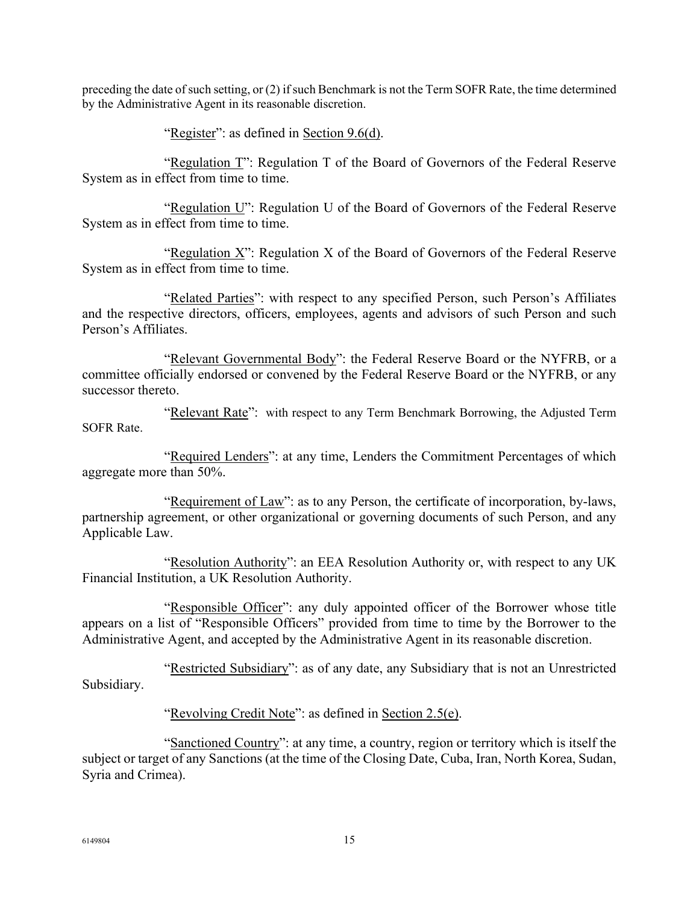preceding the date of such setting, or (2) if such Benchmark is not the Term SOFR Rate, the time determined by the Administrative Agent in its reasonable discretion.

"Register": as defined in Section 9.6(d).

"Regulation T": Regulation T of the Board of Governors of the Federal Reserve System as in effect from time to time.

"Regulation U": Regulation U of the Board of Governors of the Federal Reserve System as in effect from time to time.

"Regulation X": Regulation X of the Board of Governors of the Federal Reserve System as in effect from time to time.

"Related Parties": with respect to any specified Person, such Person's Affiliates and the respective directors, officers, employees, agents and advisors of such Person and such Person's Affiliates.

"Relevant Governmental Body": the Federal Reserve Board or the NYFRB, or a committee officially endorsed or convened by the Federal Reserve Board or the NYFRB, or any successor thereto.

"Relevant Rate": with respect to any Term Benchmark Borrowing, the Adjusted Term SOFR Rate.

"Required Lenders": at any time, Lenders the Commitment Percentages of which aggregate more than 50%.

"Requirement of Law": as to any Person, the certificate of incorporation, by-laws, partnership agreement, or other organizational or governing documents of such Person, and any Applicable Law.

"Resolution Authority": an EEA Resolution Authority or, with respect to any UK Financial Institution, a UK Resolution Authority.

"Responsible Officer": any duly appointed officer of the Borrower whose title appears on a list of "Responsible Officers" provided from time to time by the Borrower to the Administrative Agent, and accepted by the Administrative Agent in its reasonable discretion.

"Restricted Subsidiary": as of any date, any Subsidiary that is not an Unrestricted Subsidiary.

"Revolving Credit Note": as defined in Section 2.5(e).

"Sanctioned Country": at any time, a country, region or territory which is itself the subject or target of any Sanctions (at the time of the Closing Date, Cuba, Iran, North Korea, Sudan, Syria and Crimea).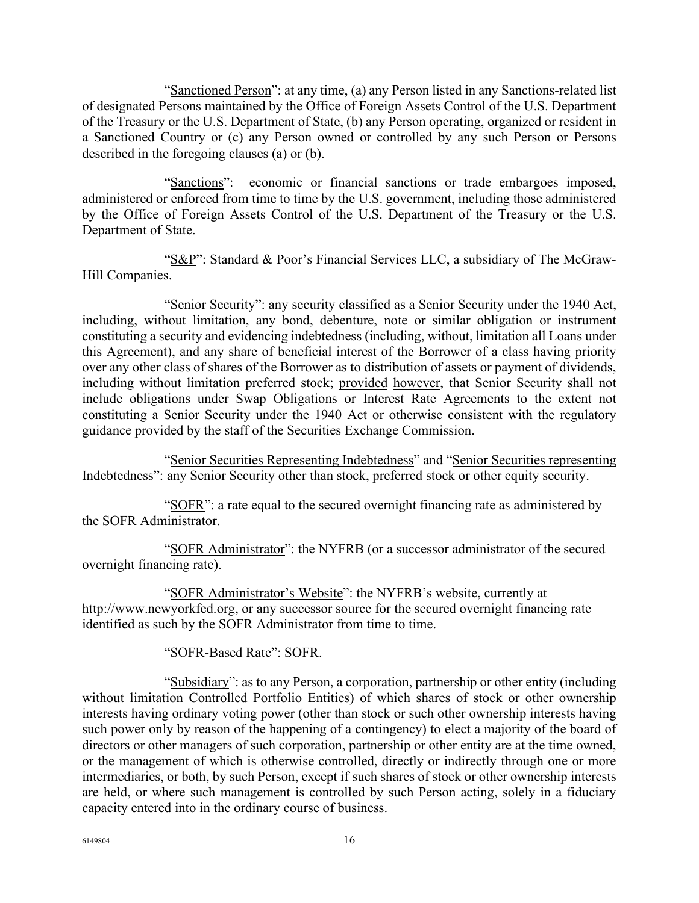"Sanctioned Person": at any time, (a) any Person listed in any Sanctions-related list of designated Persons maintained by the Office of Foreign Assets Control of the U.S. Department of the Treasury or the U.S. Department of State, (b) any Person operating, organized or resident in a Sanctioned Country or (c) any Person owned or controlled by any such Person or Persons described in the foregoing clauses (a) or (b).

"Sanctions": economic or financial sanctions or trade embargoes imposed, administered or enforced from time to time by the U.S. government, including those administered by the Office of Foreign Assets Control of the U.S. Department of the Treasury or the U.S. Department of State.

"S&P": Standard & Poor's Financial Services LLC, a subsidiary of The McGraw-Hill Companies.

"Senior Security": any security classified as a Senior Security under the 1940 Act, including, without limitation, any bond, debenture, note or similar obligation or instrument constituting a security and evidencing indebtedness (including, without, limitation all Loans under this Agreement), and any share of beneficial interest of the Borrower of a class having priority over any other class of shares of the Borrower as to distribution of assets or payment of dividends, including without limitation preferred stock; provided however, that Senior Security shall not include obligations under Swap Obligations or Interest Rate Agreements to the extent not constituting a Senior Security under the 1940 Act or otherwise consistent with the regulatory guidance provided by the staff of the Securities Exchange Commission.

"Senior Securities Representing Indebtedness" and "Senior Securities representing Indebtedness": any Senior Security other than stock, preferred stock or other equity security.

"SOFR": a rate equal to the secured overnight financing rate as administered by the SOFR Administrator.

"SOFR Administrator": the NYFRB (or a successor administrator of the secured overnight financing rate).

"SOFR Administrator's Website": the NYFRB's website, currently at http://www.newyorkfed.org, or any successor source for the secured overnight financing rate identified as such by the SOFR Administrator from time to time.

"SOFR-Based Rate": SOFR.

"Subsidiary": as to any Person, a corporation, partnership or other entity (including without limitation Controlled Portfolio Entities) of which shares of stock or other ownership interests having ordinary voting power (other than stock or such other ownership interests having such power only by reason of the happening of a contingency) to elect a majority of the board of directors or other managers of such corporation, partnership or other entity are at the time owned, or the management of which is otherwise controlled, directly or indirectly through one or more intermediaries, or both, by such Person, except if such shares of stock or other ownership interests are held, or where such management is controlled by such Person acting, solely in a fiduciary capacity entered into in the ordinary course of business.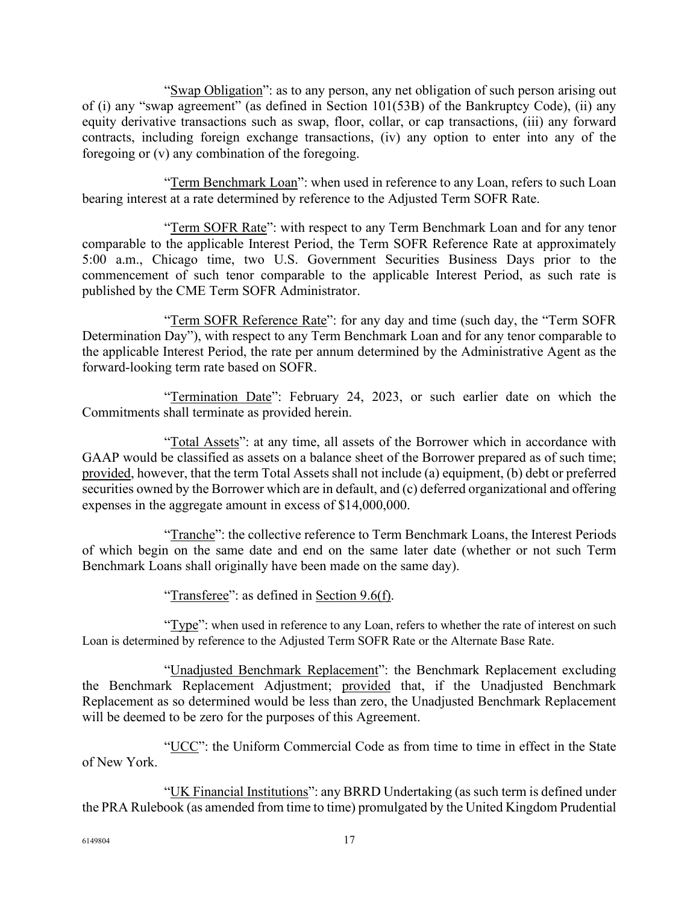"Swap Obligation": as to any person, any net obligation of such person arising out of (i) any "swap agreement" (as defined in Section 101(53B) of the Bankruptcy Code), (ii) any equity derivative transactions such as swap, floor, collar, or cap transactions, (iii) any forward contracts, including foreign exchange transactions, (iv) any option to enter into any of the foregoing or (v) any combination of the foregoing.

"Term Benchmark Loan": when used in reference to any Loan, refers to such Loan bearing interest at a rate determined by reference to the Adjusted Term SOFR Rate.

"Term SOFR Rate": with respect to any Term Benchmark Loan and for any tenor comparable to the applicable Interest Period, the Term SOFR Reference Rate at approximately 5:00 a.m., Chicago time, two U.S. Government Securities Business Days prior to the commencement of such tenor comparable to the applicable Interest Period, as such rate is published by the CME Term SOFR Administrator.

"Term SOFR Reference Rate": for any day and time (such day, the "Term SOFR Determination Day"), with respect to any Term Benchmark Loan and for any tenor comparable to the applicable Interest Period, the rate per annum determined by the Administrative Agent as the forward-looking term rate based on SOFR.

"Termination Date": February 24, 2023, or such earlier date on which the Commitments shall terminate as provided herein.

"Total Assets": at any time, all assets of the Borrower which in accordance with GAAP would be classified as assets on a balance sheet of the Borrower prepared as of such time; provided, however, that the term Total Assets shall not include (a) equipment, (b) debt or preferred securities owned by the Borrower which are in default, and (c) deferred organizational and offering expenses in the aggregate amount in excess of \$14,000,000.

"Tranche": the collective reference to Term Benchmark Loans, the Interest Periods of which begin on the same date and end on the same later date (whether or not such Term Benchmark Loans shall originally have been made on the same day).

"Transferee": as defined in Section 9.6(f).

"Type": when used in reference to any Loan, refers to whether the rate of interest on such Loan is determined by reference to the Adjusted Term SOFR Rate or the Alternate Base Rate.

"Unadjusted Benchmark Replacement": the Benchmark Replacement excluding the Benchmark Replacement Adjustment; provided that, if the Unadjusted Benchmark Replacement as so determined would be less than zero, the Unadjusted Benchmark Replacement will be deemed to be zero for the purposes of this Agreement.

"UCC": the Uniform Commercial Code as from time to time in effect in the State of New York.

"UK Financial Institutions": any BRRD Undertaking (as such term is defined under the PRA Rulebook (as amended from time to time) promulgated by the United Kingdom Prudential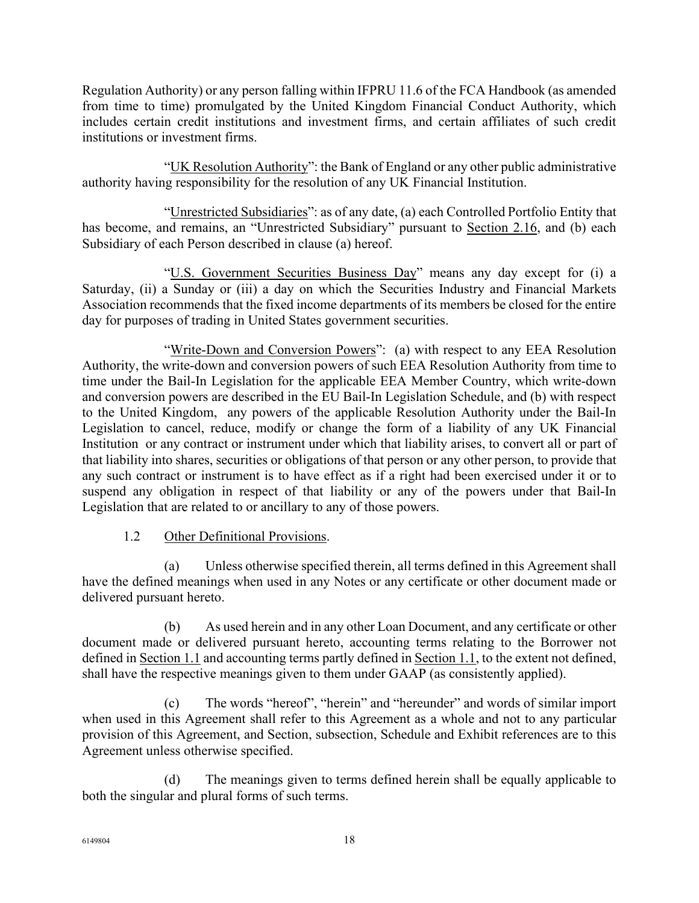Regulation Authority) or any person falling within IFPRU 11.6 of the FCA Handbook (as amended from time to time) promulgated by the United Kingdom Financial Conduct Authority, which includes certain credit institutions and investment firms, and certain affiliates of such credit institutions or investment firms.

"UK Resolution Authority": the Bank of England or any other public administrative authority having responsibility for the resolution of any UK Financial Institution.

"Unrestricted Subsidiaries": as of any date, (a) each Controlled Portfolio Entity that has become, and remains, an "Unrestricted Subsidiary" pursuant to Section 2.16, and (b) each Subsidiary of each Person described in clause (a) hereof.

"U.S. Government Securities Business Day" means any day except for (i) a Saturday, (ii) a Sunday or (iii) a day on which the Securities Industry and Financial Markets Association recommends that the fixed income departments of its members be closed for the entire day for purposes of trading in United States government securities.

"Write-Down and Conversion Powers": (a) with respect to any EEA Resolution Authority, the write-down and conversion powers of such EEA Resolution Authority from time to time under the Bail-In Legislation for the applicable EEA Member Country, which write-down and conversion powers are described in the EU Bail-In Legislation Schedule, and (b) with respect to the United Kingdom, any powers of the applicable Resolution Authority under the Bail-In Legislation to cancel, reduce, modify or change the form of a liability of any UK Financial Institution or any contract or instrument under which that liability arises, to convert all or part of that liability into shares, securities or obligations of that person or any other person, to provide that any such contract or instrument is to have effect as if a right had been exercised under it or to suspend any obligation in respect of that liability or any of the powers under that Bail-In Legislation that are related to or ancillary to any of those powers.

# 1.2 Other Definitional Provisions.

(a) Unless otherwise specified therein, all terms defined in this Agreement shall have the defined meanings when used in any Notes or any certificate or other document made or delivered pursuant hereto.

(b) As used herein and in any other Loan Document, and any certificate or other document made or delivered pursuant hereto, accounting terms relating to the Borrower not defined in Section 1.1 and accounting terms partly defined in Section 1.1, to the extent not defined, shall have the respective meanings given to them under GAAP (as consistently applied).

(c) The words "hereof", "herein" and "hereunder" and words of similar import when used in this Agreement shall refer to this Agreement as a whole and not to any particular provision of this Agreement, and Section, subsection, Schedule and Exhibit references are to this Agreement unless otherwise specified.

(d) The meanings given to terms defined herein shall be equally applicable to both the singular and plural forms of such terms.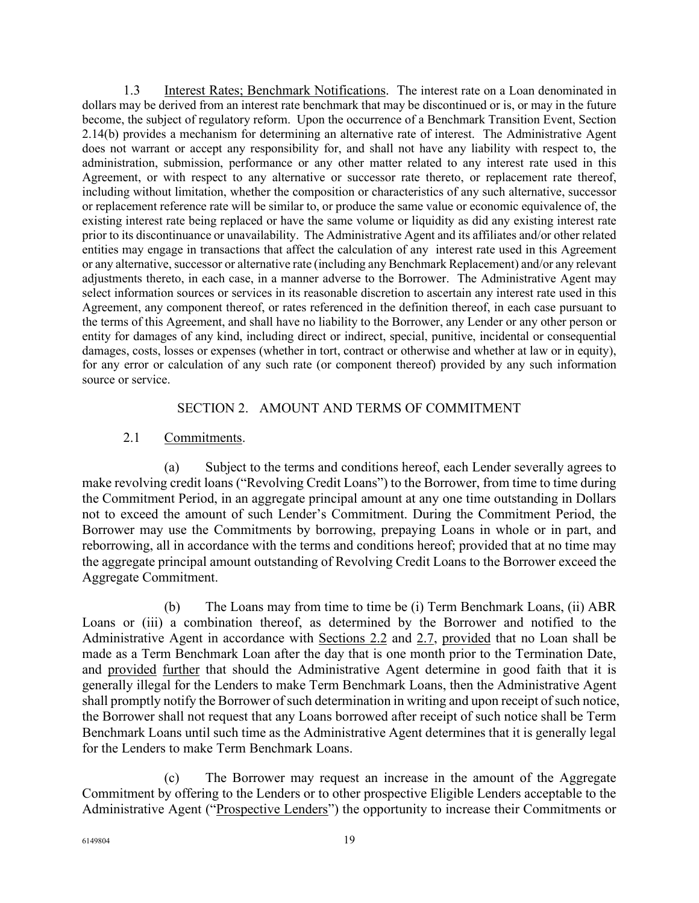1.3 Interest Rates; Benchmark Notifications. The interest rate on a Loan denominated in dollars may be derived from an interest rate benchmark that may be discontinued or is, or may in the future become, the subject of regulatory reform. Upon the occurrence of a Benchmark Transition Event, Section 2.14(b) provides a mechanism for determining an alternative rate of interest. The Administrative Agent does not warrant or accept any responsibility for, and shall not have any liability with respect to, the administration, submission, performance or any other matter related to any interest rate used in this Agreement, or with respect to any alternative or successor rate thereto, or replacement rate thereof, including without limitation, whether the composition or characteristics of any such alternative, successor or replacement reference rate will be similar to, or produce the same value or economic equivalence of, the existing interest rate being replaced or have the same volume or liquidity as did any existing interest rate prior to its discontinuance or unavailability. The Administrative Agent and its affiliates and/or other related entities may engage in transactions that affect the calculation of any interest rate used in this Agreement or any alternative, successor or alternative rate (including any Benchmark Replacement) and/or any relevant adjustments thereto, in each case, in a manner adverse to the Borrower. The Administrative Agent may select information sources or services in its reasonable discretion to ascertain any interest rate used in this Agreement, any component thereof, or rates referenced in the definition thereof, in each case pursuant to the terms of this Agreement, and shall have no liability to the Borrower, any Lender or any other person or entity for damages of any kind, including direct or indirect, special, punitive, incidental or consequential damages, costs, losses or expenses (whether in tort, contract or otherwise and whether at law or in equity), for any error or calculation of any such rate (or component thereof) provided by any such information source or service.

### SECTION 2. AMOUNT AND TERMS OF COMMITMENT

### 2.1 Commitments.

(a) Subject to the terms and conditions hereof, each Lender severally agrees to make revolving credit loans ("Revolving Credit Loans") to the Borrower, from time to time during the Commitment Period, in an aggregate principal amount at any one time outstanding in Dollars not to exceed the amount of such Lender's Commitment. During the Commitment Period, the Borrower may use the Commitments by borrowing, prepaying Loans in whole or in part, and reborrowing, all in accordance with the terms and conditions hereof; provided that at no time may the aggregate principal amount outstanding of Revolving Credit Loans to the Borrower exceed the Aggregate Commitment.

(b) The Loans may from time to time be (i) Term Benchmark Loans, (ii) ABR Loans or (iii) a combination thereof, as determined by the Borrower and notified to the Administrative Agent in accordance with Sections 2.2 and 2.7, provided that no Loan shall be made as a Term Benchmark Loan after the day that is one month prior to the Termination Date, and provided further that should the Administrative Agent determine in good faith that it is generally illegal for the Lenders to make Term Benchmark Loans, then the Administrative Agent shall promptly notify the Borrower of such determination in writing and upon receipt of such notice, the Borrower shall not request that any Loans borrowed after receipt of such notice shall be Term Benchmark Loans until such time as the Administrative Agent determines that it is generally legal for the Lenders to make Term Benchmark Loans.

(c) The Borrower may request an increase in the amount of the Aggregate Commitment by offering to the Lenders or to other prospective Eligible Lenders acceptable to the Administrative Agent ("Prospective Lenders") the opportunity to increase their Commitments or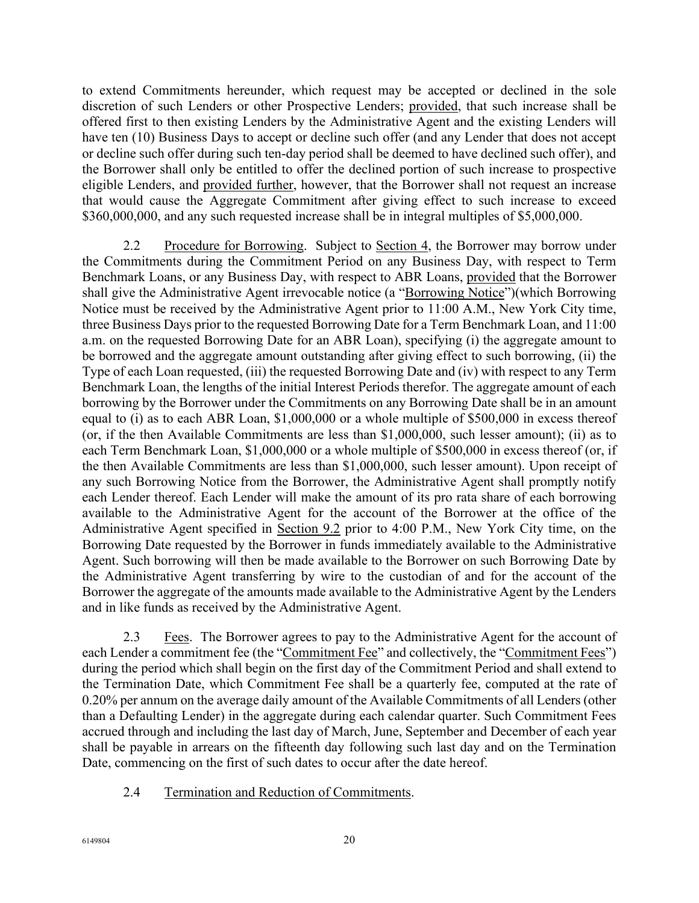to extend Commitments hereunder, which request may be accepted or declined in the sole discretion of such Lenders or other Prospective Lenders; provided, that such increase shall be offered first to then existing Lenders by the Administrative Agent and the existing Lenders will have ten (10) Business Days to accept or decline such offer (and any Lender that does not accept or decline such offer during such ten-day period shall be deemed to have declined such offer), and the Borrower shall only be entitled to offer the declined portion of such increase to prospective eligible Lenders, and provided further, however, that the Borrower shall not request an increase that would cause the Aggregate Commitment after giving effect to such increase to exceed \$360,000,000, and any such requested increase shall be in integral multiples of \$5,000,000.

2.2 Procedure for Borrowing. Subject to Section 4, the Borrower may borrow under the Commitments during the Commitment Period on any Business Day, with respect to Term Benchmark Loans, or any Business Day, with respect to ABR Loans, provided that the Borrower shall give the Administrative Agent irrevocable notice (a "Borrowing Notice")(which Borrowing Notice must be received by the Administrative Agent prior to 11:00 A.M., New York City time, three Business Days prior to the requested Borrowing Date for a Term Benchmark Loan, and 11:00 a.m. on the requested Borrowing Date for an ABR Loan), specifying (i) the aggregate amount to be borrowed and the aggregate amount outstanding after giving effect to such borrowing, (ii) the Type of each Loan requested, (iii) the requested Borrowing Date and (iv) with respect to any Term Benchmark Loan, the lengths of the initial Interest Periods therefor. The aggregate amount of each borrowing by the Borrower under the Commitments on any Borrowing Date shall be in an amount equal to (i) as to each ABR Loan, \$1,000,000 or a whole multiple of \$500,000 in excess thereof (or, if the then Available Commitments are less than \$1,000,000, such lesser amount); (ii) as to each Term Benchmark Loan, \$1,000,000 or a whole multiple of \$500,000 in excess thereof (or, if the then Available Commitments are less than \$1,000,000, such lesser amount). Upon receipt of any such Borrowing Notice from the Borrower, the Administrative Agent shall promptly notify each Lender thereof. Each Lender will make the amount of its pro rata share of each borrowing available to the Administrative Agent for the account of the Borrower at the office of the Administrative Agent specified in Section 9.2 prior to 4:00 P.M., New York City time, on the Borrowing Date requested by the Borrower in funds immediately available to the Administrative Agent. Such borrowing will then be made available to the Borrower on such Borrowing Date by the Administrative Agent transferring by wire to the custodian of and for the account of the Borrower the aggregate of the amounts made available to the Administrative Agent by the Lenders and in like funds as received by the Administrative Agent.

2.3 Fees. The Borrower agrees to pay to the Administrative Agent for the account of each Lender a commitment fee (the "Commitment Fee" and collectively, the "Commitment Fees") during the period which shall begin on the first day of the Commitment Period and shall extend to the Termination Date, which Commitment Fee shall be a quarterly fee, computed at the rate of 0.20% per annum on the average daily amount of the Available Commitments of all Lenders (other than a Defaulting Lender) in the aggregate during each calendar quarter. Such Commitment Fees accrued through and including the last day of March, June, September and December of each year shall be payable in arrears on the fifteenth day following such last day and on the Termination Date, commencing on the first of such dates to occur after the date hereof.

2.4 Termination and Reduction of Commitments.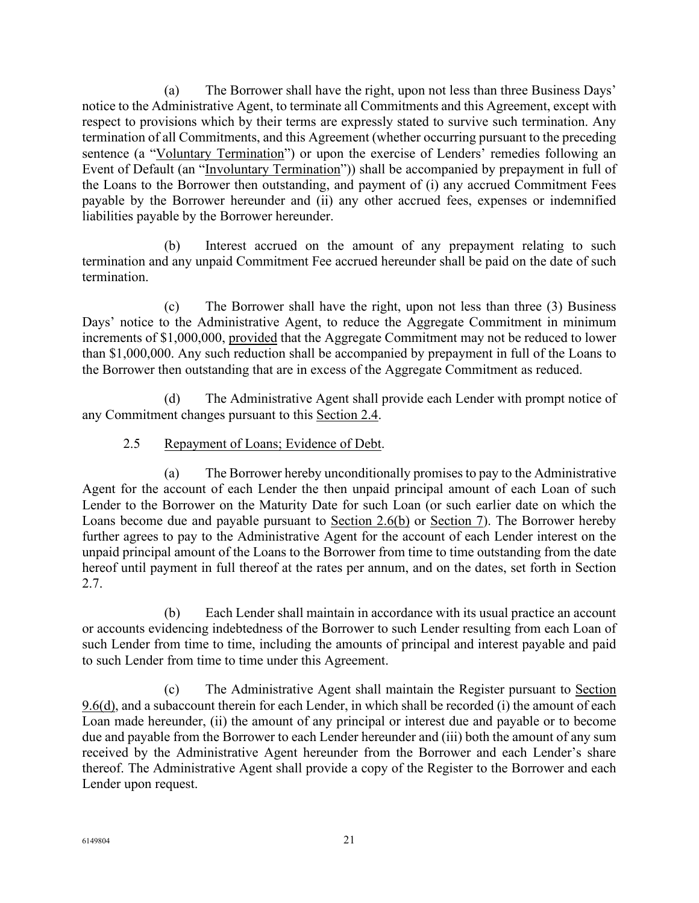(a) The Borrower shall have the right, upon not less than three Business Days' notice to the Administrative Agent, to terminate all Commitments and this Agreement, except with respect to provisions which by their terms are expressly stated to survive such termination. Any termination of all Commitments, and this Agreement (whether occurring pursuant to the preceding sentence (a "Voluntary Termination") or upon the exercise of Lenders' remedies following an Event of Default (an "Involuntary Termination")) shall be accompanied by prepayment in full of the Loans to the Borrower then outstanding, and payment of (i) any accrued Commitment Fees payable by the Borrower hereunder and (ii) any other accrued fees, expenses or indemnified liabilities payable by the Borrower hereunder.

(b) Interest accrued on the amount of any prepayment relating to such termination and any unpaid Commitment Fee accrued hereunder shall be paid on the date of such termination.

(c) The Borrower shall have the right, upon not less than three (3) Business Days' notice to the Administrative Agent, to reduce the Aggregate Commitment in minimum increments of \$1,000,000, provided that the Aggregate Commitment may not be reduced to lower than \$1,000,000. Any such reduction shall be accompanied by prepayment in full of the Loans to the Borrower then outstanding that are in excess of the Aggregate Commitment as reduced.

(d) The Administrative Agent shall provide each Lender with prompt notice of any Commitment changes pursuant to this Section 2.4.

## 2.5 Repayment of Loans; Evidence of Debt.

(a) The Borrower hereby unconditionally promises to pay to the Administrative Agent for the account of each Lender the then unpaid principal amount of each Loan of such Lender to the Borrower on the Maturity Date for such Loan (or such earlier date on which the Loans become due and payable pursuant to Section 2.6(b) or Section 7). The Borrower hereby further agrees to pay to the Administrative Agent for the account of each Lender interest on the unpaid principal amount of the Loans to the Borrower from time to time outstanding from the date hereof until payment in full thereof at the rates per annum, and on the dates, set forth in Section 2.7.

(b) Each Lender shall maintain in accordance with its usual practice an account or accounts evidencing indebtedness of the Borrower to such Lender resulting from each Loan of such Lender from time to time, including the amounts of principal and interest payable and paid to such Lender from time to time under this Agreement.

(c) The Administrative Agent shall maintain the Register pursuant to Section  $9.6(d)$ , and a subaccount therein for each Lender, in which shall be recorded (i) the amount of each Loan made hereunder, (ii) the amount of any principal or interest due and payable or to become due and payable from the Borrower to each Lender hereunder and (iii) both the amount of any sum received by the Administrative Agent hereunder from the Borrower and each Lender's share thereof. The Administrative Agent shall provide a copy of the Register to the Borrower and each Lender upon request.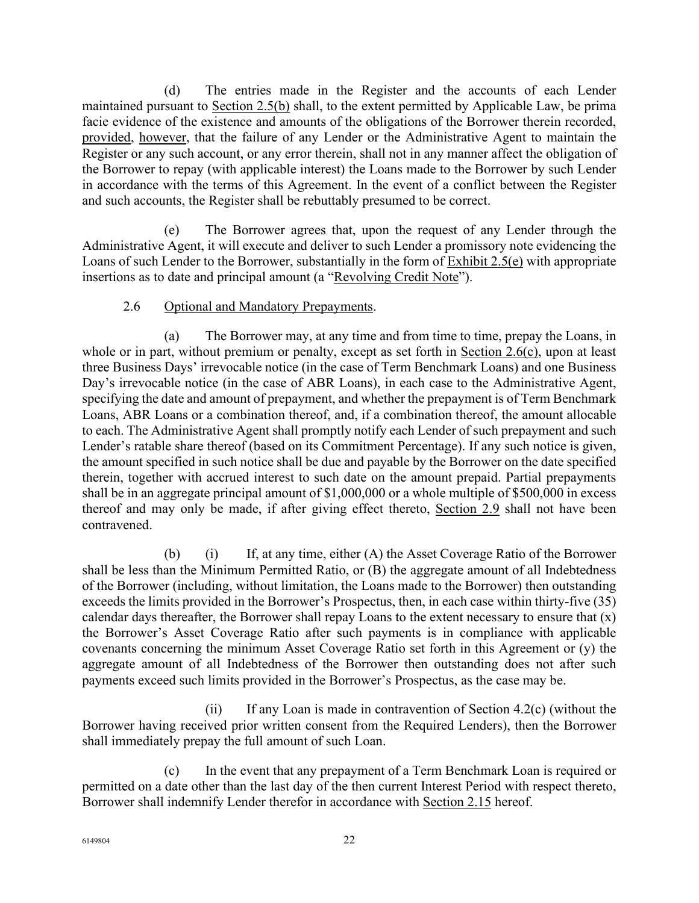(d) The entries made in the Register and the accounts of each Lender maintained pursuant to Section 2.5(b) shall, to the extent permitted by Applicable Law, be prima facie evidence of the existence and amounts of the obligations of the Borrower therein recorded, provided, however, that the failure of any Lender or the Administrative Agent to maintain the Register or any such account, or any error therein, shall not in any manner affect the obligation of the Borrower to repay (with applicable interest) the Loans made to the Borrower by such Lender in accordance with the terms of this Agreement. In the event of a conflict between the Register and such accounts, the Register shall be rebuttably presumed to be correct.

(e) The Borrower agrees that, upon the request of any Lender through the Administrative Agent, it will execute and deliver to such Lender a promissory note evidencing the Loans of such Lender to the Borrower, substantially in the form of Exhibit 2.5(e) with appropriate insertions as to date and principal amount (a "Revolving Credit Note").

## 2.6 Optional and Mandatory Prepayments.

(a) The Borrower may, at any time and from time to time, prepay the Loans, in whole or in part, without premium or penalty, except as set forth in Section 2.6(c), upon at least three Business Days' irrevocable notice (in the case of Term Benchmark Loans) and one Business Day's irrevocable notice (in the case of ABR Loans), in each case to the Administrative Agent, specifying the date and amount of prepayment, and whether the prepayment is of Term Benchmark Loans, ABR Loans or a combination thereof, and, if a combination thereof, the amount allocable to each. The Administrative Agent shall promptly notify each Lender of such prepayment and such Lender's ratable share thereof (based on its Commitment Percentage). If any such notice is given, the amount specified in such notice shall be due and payable by the Borrower on the date specified therein, together with accrued interest to such date on the amount prepaid. Partial prepayments shall be in an aggregate principal amount of \$1,000,000 or a whole multiple of \$500,000 in excess thereof and may only be made, if after giving effect thereto, Section 2.9 shall not have been contravened.

(b) (i) If, at any time, either (A) the Asset Coverage Ratio of the Borrower shall be less than the Minimum Permitted Ratio, or (B) the aggregate amount of all Indebtedness of the Borrower (including, without limitation, the Loans made to the Borrower) then outstanding exceeds the limits provided in the Borrower's Prospectus, then, in each case within thirty-five (35) calendar days thereafter, the Borrower shall repay Loans to the extent necessary to ensure that (x) the Borrower's Asset Coverage Ratio after such payments is in compliance with applicable covenants concerning the minimum Asset Coverage Ratio set forth in this Agreement or (y) the aggregate amount of all Indebtedness of the Borrower then outstanding does not after such payments exceed such limits provided in the Borrower's Prospectus, as the case may be.

(ii) If any Loan is made in contravention of Section 4.2(c) (without the Borrower having received prior written consent from the Required Lenders), then the Borrower shall immediately prepay the full amount of such Loan.

(c) In the event that any prepayment of a Term Benchmark Loan is required or permitted on a date other than the last day of the then current Interest Period with respect thereto, Borrower shall indemnify Lender therefor in accordance with Section 2.15 hereof.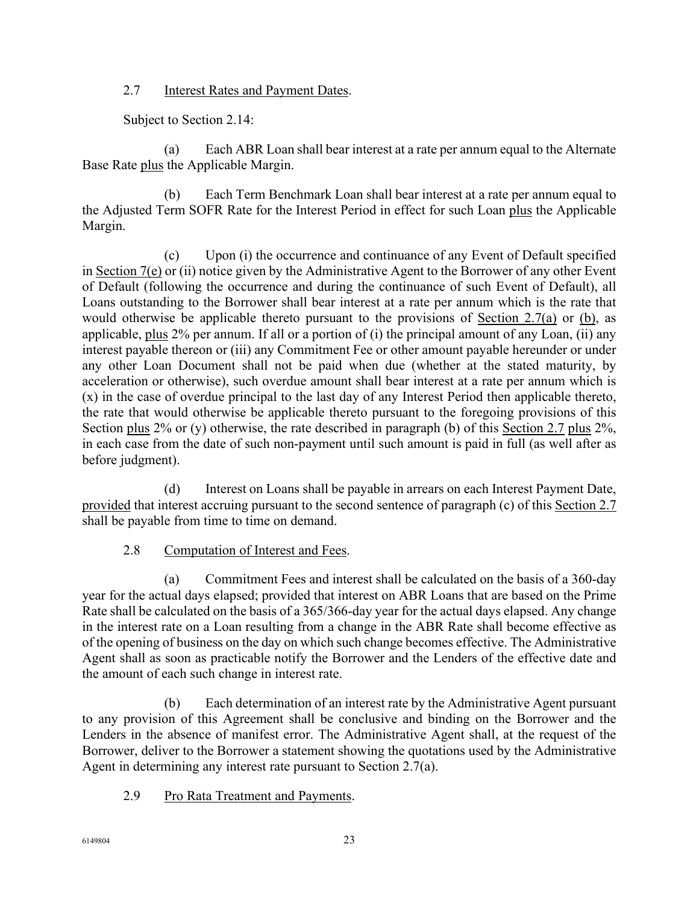### 2.7 Interest Rates and Payment Dates.

Subject to Section 2.14:

(a) Each ABR Loan shall bear interest at a rate per annum equal to the Alternate Base Rate plus the Applicable Margin.

(b) Each Term Benchmark Loan shall bear interest at a rate per annum equal to the Adjusted Term SOFR Rate for the Interest Period in effect for such Loan plus the Applicable Margin.

(c) Upon (i) the occurrence and continuance of any Event of Default specified in Section 7(e) or (ii) notice given by the Administrative Agent to the Borrower of any other Event of Default (following the occurrence and during the continuance of such Event of Default), all Loans outstanding to the Borrower shall bear interest at a rate per annum which is the rate that would otherwise be applicable thereto pursuant to the provisions of Section 2.7(a) or (b), as applicable, plus 2% per annum. If all or a portion of (i) the principal amount of any Loan, (ii) any interest payable thereon or (iii) any Commitment Fee or other amount payable hereunder or under any other Loan Document shall not be paid when due (whether at the stated maturity, by acceleration or otherwise), such overdue amount shall bear interest at a rate per annum which is (x) in the case of overdue principal to the last day of any Interest Period then applicable thereto, the rate that would otherwise be applicable thereto pursuant to the foregoing provisions of this Section plus 2% or (y) otherwise, the rate described in paragraph (b) of this Section 2.7 plus 2%, in each case from the date of such non-payment until such amount is paid in full (as well after as before judgment).

(d) Interest on Loans shall be payable in arrears on each Interest Payment Date, provided that interest accruing pursuant to the second sentence of paragraph (c) of this Section 2.7 shall be payable from time to time on demand.

### 2.8 Computation of Interest and Fees.

(a) Commitment Fees and interest shall be calculated on the basis of a 360-day year for the actual days elapsed; provided that interest on ABR Loans that are based on the Prime Rate shall be calculated on the basis of a 365/366-day year for the actual days elapsed. Any change in the interest rate on a Loan resulting from a change in the ABR Rate shall become effective as of the opening of business on the day on which such change becomes effective. The Administrative Agent shall as soon as practicable notify the Borrower and the Lenders of the effective date and the amount of each such change in interest rate.

(b) Each determination of an interest rate by the Administrative Agent pursuant to any provision of this Agreement shall be conclusive and binding on the Borrower and the Lenders in the absence of manifest error. The Administrative Agent shall, at the request of the Borrower, deliver to the Borrower a statement showing the quotations used by the Administrative Agent in determining any interest rate pursuant to Section 2.7(a).

2.9 Pro Rata Treatment and Payments.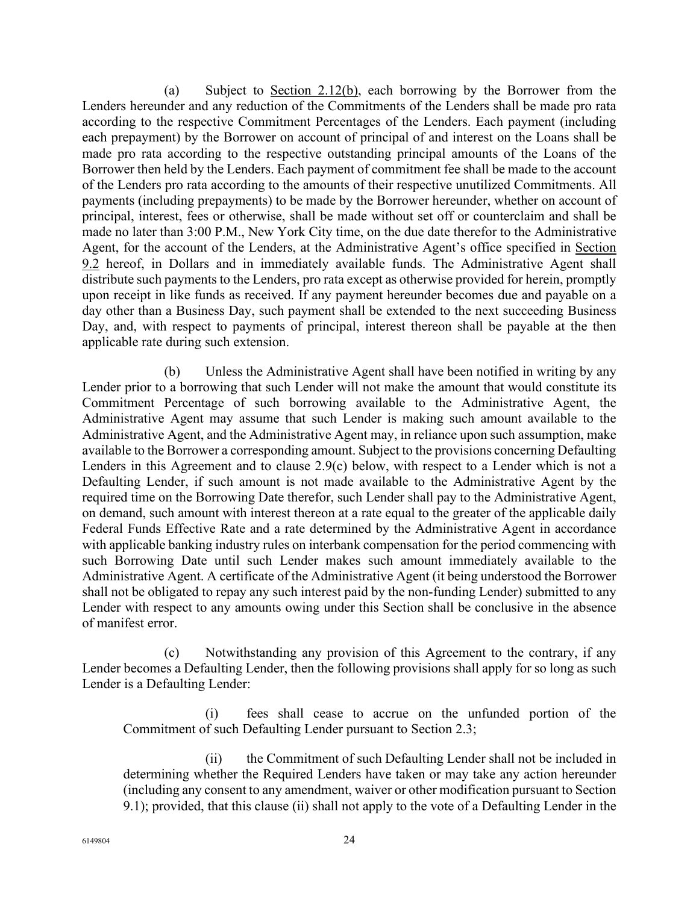(a) Subject to Section 2.12(b), each borrowing by the Borrower from the Lenders hereunder and any reduction of the Commitments of the Lenders shall be made pro rata according to the respective Commitment Percentages of the Lenders. Each payment (including each prepayment) by the Borrower on account of principal of and interest on the Loans shall be made pro rata according to the respective outstanding principal amounts of the Loans of the Borrower then held by the Lenders. Each payment of commitment fee shall be made to the account of the Lenders pro rata according to the amounts of their respective unutilized Commitments. All payments (including prepayments) to be made by the Borrower hereunder, whether on account of principal, interest, fees or otherwise, shall be made without set off or counterclaim and shall be made no later than 3:00 P.M., New York City time, on the due date therefor to the Administrative Agent, for the account of the Lenders, at the Administrative Agent's office specified in Section 9.2 hereof, in Dollars and in immediately available funds. The Administrative Agent shall distribute such payments to the Lenders, pro rata except as otherwise provided for herein, promptly upon receipt in like funds as received. If any payment hereunder becomes due and payable on a day other than a Business Day, such payment shall be extended to the next succeeding Business Day, and, with respect to payments of principal, interest thereon shall be payable at the then applicable rate during such extension.

(b) Unless the Administrative Agent shall have been notified in writing by any Lender prior to a borrowing that such Lender will not make the amount that would constitute its Commitment Percentage of such borrowing available to the Administrative Agent, the Administrative Agent may assume that such Lender is making such amount available to the Administrative Agent, and the Administrative Agent may, in reliance upon such assumption, make available to the Borrower a corresponding amount. Subject to the provisions concerning Defaulting Lenders in this Agreement and to clause 2.9(c) below, with respect to a Lender which is not a Defaulting Lender, if such amount is not made available to the Administrative Agent by the required time on the Borrowing Date therefor, such Lender shall pay to the Administrative Agent, on demand, such amount with interest thereon at a rate equal to the greater of the applicable daily Federal Funds Effective Rate and a rate determined by the Administrative Agent in accordance with applicable banking industry rules on interbank compensation for the period commencing with such Borrowing Date until such Lender makes such amount immediately available to the Administrative Agent. A certificate of the Administrative Agent (it being understood the Borrower shall not be obligated to repay any such interest paid by the non-funding Lender) submitted to any Lender with respect to any amounts owing under this Section shall be conclusive in the absence of manifest error.

(c) Notwithstanding any provision of this Agreement to the contrary, if any Lender becomes a Defaulting Lender, then the following provisions shall apply for so long as such Lender is a Defaulting Lender:

(i) fees shall cease to accrue on the unfunded portion of the Commitment of such Defaulting Lender pursuant to Section 2.3;

(ii) the Commitment of such Defaulting Lender shall not be included in determining whether the Required Lenders have taken or may take any action hereunder (including any consent to any amendment, waiver or other modification pursuant to Section 9.1); provided, that this clause (ii) shall not apply to the vote of a Defaulting Lender in the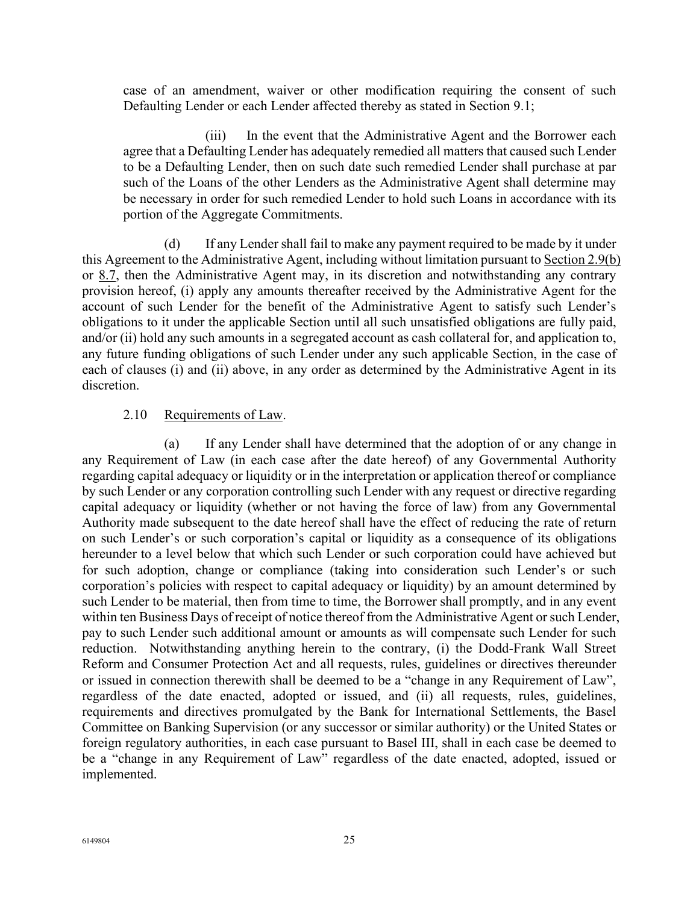case of an amendment, waiver or other modification requiring the consent of such Defaulting Lender or each Lender affected thereby as stated in Section 9.1;

(iii) In the event that the Administrative Agent and the Borrower each agree that a Defaulting Lender has adequately remedied all matters that caused such Lender to be a Defaulting Lender, then on such date such remedied Lender shall purchase at par such of the Loans of the other Lenders as the Administrative Agent shall determine may be necessary in order for such remedied Lender to hold such Loans in accordance with its portion of the Aggregate Commitments.

(d) If any Lender shall fail to make any payment required to be made by it under this Agreement to the Administrative Agent, including without limitation pursuant to Section 2.9(b) or 8.7, then the Administrative Agent may, in its discretion and notwithstanding any contrary provision hereof, (i) apply any amounts thereafter received by the Administrative Agent for the account of such Lender for the benefit of the Administrative Agent to satisfy such Lender's obligations to it under the applicable Section until all such unsatisfied obligations are fully paid, and/or (ii) hold any such amounts in a segregated account as cash collateral for, and application to, any future funding obligations of such Lender under any such applicable Section, in the case of each of clauses (i) and (ii) above, in any order as determined by the Administrative Agent in its discretion.

#### 2.10 Requirements of Law.

(a) If any Lender shall have determined that the adoption of or any change in any Requirement of Law (in each case after the date hereof) of any Governmental Authority regarding capital adequacy or liquidity or in the interpretation or application thereof or compliance by such Lender or any corporation controlling such Lender with any request or directive regarding capital adequacy or liquidity (whether or not having the force of law) from any Governmental Authority made subsequent to the date hereof shall have the effect of reducing the rate of return on such Lender's or such corporation's capital or liquidity as a consequence of its obligations hereunder to a level below that which such Lender or such corporation could have achieved but for such adoption, change or compliance (taking into consideration such Lender's or such corporation's policies with respect to capital adequacy or liquidity) by an amount determined by such Lender to be material, then from time to time, the Borrower shall promptly, and in any event within ten Business Days of receipt of notice thereof from the Administrative Agent or such Lender, pay to such Lender such additional amount or amounts as will compensate such Lender for such reduction. Notwithstanding anything herein to the contrary, (i) the Dodd-Frank Wall Street Reform and Consumer Protection Act and all requests, rules, guidelines or directives thereunder or issued in connection therewith shall be deemed to be a "change in any Requirement of Law", regardless of the date enacted, adopted or issued, and (ii) all requests, rules, guidelines, requirements and directives promulgated by the Bank for International Settlements, the Basel Committee on Banking Supervision (or any successor or similar authority) or the United States or foreign regulatory authorities, in each case pursuant to Basel III, shall in each case be deemed to be a "change in any Requirement of Law" regardless of the date enacted, adopted, issued or implemented.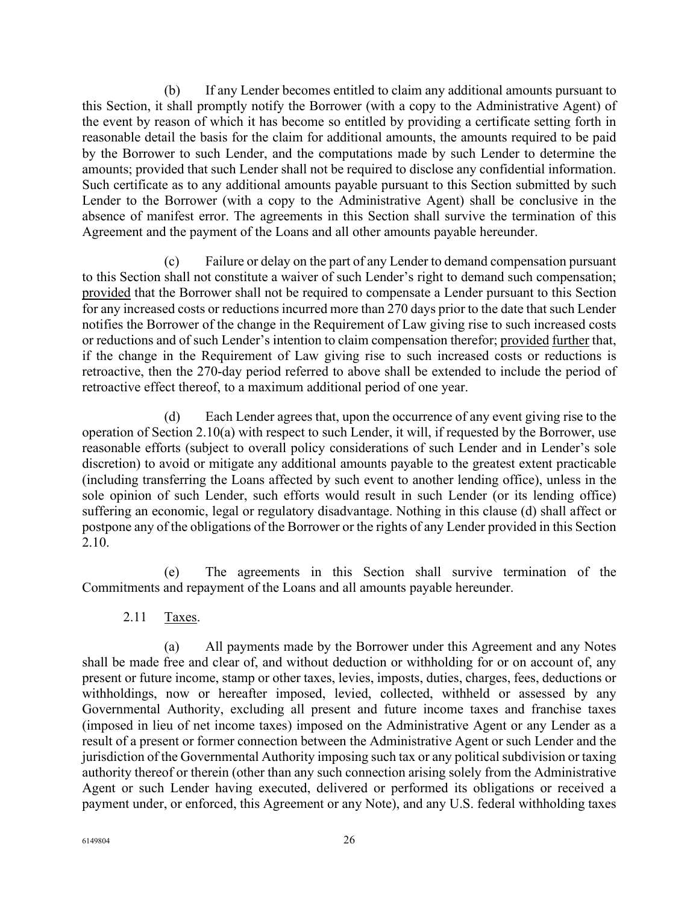(b) If any Lender becomes entitled to claim any additional amounts pursuant to this Section, it shall promptly notify the Borrower (with a copy to the Administrative Agent) of the event by reason of which it has become so entitled by providing a certificate setting forth in reasonable detail the basis for the claim for additional amounts, the amounts required to be paid by the Borrower to such Lender, and the computations made by such Lender to determine the amounts; provided that such Lender shall not be required to disclose any confidential information. Such certificate as to any additional amounts payable pursuant to this Section submitted by such Lender to the Borrower (with a copy to the Administrative Agent) shall be conclusive in the absence of manifest error. The agreements in this Section shall survive the termination of this Agreement and the payment of the Loans and all other amounts payable hereunder.

(c) Failure or delay on the part of any Lender to demand compensation pursuant to this Section shall not constitute a waiver of such Lender's right to demand such compensation; provided that the Borrower shall not be required to compensate a Lender pursuant to this Section for any increased costs or reductions incurred more than 270 days prior to the date that such Lender notifies the Borrower of the change in the Requirement of Law giving rise to such increased costs or reductions and of such Lender's intention to claim compensation therefor; provided further that, if the change in the Requirement of Law giving rise to such increased costs or reductions is retroactive, then the 270-day period referred to above shall be extended to include the period of retroactive effect thereof, to a maximum additional period of one year.

(d) Each Lender agrees that, upon the occurrence of any event giving rise to the operation of Section 2.10(a) with respect to such Lender, it will, if requested by the Borrower, use reasonable efforts (subject to overall policy considerations of such Lender and in Lender's sole discretion) to avoid or mitigate any additional amounts payable to the greatest extent practicable (including transferring the Loans affected by such event to another lending office), unless in the sole opinion of such Lender, such efforts would result in such Lender (or its lending office) suffering an economic, legal or regulatory disadvantage. Nothing in this clause (d) shall affect or postpone any of the obligations of the Borrower or the rights of any Lender provided in this Section 2.10.

(e) The agreements in this Section shall survive termination of the Commitments and repayment of the Loans and all amounts payable hereunder.

2.11 Taxes.

(a) All payments made by the Borrower under this Agreement and any Notes shall be made free and clear of, and without deduction or withholding for or on account of, any present or future income, stamp or other taxes, levies, imposts, duties, charges, fees, deductions or withholdings, now or hereafter imposed, levied, collected, withheld or assessed by any Governmental Authority, excluding all present and future income taxes and franchise taxes (imposed in lieu of net income taxes) imposed on the Administrative Agent or any Lender as a result of a present or former connection between the Administrative Agent or such Lender and the jurisdiction of the Governmental Authority imposing such tax or any political subdivision or taxing authority thereof or therein (other than any such connection arising solely from the Administrative Agent or such Lender having executed, delivered or performed its obligations or received a payment under, or enforced, this Agreement or any Note), and any U.S. federal withholding taxes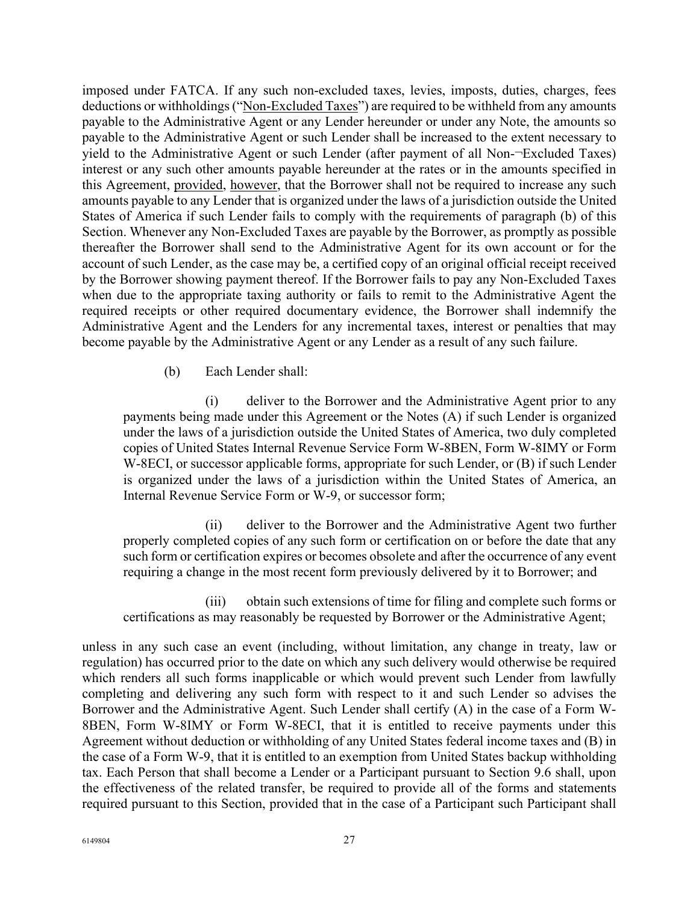imposed under FATCA. If any such non-excluded taxes, levies, imposts, duties, charges, fees deductions or withholdings ("Non-Excluded Taxes") are required to be withheld from any amounts payable to the Administrative Agent or any Lender hereunder or under any Note, the amounts so payable to the Administrative Agent or such Lender shall be increased to the extent necessary to yield to the Administrative Agent or such Lender (after payment of all Non-¬Excluded Taxes) interest or any such other amounts payable hereunder at the rates or in the amounts specified in this Agreement, provided, however, that the Borrower shall not be required to increase any such amounts payable to any Lender that is organized under the laws of a jurisdiction outside the United States of America if such Lender fails to comply with the requirements of paragraph (b) of this Section. Whenever any Non-Excluded Taxes are payable by the Borrower, as promptly as possible thereafter the Borrower shall send to the Administrative Agent for its own account or for the account of such Lender, as the case may be, a certified copy of an original official receipt received by the Borrower showing payment thereof. If the Borrower fails to pay any Non-Excluded Taxes when due to the appropriate taxing authority or fails to remit to the Administrative Agent the required receipts or other required documentary evidence, the Borrower shall indemnify the Administrative Agent and the Lenders for any incremental taxes, interest or penalties that may become payable by the Administrative Agent or any Lender as a result of any such failure.

(b) Each Lender shall:

(i) deliver to the Borrower and the Administrative Agent prior to any payments being made under this Agreement or the Notes (A) if such Lender is organized under the laws of a jurisdiction outside the United States of America, two duly completed copies of United States Internal Revenue Service Form W-8BEN, Form W-8IMY or Form W-8ECI, or successor applicable forms, appropriate for such Lender, or (B) if such Lender is organized under the laws of a jurisdiction within the United States of America, an Internal Revenue Service Form or W-9, or successor form;

(ii) deliver to the Borrower and the Administrative Agent two further properly completed copies of any such form or certification on or before the date that any such form or certification expires or becomes obsolete and after the occurrence of any event requiring a change in the most recent form previously delivered by it to Borrower; and

(iii) obtain such extensions of time for filing and complete such forms or certifications as may reasonably be requested by Borrower or the Administrative Agent;

unless in any such case an event (including, without limitation, any change in treaty, law or regulation) has occurred prior to the date on which any such delivery would otherwise be required which renders all such forms inapplicable or which would prevent such Lender from lawfully completing and delivering any such form with respect to it and such Lender so advises the Borrower and the Administrative Agent. Such Lender shall certify (A) in the case of a Form W-8BEN, Form W-8IMY or Form W-8ECI, that it is entitled to receive payments under this Agreement without deduction or withholding of any United States federal income taxes and (B) in the case of a Form W-9, that it is entitled to an exemption from United States backup withholding tax. Each Person that shall become a Lender or a Participant pursuant to Section 9.6 shall, upon the effectiveness of the related transfer, be required to provide all of the forms and statements required pursuant to this Section, provided that in the case of a Participant such Participant shall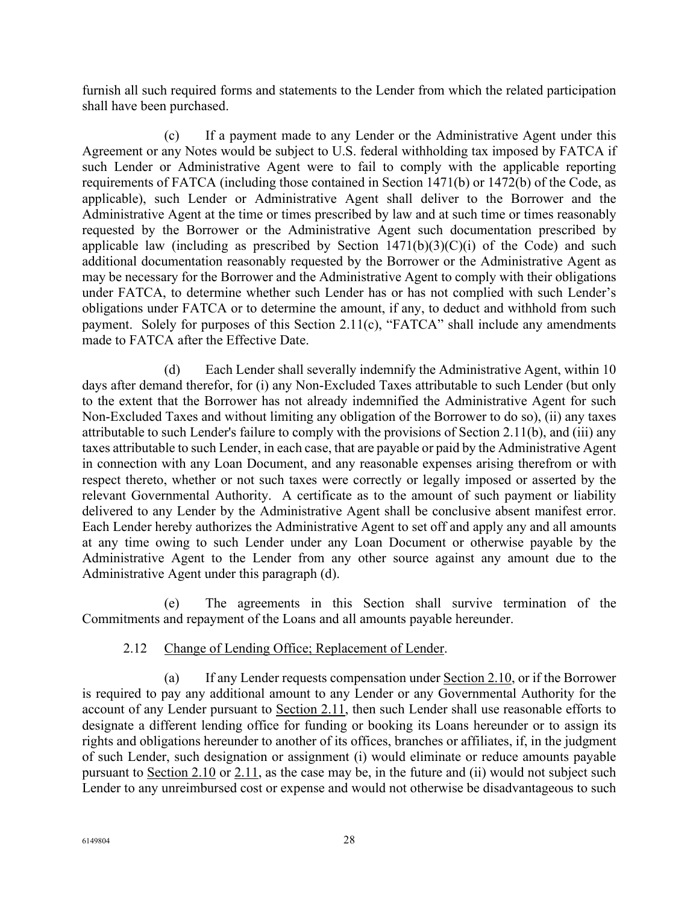furnish all such required forms and statements to the Lender from which the related participation shall have been purchased.

(c) If a payment made to any Lender or the Administrative Agent under this Agreement or any Notes would be subject to U.S. federal withholding tax imposed by FATCA if such Lender or Administrative Agent were to fail to comply with the applicable reporting requirements of FATCA (including those contained in Section 1471(b) or 1472(b) of the Code, as applicable), such Lender or Administrative Agent shall deliver to the Borrower and the Administrative Agent at the time or times prescribed by law and at such time or times reasonably requested by the Borrower or the Administrative Agent such documentation prescribed by applicable law (including as prescribed by Section  $1471(b)(3)(C)(i)$  of the Code) and such additional documentation reasonably requested by the Borrower or the Administrative Agent as may be necessary for the Borrower and the Administrative Agent to comply with their obligations under FATCA, to determine whether such Lender has or has not complied with such Lender's obligations under FATCA or to determine the amount, if any, to deduct and withhold from such payment. Solely for purposes of this Section 2.11(c), "FATCA" shall include any amendments made to FATCA after the Effective Date.

(d) Each Lender shall severally indemnify the Administrative Agent, within 10 days after demand therefor, for (i) any Non-Excluded Taxes attributable to such Lender (but only to the extent that the Borrower has not already indemnified the Administrative Agent for such Non-Excluded Taxes and without limiting any obligation of the Borrower to do so), (ii) any taxes attributable to such Lender's failure to comply with the provisions of Section 2.11(b), and (iii) any taxes attributable to such Lender, in each case, that are payable or paid by the Administrative Agent in connection with any Loan Document, and any reasonable expenses arising therefrom or with respect thereto, whether or not such taxes were correctly or legally imposed or asserted by the relevant Governmental Authority. A certificate as to the amount of such payment or liability delivered to any Lender by the Administrative Agent shall be conclusive absent manifest error. Each Lender hereby authorizes the Administrative Agent to set off and apply any and all amounts at any time owing to such Lender under any Loan Document or otherwise payable by the Administrative Agent to the Lender from any other source against any amount due to the Administrative Agent under this paragraph (d).

(e) The agreements in this Section shall survive termination of the Commitments and repayment of the Loans and all amounts payable hereunder.

# 2.12 Change of Lending Office; Replacement of Lender.

(a) If any Lender requests compensation under Section 2.10, or if the Borrower is required to pay any additional amount to any Lender or any Governmental Authority for the account of any Lender pursuant to Section 2.11, then such Lender shall use reasonable efforts to designate a different lending office for funding or booking its Loans hereunder or to assign its rights and obligations hereunder to another of its offices, branches or affiliates, if, in the judgment of such Lender, such designation or assignment (i) would eliminate or reduce amounts payable pursuant to Section 2.10 or 2.11, as the case may be, in the future and (ii) would not subject such Lender to any unreimbursed cost or expense and would not otherwise be disadvantageous to such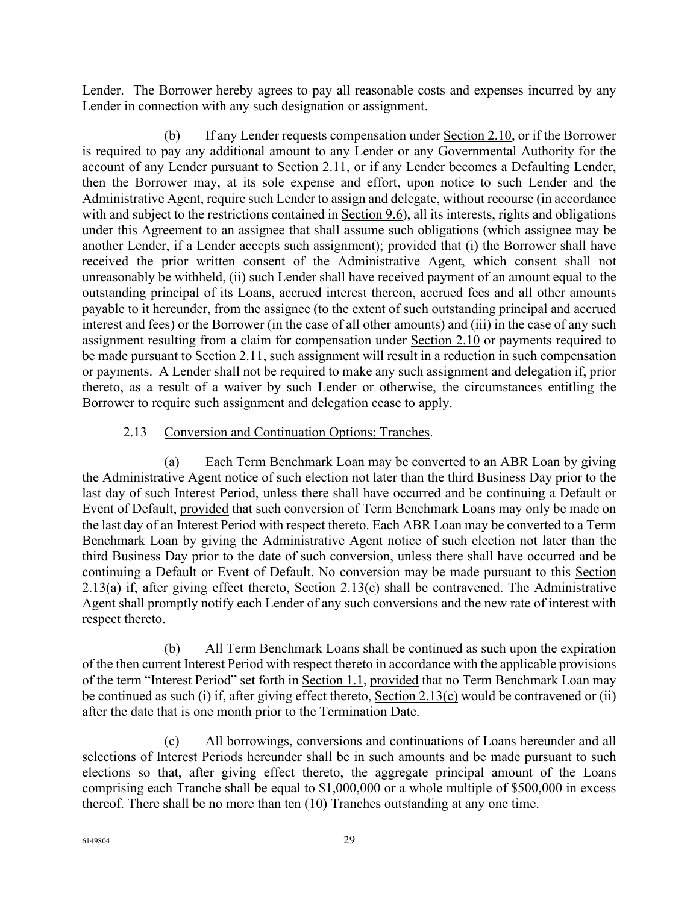Lender. The Borrower hereby agrees to pay all reasonable costs and expenses incurred by any Lender in connection with any such designation or assignment.

(b) If any Lender requests compensation under  $Section 2.10$ , or if the Borrower is required to pay any additional amount to any Lender or any Governmental Authority for the account of any Lender pursuant to Section 2.11, or if any Lender becomes a Defaulting Lender, then the Borrower may, at its sole expense and effort, upon notice to such Lender and the Administrative Agent, require such Lender to assign and delegate, without recourse (in accordance with and subject to the restrictions contained in Section 9.6), all its interests, rights and obligations under this Agreement to an assignee that shall assume such obligations (which assignee may be another Lender, if a Lender accepts such assignment); provided that (i) the Borrower shall have received the prior written consent of the Administrative Agent, which consent shall not unreasonably be withheld, (ii) such Lender shall have received payment of an amount equal to the outstanding principal of its Loans, accrued interest thereon, accrued fees and all other amounts payable to it hereunder, from the assignee (to the extent of such outstanding principal and accrued interest and fees) or the Borrower (in the case of all other amounts) and (iii) in the case of any such assignment resulting from a claim for compensation under Section 2.10 or payments required to be made pursuant to Section 2.11, such assignment will result in a reduction in such compensation or payments. A Lender shall not be required to make any such assignment and delegation if, prior thereto, as a result of a waiver by such Lender or otherwise, the circumstances entitling the Borrower to require such assignment and delegation cease to apply.

## 2.13 Conversion and Continuation Options; Tranches.

(a) Each Term Benchmark Loan may be converted to an ABR Loan by giving the Administrative Agent notice of such election not later than the third Business Day prior to the last day of such Interest Period, unless there shall have occurred and be continuing a Default or Event of Default, provided that such conversion of Term Benchmark Loans may only be made on the last day of an Interest Period with respect thereto. Each ABR Loan may be converted to a Term Benchmark Loan by giving the Administrative Agent notice of such election not later than the third Business Day prior to the date of such conversion, unless there shall have occurred and be continuing a Default or Event of Default. No conversion may be made pursuant to this Section 2.13(a) if, after giving effect thereto, Section 2.13(c) shall be contravened. The Administrative Agent shall promptly notify each Lender of any such conversions and the new rate of interest with respect thereto.

(b) All Term Benchmark Loans shall be continued as such upon the expiration of the then current Interest Period with respect thereto in accordance with the applicable provisions of the term "Interest Period" set forth in Section 1.1, provided that no Term Benchmark Loan may be continued as such (i) if, after giving effect thereto, Section 2.13(c) would be contravened or (ii) after the date that is one month prior to the Termination Date.

(c) All borrowings, conversions and continuations of Loans hereunder and all selections of Interest Periods hereunder shall be in such amounts and be made pursuant to such elections so that, after giving effect thereto, the aggregate principal amount of the Loans comprising each Tranche shall be equal to \$1,000,000 or a whole multiple of \$500,000 in excess thereof. There shall be no more than ten (10) Tranches outstanding at any one time.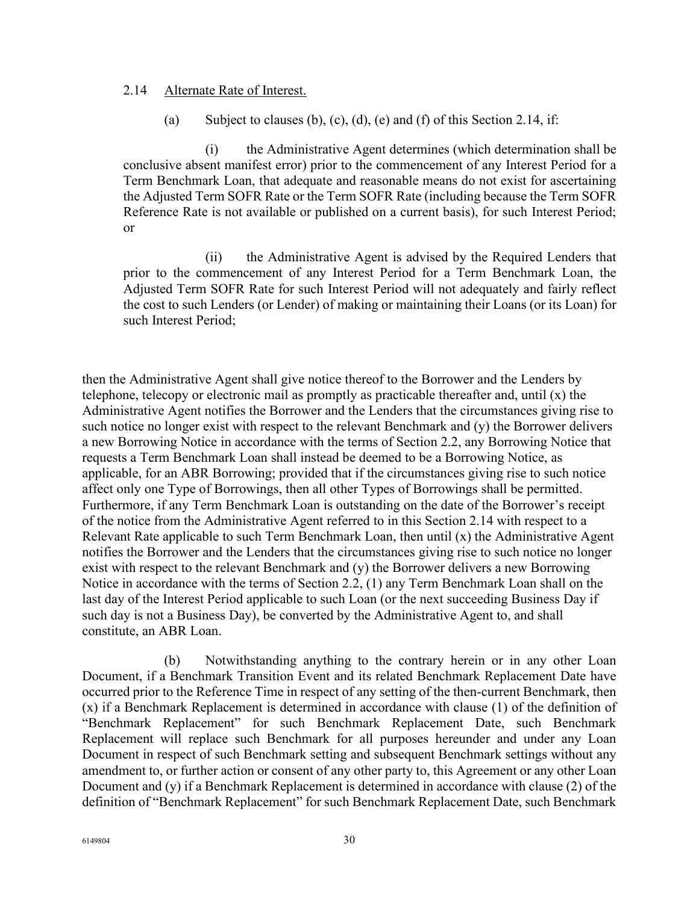#### 2.14 Alternate Rate of Interest.

(a) Subject to clauses (b), (c), (d), (e) and (f) of this Section 2.14, if:

(i) the Administrative Agent determines (which determination shall be conclusive absent manifest error) prior to the commencement of any Interest Period for a Term Benchmark Loan, that adequate and reasonable means do not exist for ascertaining the Adjusted Term SOFR Rate or the Term SOFR Rate (including because the Term SOFR Reference Rate is not available or published on a current basis), for such Interest Period; or

(ii) the Administrative Agent is advised by the Required Lenders that prior to the commencement of any Interest Period for a Term Benchmark Loan, the Adjusted Term SOFR Rate for such Interest Period will not adequately and fairly reflect the cost to such Lenders (or Lender) of making or maintaining their Loans (or its Loan) for such Interest Period;

then the Administrative Agent shall give notice thereof to the Borrower and the Lenders by telephone, telecopy or electronic mail as promptly as practicable thereafter and, until (x) the Administrative Agent notifies the Borrower and the Lenders that the circumstances giving rise to such notice no longer exist with respect to the relevant Benchmark and (y) the Borrower delivers a new Borrowing Notice in accordance with the terms of Section 2.2, any Borrowing Notice that requests a Term Benchmark Loan shall instead be deemed to be a Borrowing Notice, as applicable, for an ABR Borrowing; provided that if the circumstances giving rise to such notice affect only one Type of Borrowings, then all other Types of Borrowings shall be permitted. Furthermore, if any Term Benchmark Loan is outstanding on the date of the Borrower's receipt of the notice from the Administrative Agent referred to in this Section 2.14 with respect to a Relevant Rate applicable to such Term Benchmark Loan, then until (x) the Administrative Agent notifies the Borrower and the Lenders that the circumstances giving rise to such notice no longer exist with respect to the relevant Benchmark and (y) the Borrower delivers a new Borrowing Notice in accordance with the terms of Section 2.2, (1) any Term Benchmark Loan shall on the last day of the Interest Period applicable to such Loan (or the next succeeding Business Day if such day is not a Business Day), be converted by the Administrative Agent to, and shall constitute, an ABR Loan.

(b) Notwithstanding anything to the contrary herein or in any other Loan Document, if a Benchmark Transition Event and its related Benchmark Replacement Date have occurred prior to the Reference Time in respect of any setting of the then-current Benchmark, then (x) if a Benchmark Replacement is determined in accordance with clause (1) of the definition of "Benchmark Replacement" for such Benchmark Replacement Date, such Benchmark Replacement will replace such Benchmark for all purposes hereunder and under any Loan Document in respect of such Benchmark setting and subsequent Benchmark settings without any amendment to, or further action or consent of any other party to, this Agreement or any other Loan Document and (y) if a Benchmark Replacement is determined in accordance with clause (2) of the definition of "Benchmark Replacement" for such Benchmark Replacement Date, such Benchmark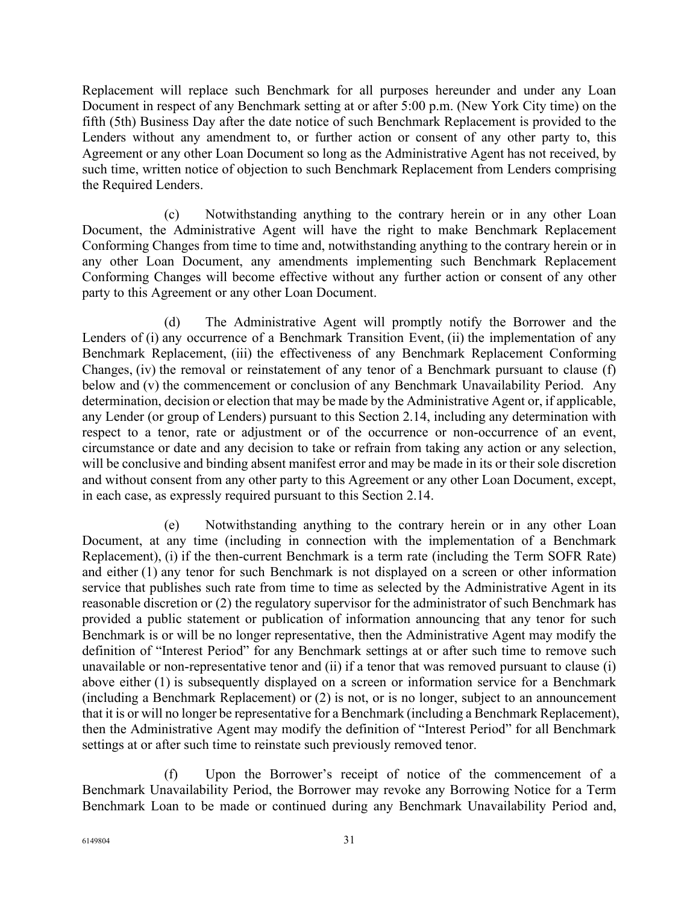Replacement will replace such Benchmark for all purposes hereunder and under any Loan Document in respect of any Benchmark setting at or after 5:00 p.m. (New York City time) on the fifth (5th) Business Day after the date notice of such Benchmark Replacement is provided to the Lenders without any amendment to, or further action or consent of any other party to, this Agreement or any other Loan Document so long as the Administrative Agent has not received, by such time, written notice of objection to such Benchmark Replacement from Lenders comprising the Required Lenders.

(c) Notwithstanding anything to the contrary herein or in any other Loan Document, the Administrative Agent will have the right to make Benchmark Replacement Conforming Changes from time to time and, notwithstanding anything to the contrary herein or in any other Loan Document, any amendments implementing such Benchmark Replacement Conforming Changes will become effective without any further action or consent of any other party to this Agreement or any other Loan Document.

(d) The Administrative Agent will promptly notify the Borrower and the Lenders of (i) any occurrence of a Benchmark Transition Event, (ii) the implementation of any Benchmark Replacement, (iii) the effectiveness of any Benchmark Replacement Conforming Changes, (iv) the removal or reinstatement of any tenor of a Benchmark pursuant to clause (f) below and (v) the commencement or conclusion of any Benchmark Unavailability Period. Any determination, decision or election that may be made by the Administrative Agent or, if applicable, any Lender (or group of Lenders) pursuant to this Section 2.14, including any determination with respect to a tenor, rate or adjustment or of the occurrence or non-occurrence of an event, circumstance or date and any decision to take or refrain from taking any action or any selection, will be conclusive and binding absent manifest error and may be made in its or their sole discretion and without consent from any other party to this Agreement or any other Loan Document, except, in each case, as expressly required pursuant to this Section 2.14.

(e) Notwithstanding anything to the contrary herein or in any other Loan Document, at any time (including in connection with the implementation of a Benchmark Replacement), (i) if the then-current Benchmark is a term rate (including the Term SOFR Rate) and either (1) any tenor for such Benchmark is not displayed on a screen or other information service that publishes such rate from time to time as selected by the Administrative Agent in its reasonable discretion or (2) the regulatory supervisor for the administrator of such Benchmark has provided a public statement or publication of information announcing that any tenor for such Benchmark is or will be no longer representative, then the Administrative Agent may modify the definition of "Interest Period" for any Benchmark settings at or after such time to remove such unavailable or non-representative tenor and (ii) if a tenor that was removed pursuant to clause (i) above either (1) is subsequently displayed on a screen or information service for a Benchmark (including a Benchmark Replacement) or (2) is not, or is no longer, subject to an announcement that it is or will no longer be representative for a Benchmark (including a Benchmark Replacement), then the Administrative Agent may modify the definition of "Interest Period" for all Benchmark settings at or after such time to reinstate such previously removed tenor.

(f) Upon the Borrower's receipt of notice of the commencement of a Benchmark Unavailability Period, the Borrower may revoke any Borrowing Notice for a Term Benchmark Loan to be made or continued during any Benchmark Unavailability Period and,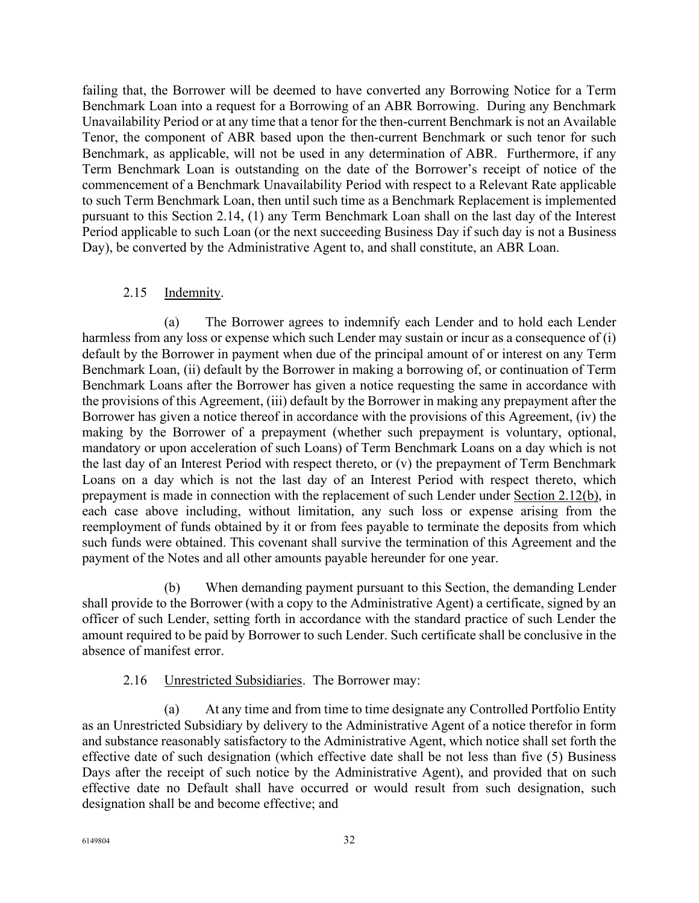failing that, the Borrower will be deemed to have converted any Borrowing Notice for a Term Benchmark Loan into a request for a Borrowing of an ABR Borrowing. During any Benchmark Unavailability Period or at any time that a tenor for the then-current Benchmark is not an Available Tenor, the component of ABR based upon the then-current Benchmark or such tenor for such Benchmark, as applicable, will not be used in any determination of ABR. Furthermore, if any Term Benchmark Loan is outstanding on the date of the Borrower's receipt of notice of the commencement of a Benchmark Unavailability Period with respect to a Relevant Rate applicable to such Term Benchmark Loan, then until such time as a Benchmark Replacement is implemented pursuant to this Section 2.14, (1) any Term Benchmark Loan shall on the last day of the Interest Period applicable to such Loan (or the next succeeding Business Day if such day is not a Business Day), be converted by the Administrative Agent to, and shall constitute, an ABR Loan.

### 2.15 Indemnity.

(a) The Borrower agrees to indemnify each Lender and to hold each Lender harmless from any loss or expense which such Lender may sustain or incur as a consequence of (i) default by the Borrower in payment when due of the principal amount of or interest on any Term Benchmark Loan, (ii) default by the Borrower in making a borrowing of, or continuation of Term Benchmark Loans after the Borrower has given a notice requesting the same in accordance with the provisions of this Agreement, (iii) default by the Borrower in making any prepayment after the Borrower has given a notice thereof in accordance with the provisions of this Agreement, (iv) the making by the Borrower of a prepayment (whether such prepayment is voluntary, optional, mandatory or upon acceleration of such Loans) of Term Benchmark Loans on a day which is not the last day of an Interest Period with respect thereto, or (v) the prepayment of Term Benchmark Loans on a day which is not the last day of an Interest Period with respect thereto, which prepayment is made in connection with the replacement of such Lender under Section 2.12(b), in each case above including, without limitation, any such loss or expense arising from the reemployment of funds obtained by it or from fees payable to terminate the deposits from which such funds were obtained. This covenant shall survive the termination of this Agreement and the payment of the Notes and all other amounts payable hereunder for one year.

(b) When demanding payment pursuant to this Section, the demanding Lender shall provide to the Borrower (with a copy to the Administrative Agent) a certificate, signed by an officer of such Lender, setting forth in accordance with the standard practice of such Lender the amount required to be paid by Borrower to such Lender. Such certificate shall be conclusive in the absence of manifest error.

### 2.16 Unrestricted Subsidiaries. The Borrower may:

(a) At any time and from time to time designate any Controlled Portfolio Entity as an Unrestricted Subsidiary by delivery to the Administrative Agent of a notice therefor in form and substance reasonably satisfactory to the Administrative Agent, which notice shall set forth the effective date of such designation (which effective date shall be not less than five (5) Business Days after the receipt of such notice by the Administrative Agent), and provided that on such effective date no Default shall have occurred or would result from such designation, such designation shall be and become effective; and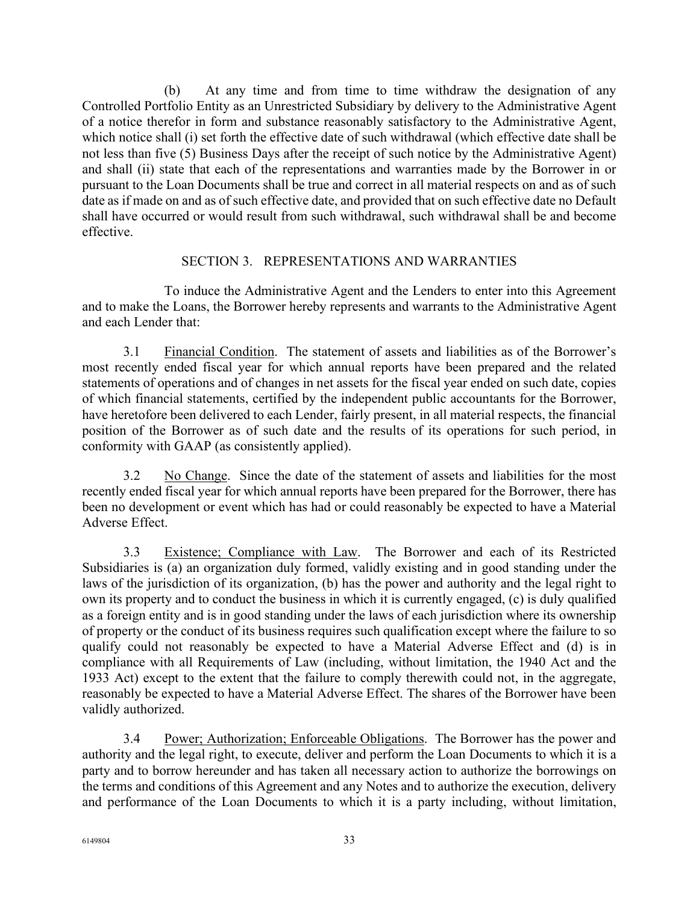(b) At any time and from time to time withdraw the designation of any Controlled Portfolio Entity as an Unrestricted Subsidiary by delivery to the Administrative Agent of a notice therefor in form and substance reasonably satisfactory to the Administrative Agent, which notice shall (i) set forth the effective date of such withdrawal (which effective date shall be not less than five (5) Business Days after the receipt of such notice by the Administrative Agent) and shall (ii) state that each of the representations and warranties made by the Borrower in or pursuant to the Loan Documents shall be true and correct in all material respects on and as of such date as if made on and as of such effective date, and provided that on such effective date no Default shall have occurred or would result from such withdrawal, such withdrawal shall be and become effective.

## SECTION 3. REPRESENTATIONS AND WARRANTIES

To induce the Administrative Agent and the Lenders to enter into this Agreement and to make the Loans, the Borrower hereby represents and warrants to the Administrative Agent and each Lender that:

3.1 Financial Condition. The statement of assets and liabilities as of the Borrower's most recently ended fiscal year for which annual reports have been prepared and the related statements of operations and of changes in net assets for the fiscal year ended on such date, copies of which financial statements, certified by the independent public accountants for the Borrower, have heretofore been delivered to each Lender, fairly present, in all material respects, the financial position of the Borrower as of such date and the results of its operations for such period, in conformity with GAAP (as consistently applied).

3.2 No Change. Since the date of the statement of assets and liabilities for the most recently ended fiscal year for which annual reports have been prepared for the Borrower, there has been no development or event which has had or could reasonably be expected to have a Material Adverse Effect.

3.3 Existence; Compliance with Law. The Borrower and each of its Restricted Subsidiaries is (a) an organization duly formed, validly existing and in good standing under the laws of the jurisdiction of its organization, (b) has the power and authority and the legal right to own its property and to conduct the business in which it is currently engaged, (c) is duly qualified as a foreign entity and is in good standing under the laws of each jurisdiction where its ownership of property or the conduct of its business requires such qualification except where the failure to so qualify could not reasonably be expected to have a Material Adverse Effect and (d) is in compliance with all Requirements of Law (including, without limitation, the 1940 Act and the 1933 Act) except to the extent that the failure to comply therewith could not, in the aggregate, reasonably be expected to have a Material Adverse Effect. The shares of the Borrower have been validly authorized.

3.4 Power; Authorization; Enforceable Obligations. The Borrower has the power and authority and the legal right, to execute, deliver and perform the Loan Documents to which it is a party and to borrow hereunder and has taken all necessary action to authorize the borrowings on the terms and conditions of this Agreement and any Notes and to authorize the execution, delivery and performance of the Loan Documents to which it is a party including, without limitation,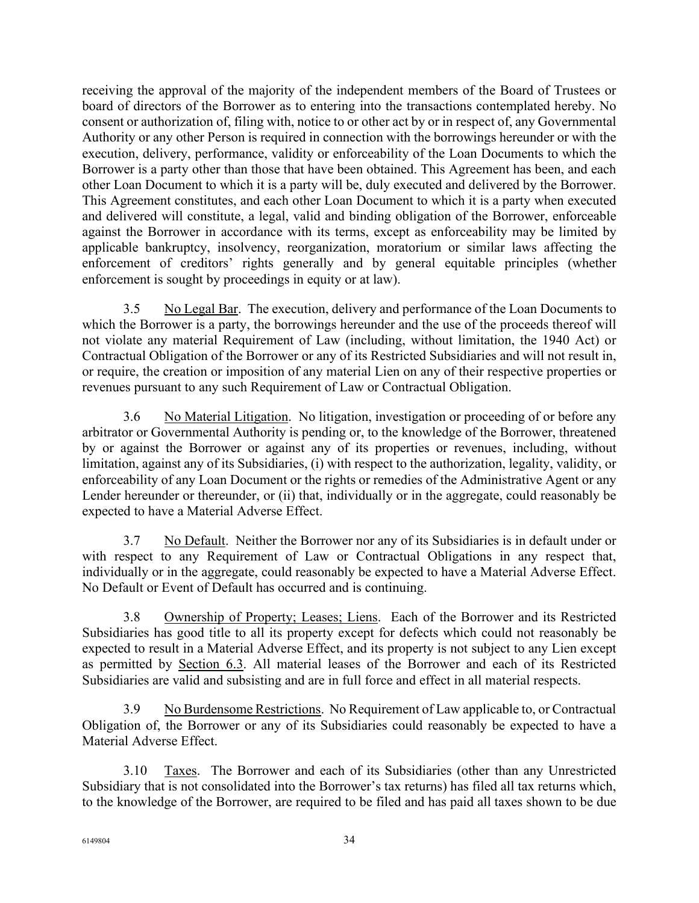receiving the approval of the majority of the independent members of the Board of Trustees or board of directors of the Borrower as to entering into the transactions contemplated hereby. No consent or authorization of, filing with, notice to or other act by or in respect of, any Governmental Authority or any other Person is required in connection with the borrowings hereunder or with the execution, delivery, performance, validity or enforceability of the Loan Documents to which the Borrower is a party other than those that have been obtained. This Agreement has been, and each other Loan Document to which it is a party will be, duly executed and delivered by the Borrower. This Agreement constitutes, and each other Loan Document to which it is a party when executed and delivered will constitute, a legal, valid and binding obligation of the Borrower, enforceable against the Borrower in accordance with its terms, except as enforceability may be limited by applicable bankruptcy, insolvency, reorganization, moratorium or similar laws affecting the enforcement of creditors' rights generally and by general equitable principles (whether enforcement is sought by proceedings in equity or at law).

3.5 No Legal Bar. The execution, delivery and performance of the Loan Documents to which the Borrower is a party, the borrowings hereunder and the use of the proceeds thereof will not violate any material Requirement of Law (including, without limitation, the 1940 Act) or Contractual Obligation of the Borrower or any of its Restricted Subsidiaries and will not result in, or require, the creation or imposition of any material Lien on any of their respective properties or revenues pursuant to any such Requirement of Law or Contractual Obligation.

3.6 No Material Litigation. No litigation, investigation or proceeding of or before any arbitrator or Governmental Authority is pending or, to the knowledge of the Borrower, threatened by or against the Borrower or against any of its properties or revenues, including, without limitation, against any of its Subsidiaries, (i) with respect to the authorization, legality, validity, or enforceability of any Loan Document or the rights or remedies of the Administrative Agent or any Lender hereunder or thereunder, or (ii) that, individually or in the aggregate, could reasonably be expected to have a Material Adverse Effect.

3.7 No Default. Neither the Borrower nor any of its Subsidiaries is in default under or with respect to any Requirement of Law or Contractual Obligations in any respect that, individually or in the aggregate, could reasonably be expected to have a Material Adverse Effect. No Default or Event of Default has occurred and is continuing.

3.8 Ownership of Property; Leases; Liens. Each of the Borrower and its Restricted Subsidiaries has good title to all its property except for defects which could not reasonably be expected to result in a Material Adverse Effect, and its property is not subject to any Lien except as permitted by Section 6.3. All material leases of the Borrower and each of its Restricted Subsidiaries are valid and subsisting and are in full force and effect in all material respects.

3.9 No Burdensome Restrictions. No Requirement of Law applicable to, or Contractual Obligation of, the Borrower or any of its Subsidiaries could reasonably be expected to have a Material Adverse Effect.

3.10 Taxes. The Borrower and each of its Subsidiaries (other than any Unrestricted Subsidiary that is not consolidated into the Borrower's tax returns) has filed all tax returns which, to the knowledge of the Borrower, are required to be filed and has paid all taxes shown to be due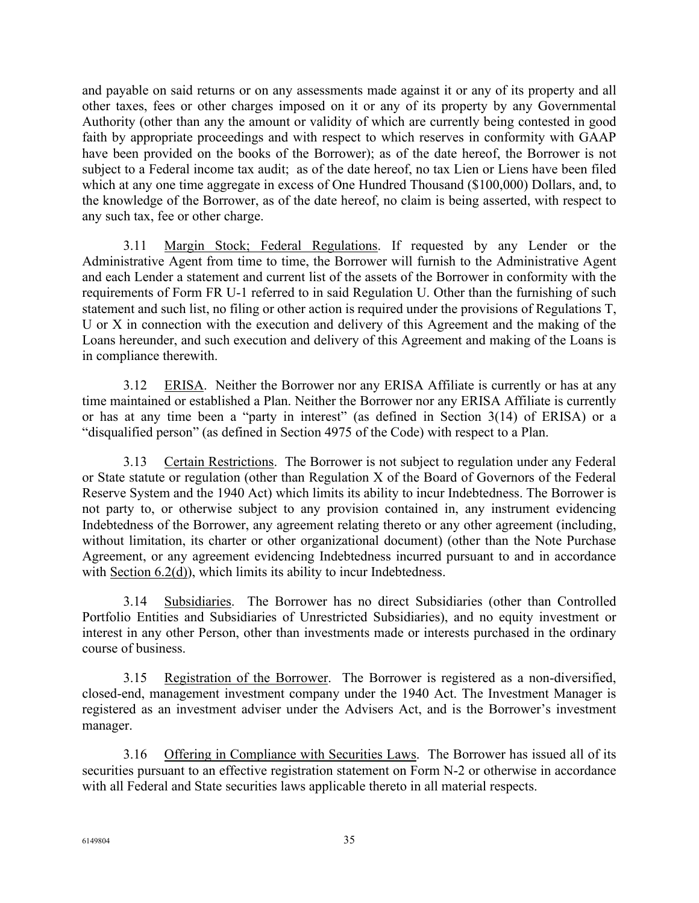and payable on said returns or on any assessments made against it or any of its property and all other taxes, fees or other charges imposed on it or any of its property by any Governmental Authority (other than any the amount or validity of which are currently being contested in good faith by appropriate proceedings and with respect to which reserves in conformity with GAAP have been provided on the books of the Borrower); as of the date hereof, the Borrower is not subject to a Federal income tax audit; as of the date hereof, no tax Lien or Liens have been filed which at any one time aggregate in excess of One Hundred Thousand (\$100,000) Dollars, and, to the knowledge of the Borrower, as of the date hereof, no claim is being asserted, with respect to any such tax, fee or other charge.

3.11 Margin Stock; Federal Regulations. If requested by any Lender or the Administrative Agent from time to time, the Borrower will furnish to the Administrative Agent and each Lender a statement and current list of the assets of the Borrower in conformity with the requirements of Form FR U-1 referred to in said Regulation U. Other than the furnishing of such statement and such list, no filing or other action is required under the provisions of Regulations T, U or X in connection with the execution and delivery of this Agreement and the making of the Loans hereunder, and such execution and delivery of this Agreement and making of the Loans is in compliance therewith.

3.12 ERISA. Neither the Borrower nor any ERISA Affiliate is currently or has at any time maintained or established a Plan. Neither the Borrower nor any ERISA Affiliate is currently or has at any time been a "party in interest" (as defined in Section 3(14) of ERISA) or a "disqualified person" (as defined in Section 4975 of the Code) with respect to a Plan.

3.13 Certain Restrictions. The Borrower is not subject to regulation under any Federal or State statute or regulation (other than Regulation X of the Board of Governors of the Federal Reserve System and the 1940 Act) which limits its ability to incur Indebtedness. The Borrower is not party to, or otherwise subject to any provision contained in, any instrument evidencing Indebtedness of the Borrower, any agreement relating thereto or any other agreement (including, without limitation, its charter or other organizational document) (other than the Note Purchase Agreement, or any agreement evidencing Indebtedness incurred pursuant to and in accordance with Section 6.2(d)), which limits its ability to incur Indebtedness.

3.14 Subsidiaries. The Borrower has no direct Subsidiaries (other than Controlled Portfolio Entities and Subsidiaries of Unrestricted Subsidiaries), and no equity investment or interest in any other Person, other than investments made or interests purchased in the ordinary course of business.

3.15 Registration of the Borrower. The Borrower is registered as a non-diversified, closed-end, management investment company under the 1940 Act. The Investment Manager is registered as an investment adviser under the Advisers Act, and is the Borrower's investment manager.

3.16 Offering in Compliance with Securities Laws. The Borrower has issued all of its securities pursuant to an effective registration statement on Form N-2 or otherwise in accordance with all Federal and State securities laws applicable thereto in all material respects.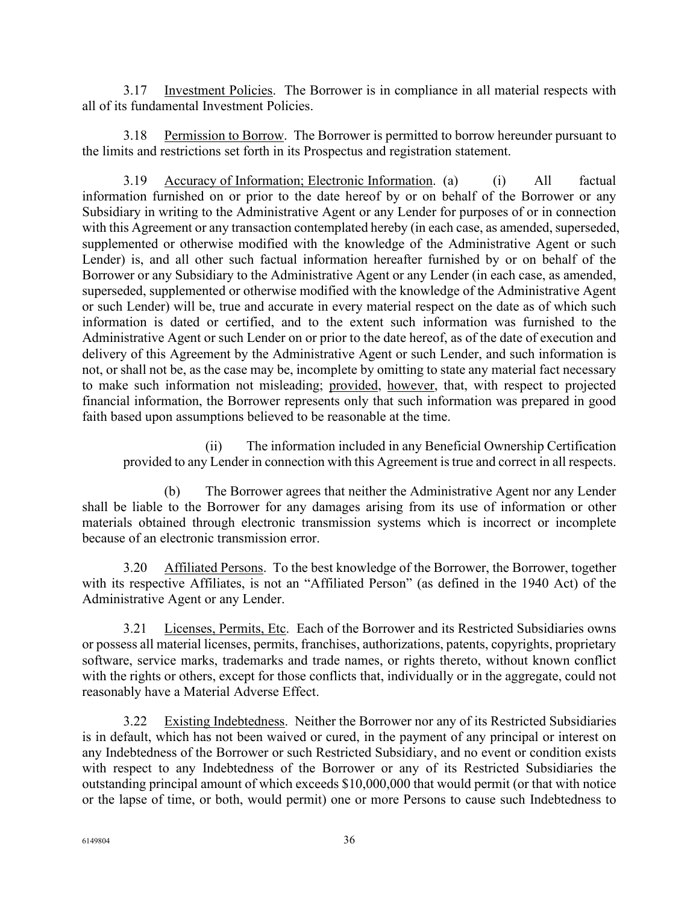3.17 Investment Policies. The Borrower is in compliance in all material respects with all of its fundamental Investment Policies.

Permission to Borrow. The Borrower is permitted to borrow hereunder pursuant to the limits and restrictions set forth in its Prospectus and registration statement.

3.19 Accuracy of Information; Electronic Information. (a) (i) All factual information furnished on or prior to the date hereof by or on behalf of the Borrower or any Subsidiary in writing to the Administrative Agent or any Lender for purposes of or in connection with this Agreement or any transaction contemplated hereby (in each case, as amended, superseded, supplemented or otherwise modified with the knowledge of the Administrative Agent or such Lender) is, and all other such factual information hereafter furnished by or on behalf of the Borrower or any Subsidiary to the Administrative Agent or any Lender (in each case, as amended, superseded, supplemented or otherwise modified with the knowledge of the Administrative Agent or such Lender) will be, true and accurate in every material respect on the date as of which such information is dated or certified, and to the extent such information was furnished to the Administrative Agent or such Lender on or prior to the date hereof, as of the date of execution and delivery of this Agreement by the Administrative Agent or such Lender, and such information is not, or shall not be, as the case may be, incomplete by omitting to state any material fact necessary to make such information not misleading; provided, however, that, with respect to projected financial information, the Borrower represents only that such information was prepared in good faith based upon assumptions believed to be reasonable at the time.

(ii) The information included in any Beneficial Ownership Certification provided to any Lender in connection with this Agreement is true and correct in all respects.

(b) The Borrower agrees that neither the Administrative Agent nor any Lender shall be liable to the Borrower for any damages arising from its use of information or other materials obtained through electronic transmission systems which is incorrect or incomplete because of an electronic transmission error.

3.20 Affiliated Persons. To the best knowledge of the Borrower, the Borrower, together with its respective Affiliates, is not an "Affiliated Person" (as defined in the 1940 Act) of the Administrative Agent or any Lender.

3.21 Licenses, Permits, Etc. Each of the Borrower and its Restricted Subsidiaries owns or possess all material licenses, permits, franchises, authorizations, patents, copyrights, proprietary software, service marks, trademarks and trade names, or rights thereto, without known conflict with the rights or others, except for those conflicts that, individually or in the aggregate, could not reasonably have a Material Adverse Effect.

3.22 Existing Indebtedness. Neither the Borrower nor any of its Restricted Subsidiaries is in default, which has not been waived or cured, in the payment of any principal or interest on any Indebtedness of the Borrower or such Restricted Subsidiary, and no event or condition exists with respect to any Indebtedness of the Borrower or any of its Restricted Subsidiaries the outstanding principal amount of which exceeds \$10,000,000 that would permit (or that with notice or the lapse of time, or both, would permit) one or more Persons to cause such Indebtedness to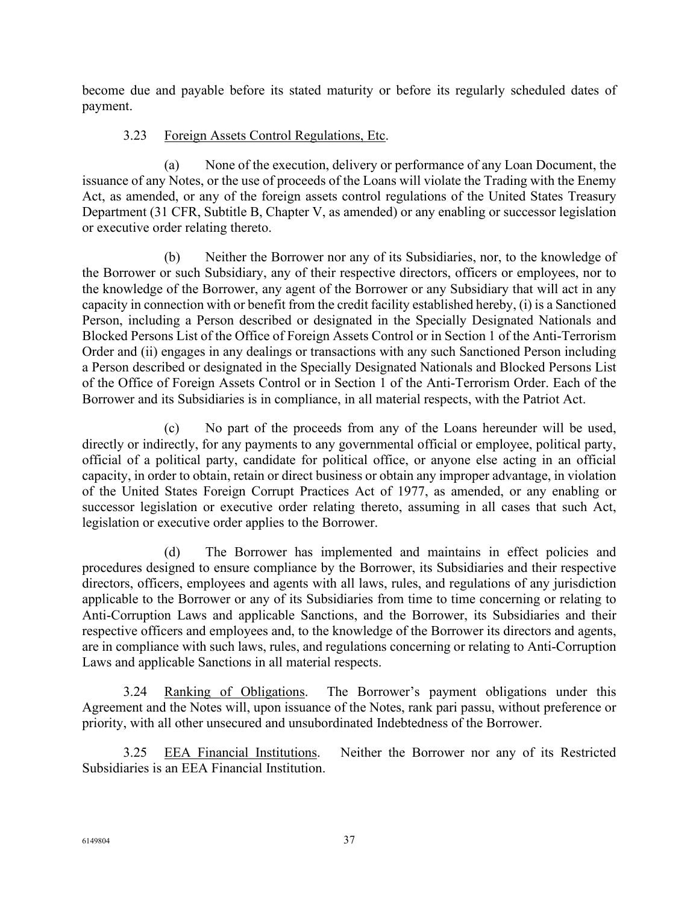become due and payable before its stated maturity or before its regularly scheduled dates of payment.

# 3.23 Foreign Assets Control Regulations, Etc.

(a) None of the execution, delivery or performance of any Loan Document, the issuance of any Notes, or the use of proceeds of the Loans will violate the Trading with the Enemy Act, as amended, or any of the foreign assets control regulations of the United States Treasury Department (31 CFR, Subtitle B, Chapter V, as amended) or any enabling or successor legislation or executive order relating thereto.

(b) Neither the Borrower nor any of its Subsidiaries, nor, to the knowledge of the Borrower or such Subsidiary, any of their respective directors, officers or employees, nor to the knowledge of the Borrower, any agent of the Borrower or any Subsidiary that will act in any capacity in connection with or benefit from the credit facility established hereby, (i) is a Sanctioned Person, including a Person described or designated in the Specially Designated Nationals and Blocked Persons List of the Office of Foreign Assets Control or in Section 1 of the Anti-Terrorism Order and (ii) engages in any dealings or transactions with any such Sanctioned Person including a Person described or designated in the Specially Designated Nationals and Blocked Persons List of the Office of Foreign Assets Control or in Section 1 of the Anti-Terrorism Order. Each of the Borrower and its Subsidiaries is in compliance, in all material respects, with the Patriot Act.

(c) No part of the proceeds from any of the Loans hereunder will be used, directly or indirectly, for any payments to any governmental official or employee, political party, official of a political party, candidate for political office, or anyone else acting in an official capacity, in order to obtain, retain or direct business or obtain any improper advantage, in violation of the United States Foreign Corrupt Practices Act of 1977, as amended, or any enabling or successor legislation or executive order relating thereto, assuming in all cases that such Act, legislation or executive order applies to the Borrower.

(d) The Borrower has implemented and maintains in effect policies and procedures designed to ensure compliance by the Borrower, its Subsidiaries and their respective directors, officers, employees and agents with all laws, rules, and regulations of any jurisdiction applicable to the Borrower or any of its Subsidiaries from time to time concerning or relating to Anti-Corruption Laws and applicable Sanctions, and the Borrower, its Subsidiaries and their respective officers and employees and, to the knowledge of the Borrower its directors and agents, are in compliance with such laws, rules, and regulations concerning or relating to Anti-Corruption Laws and applicable Sanctions in all material respects.

3.24 Ranking of Obligations. The Borrower's payment obligations under this Agreement and the Notes will, upon issuance of the Notes, rank pari passu, without preference or priority, with all other unsecured and unsubordinated Indebtedness of the Borrower.

3.25 EEA Financial Institutions. Neither the Borrower nor any of its Restricted Subsidiaries is an EEA Financial Institution.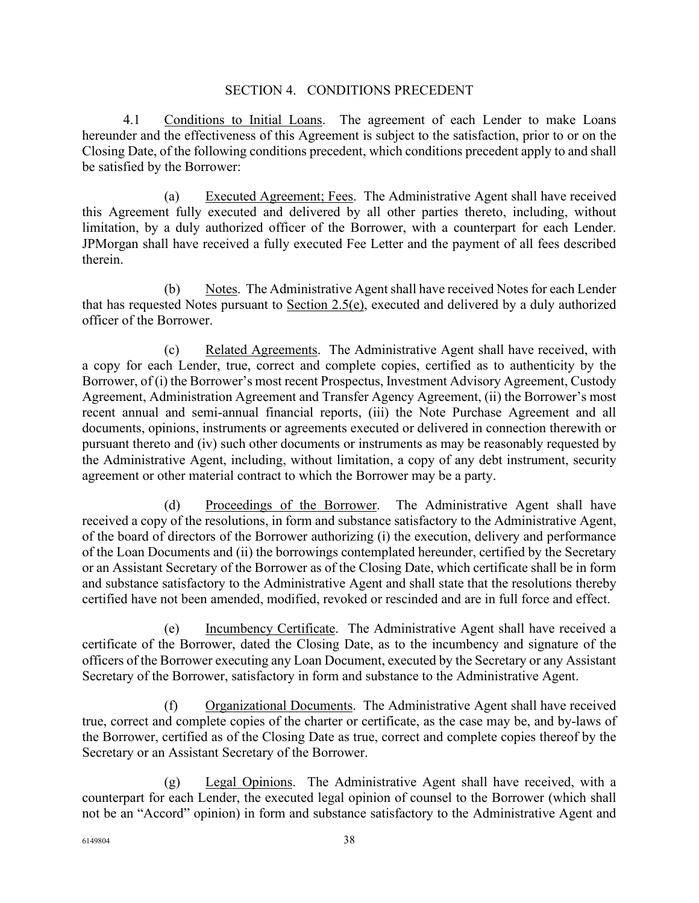### SECTION 4. CONDITIONS PRECEDENT

4.1 Conditions to Initial Loans. The agreement of each Lender to make Loans hereunder and the effectiveness of this Agreement is subject to the satisfaction, prior to or on the Closing Date, of the following conditions precedent, which conditions precedent apply to and shall be satisfied by the Borrower:

(a) Executed Agreement; Fees. The Administrative Agent shall have received this Agreement fully executed and delivered by all other parties thereto, including, without limitation, by a duly authorized officer of the Borrower, with a counterpart for each Lender. JPMorgan shall have received a fully executed Fee Letter and the payment of all fees described therein.

(b) Notes. The Administrative Agent shall have received Notes for each Lender that has requested Notes pursuant to Section 2.5(e), executed and delivered by a duly authorized officer of the Borrower.

(c) Related Agreements. The Administrative Agent shall have received, with a copy for each Lender, true, correct and complete copies, certified as to authenticity by the Borrower, of (i) the Borrower's most recent Prospectus, Investment Advisory Agreement, Custody Agreement, Administration Agreement and Transfer Agency Agreement, (ii) the Borrower's most recent annual and semi-annual financial reports, (iii) the Note Purchase Agreement and all documents, opinions, instruments or agreements executed or delivered in connection therewith or pursuant thereto and (iv) such other documents or instruments as may be reasonably requested by the Administrative Agent, including, without limitation, a copy of any debt instrument, security agreement or other material contract to which the Borrower may be a party.

(d) Proceedings of the Borrower. The Administrative Agent shall have received a copy of the resolutions, in form and substance satisfactory to the Administrative Agent, of the board of directors of the Borrower authorizing (i) the execution, delivery and performance of the Loan Documents and (ii) the borrowings contemplated hereunder, certified by the Secretary or an Assistant Secretary of the Borrower as of the Closing Date, which certificate shall be in form and substance satisfactory to the Administrative Agent and shall state that the resolutions thereby certified have not been amended, modified, revoked or rescinded and are in full force and effect.

(e) Incumbency Certificate. The Administrative Agent shall have received a certificate of the Borrower, dated the Closing Date, as to the incumbency and signature of the officers of the Borrower executing any Loan Document, executed by the Secretary or any Assistant Secretary of the Borrower, satisfactory in form and substance to the Administrative Agent.

(f) Organizational Documents. The Administrative Agent shall have received true, correct and complete copies of the charter or certificate, as the case may be, and by-laws of the Borrower, certified as of the Closing Date as true, correct and complete copies thereof by the Secretary or an Assistant Secretary of the Borrower.

(g) Legal Opinions. The Administrative Agent shall have received, with a counterpart for each Lender, the executed legal opinion of counsel to the Borrower (which shall not be an "Accord" opinion) in form and substance satisfactory to the Administrative Agent and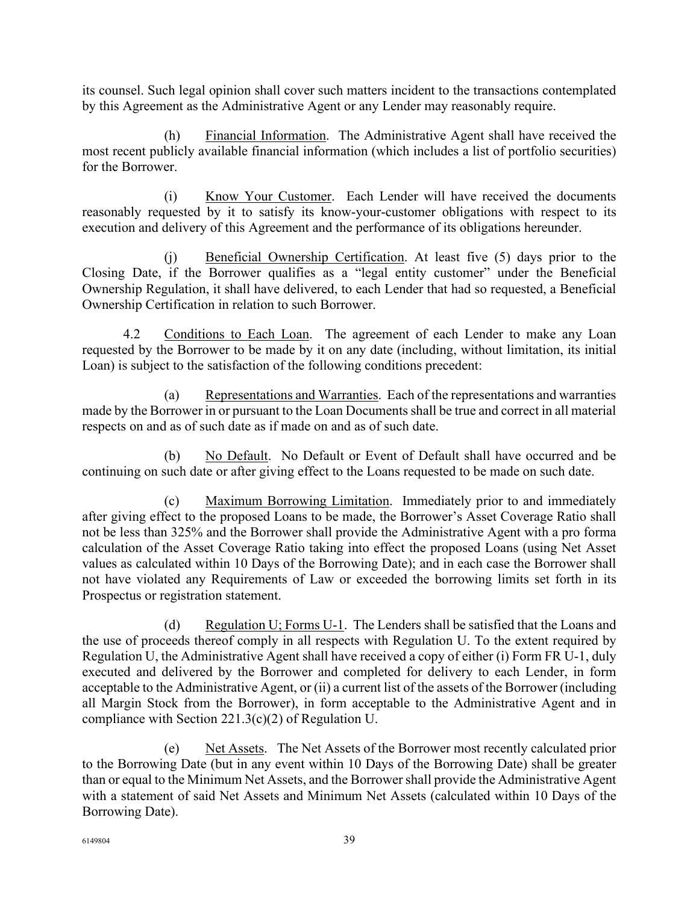its counsel. Such legal opinion shall cover such matters incident to the transactions contemplated by this Agreement as the Administrative Agent or any Lender may reasonably require.

(h) Financial Information. The Administrative Agent shall have received the most recent publicly available financial information (which includes a list of portfolio securities) for the Borrower.

(i) Know Your Customer. Each Lender will have received the documents reasonably requested by it to satisfy its know-your-customer obligations with respect to its execution and delivery of this Agreement and the performance of its obligations hereunder.

(j) Beneficial Ownership Certification. At least five (5) days prior to the Closing Date, if the Borrower qualifies as a "legal entity customer" under the Beneficial Ownership Regulation, it shall have delivered, to each Lender that had so requested, a Beneficial Ownership Certification in relation to such Borrower.

4.2 Conditions to Each Loan. The agreement of each Lender to make any Loan requested by the Borrower to be made by it on any date (including, without limitation, its initial Loan) is subject to the satisfaction of the following conditions precedent:

(a) Representations and Warranties. Each of the representations and warranties made by the Borrower in or pursuant to the Loan Documents shall be true and correct in all material respects on and as of such date as if made on and as of such date.

(b) No Default. No Default or Event of Default shall have occurred and be continuing on such date or after giving effect to the Loans requested to be made on such date.

(c) Maximum Borrowing Limitation. Immediately prior to and immediately after giving effect to the proposed Loans to be made, the Borrower's Asset Coverage Ratio shall not be less than 325% and the Borrower shall provide the Administrative Agent with a pro forma calculation of the Asset Coverage Ratio taking into effect the proposed Loans (using Net Asset values as calculated within 10 Days of the Borrowing Date); and in each case the Borrower shall not have violated any Requirements of Law or exceeded the borrowing limits set forth in its Prospectus or registration statement.

(d) Regulation U; Forms U-1. The Lenders shall be satisfied that the Loans and the use of proceeds thereof comply in all respects with Regulation U. To the extent required by Regulation U, the Administrative Agent shall have received a copy of either (i) Form FR U-1, duly executed and delivered by the Borrower and completed for delivery to each Lender, in form acceptable to the Administrative Agent, or (ii) a current list of the assets of the Borrower (including all Margin Stock from the Borrower), in form acceptable to the Administrative Agent and in compliance with Section 221.3(c)(2) of Regulation U.

(e) Net Assets. The Net Assets of the Borrower most recently calculated prior to the Borrowing Date (but in any event within 10 Days of the Borrowing Date) shall be greater than or equal to the Minimum Net Assets, and the Borrower shall provide the Administrative Agent with a statement of said Net Assets and Minimum Net Assets (calculated within 10 Days of the Borrowing Date).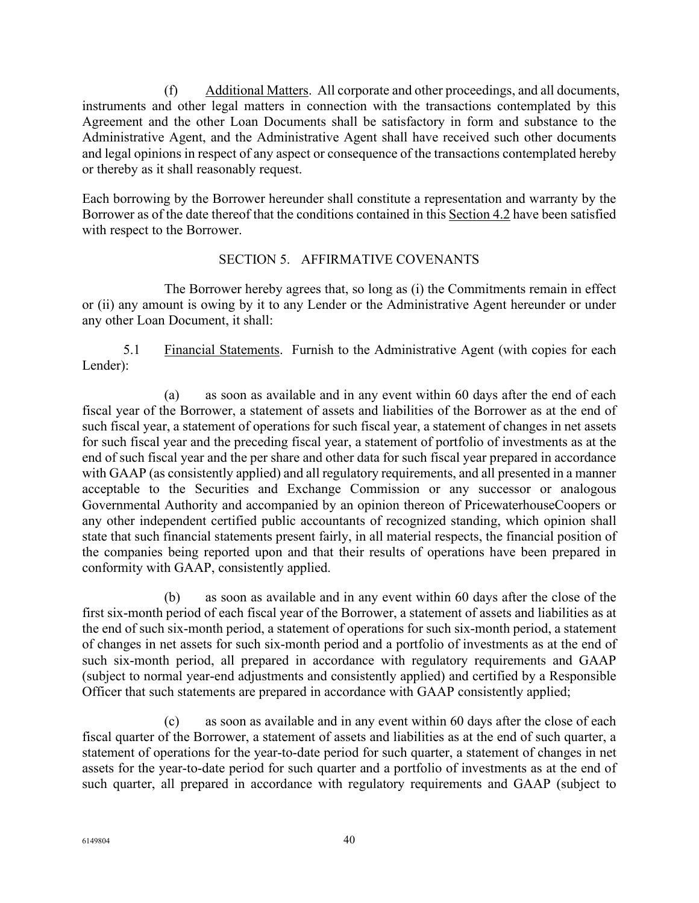(f) Additional Matters. All corporate and other proceedings, and all documents, instruments and other legal matters in connection with the transactions contemplated by this Agreement and the other Loan Documents shall be satisfactory in form and substance to the Administrative Agent, and the Administrative Agent shall have received such other documents and legal opinions in respect of any aspect or consequence of the transactions contemplated hereby or thereby as it shall reasonably request.

Each borrowing by the Borrower hereunder shall constitute a representation and warranty by the Borrower as of the date thereof that the conditions contained in this Section 4.2 have been satisfied with respect to the Borrower.

# SECTION 5. AFFIRMATIVE COVENANTS

The Borrower hereby agrees that, so long as (i) the Commitments remain in effect or (ii) any amount is owing by it to any Lender or the Administrative Agent hereunder or under any other Loan Document, it shall:

5.1 Financial Statements. Furnish to the Administrative Agent (with copies for each Lender):

(a) as soon as available and in any event within 60 days after the end of each fiscal year of the Borrower, a statement of assets and liabilities of the Borrower as at the end of such fiscal year, a statement of operations for such fiscal year, a statement of changes in net assets for such fiscal year and the preceding fiscal year, a statement of portfolio of investments as at the end of such fiscal year and the per share and other data for such fiscal year prepared in accordance with GAAP (as consistently applied) and all regulatory requirements, and all presented in a manner acceptable to the Securities and Exchange Commission or any successor or analogous Governmental Authority and accompanied by an opinion thereon of PricewaterhouseCoopers or any other independent certified public accountants of recognized standing, which opinion shall state that such financial statements present fairly, in all material respects, the financial position of the companies being reported upon and that their results of operations have been prepared in conformity with GAAP, consistently applied.

(b) as soon as available and in any event within 60 days after the close of the first six-month period of each fiscal year of the Borrower, a statement of assets and liabilities as at the end of such six-month period, a statement of operations for such six-month period, a statement of changes in net assets for such six-month period and a portfolio of investments as at the end of such six-month period, all prepared in accordance with regulatory requirements and GAAP (subject to normal year-end adjustments and consistently applied) and certified by a Responsible Officer that such statements are prepared in accordance with GAAP consistently applied;

(c) as soon as available and in any event within 60 days after the close of each fiscal quarter of the Borrower, a statement of assets and liabilities as at the end of such quarter, a statement of operations for the year-to-date period for such quarter, a statement of changes in net assets for the year-to-date period for such quarter and a portfolio of investments as at the end of such quarter, all prepared in accordance with regulatory requirements and GAAP (subject to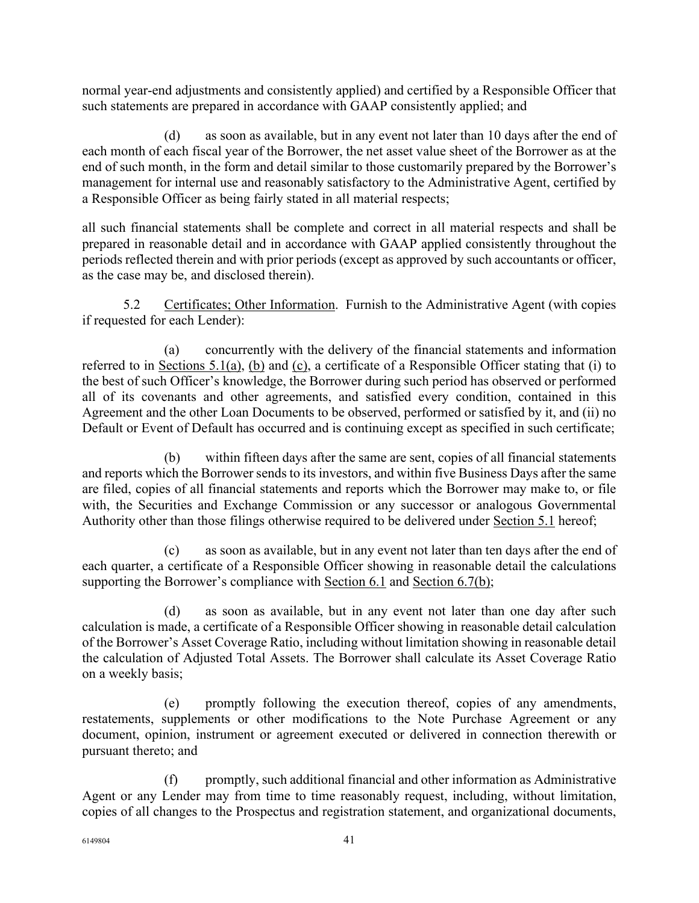normal year-end adjustments and consistently applied) and certified by a Responsible Officer that such statements are prepared in accordance with GAAP consistently applied; and

(d) as soon as available, but in any event not later than 10 days after the end of each month of each fiscal year of the Borrower, the net asset value sheet of the Borrower as at the end of such month, in the form and detail similar to those customarily prepared by the Borrower's management for internal use and reasonably satisfactory to the Administrative Agent, certified by a Responsible Officer as being fairly stated in all material respects;

all such financial statements shall be complete and correct in all material respects and shall be prepared in reasonable detail and in accordance with GAAP applied consistently throughout the periods reflected therein and with prior periods (except as approved by such accountants or officer, as the case may be, and disclosed therein).

5.2 Certificates; Other Information. Furnish to the Administrative Agent (with copies if requested for each Lender):

(a) concurrently with the delivery of the financial statements and information referred to in Sections 5.1(a), (b) and (c), a certificate of a Responsible Officer stating that (i) to the best of such Officer's knowledge, the Borrower during such period has observed or performed all of its covenants and other agreements, and satisfied every condition, contained in this Agreement and the other Loan Documents to be observed, performed or satisfied by it, and (ii) no Default or Event of Default has occurred and is continuing except as specified in such certificate;

(b) within fifteen days after the same are sent, copies of all financial statements and reports which the Borrower sends to its investors, and within five Business Days after the same are filed, copies of all financial statements and reports which the Borrower may make to, or file with, the Securities and Exchange Commission or any successor or analogous Governmental Authority other than those filings otherwise required to be delivered under Section 5.1 hereof;

(c) as soon as available, but in any event not later than ten days after the end of each quarter, a certificate of a Responsible Officer showing in reasonable detail the calculations supporting the Borrower's compliance with Section 6.1 and Section 6.7(b);

(d) as soon as available, but in any event not later than one day after such calculation is made, a certificate of a Responsible Officer showing in reasonable detail calculation of the Borrower's Asset Coverage Ratio, including without limitation showing in reasonable detail the calculation of Adjusted Total Assets. The Borrower shall calculate its Asset Coverage Ratio on a weekly basis;

(e) promptly following the execution thereof, copies of any amendments, restatements, supplements or other modifications to the Note Purchase Agreement or any document, opinion, instrument or agreement executed or delivered in connection therewith or pursuant thereto; and

(f) promptly, such additional financial and other information as Administrative Agent or any Lender may from time to time reasonably request, including, without limitation, copies of all changes to the Prospectus and registration statement, and organizational documents,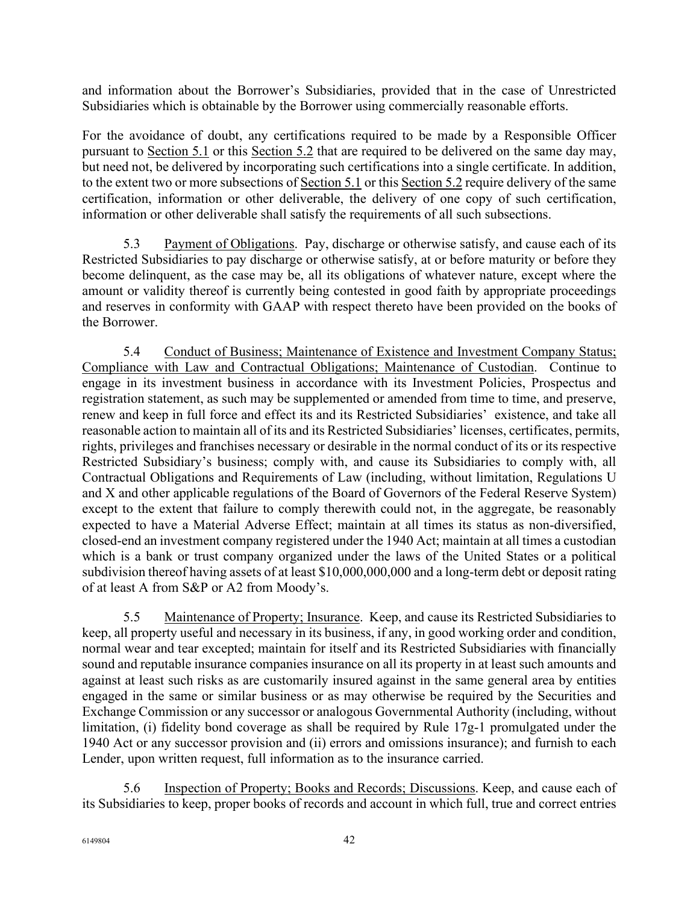and information about the Borrower's Subsidiaries, provided that in the case of Unrestricted Subsidiaries which is obtainable by the Borrower using commercially reasonable efforts.

For the avoidance of doubt, any certifications required to be made by a Responsible Officer pursuant to Section 5.1 or this Section 5.2 that are required to be delivered on the same day may, but need not, be delivered by incorporating such certifications into a single certificate. In addition, to the extent two or more subsections of Section 5.1 or this Section 5.2 require delivery of the same certification, information or other deliverable, the delivery of one copy of such certification, information or other deliverable shall satisfy the requirements of all such subsections.

5.3 Payment of Obligations. Pay, discharge or otherwise satisfy, and cause each of its Restricted Subsidiaries to pay discharge or otherwise satisfy, at or before maturity or before they become delinquent, as the case may be, all its obligations of whatever nature, except where the amount or validity thereof is currently being contested in good faith by appropriate proceedings and reserves in conformity with GAAP with respect thereto have been provided on the books of the Borrower.

5.4 Conduct of Business; Maintenance of Existence and Investment Company Status; Compliance with Law and Contractual Obligations; Maintenance of Custodian. Continue to engage in its investment business in accordance with its Investment Policies, Prospectus and registration statement, as such may be supplemented or amended from time to time, and preserve, renew and keep in full force and effect its and its Restricted Subsidiaries' existence, and take all reasonable action to maintain all of its and its Restricted Subsidiaries' licenses, certificates, permits, rights, privileges and franchises necessary or desirable in the normal conduct of its or its respective Restricted Subsidiary's business; comply with, and cause its Subsidiaries to comply with, all Contractual Obligations and Requirements of Law (including, without limitation, Regulations U and X and other applicable regulations of the Board of Governors of the Federal Reserve System) except to the extent that failure to comply therewith could not, in the aggregate, be reasonably expected to have a Material Adverse Effect; maintain at all times its status as non-diversified, closed-end an investment company registered under the 1940 Act; maintain at all times a custodian which is a bank or trust company organized under the laws of the United States or a political subdivision thereof having assets of at least \$10,000,000,000 and a long-term debt or deposit rating of at least A from S&P or A2 from Moody's.

5.5 Maintenance of Property; Insurance. Keep, and cause its Restricted Subsidiaries to keep, all property useful and necessary in its business, if any, in good working order and condition, normal wear and tear excepted; maintain for itself and its Restricted Subsidiaries with financially sound and reputable insurance companies insurance on all its property in at least such amounts and against at least such risks as are customarily insured against in the same general area by entities engaged in the same or similar business or as may otherwise be required by the Securities and Exchange Commission or any successor or analogous Governmental Authority (including, without limitation, (i) fidelity bond coverage as shall be required by Rule 17g-1 promulgated under the 1940 Act or any successor provision and (ii) errors and omissions insurance); and furnish to each Lender, upon written request, full information as to the insurance carried.

5.6 Inspection of Property; Books and Records; Discussions. Keep, and cause each of its Subsidiaries to keep, proper books of records and account in which full, true and correct entries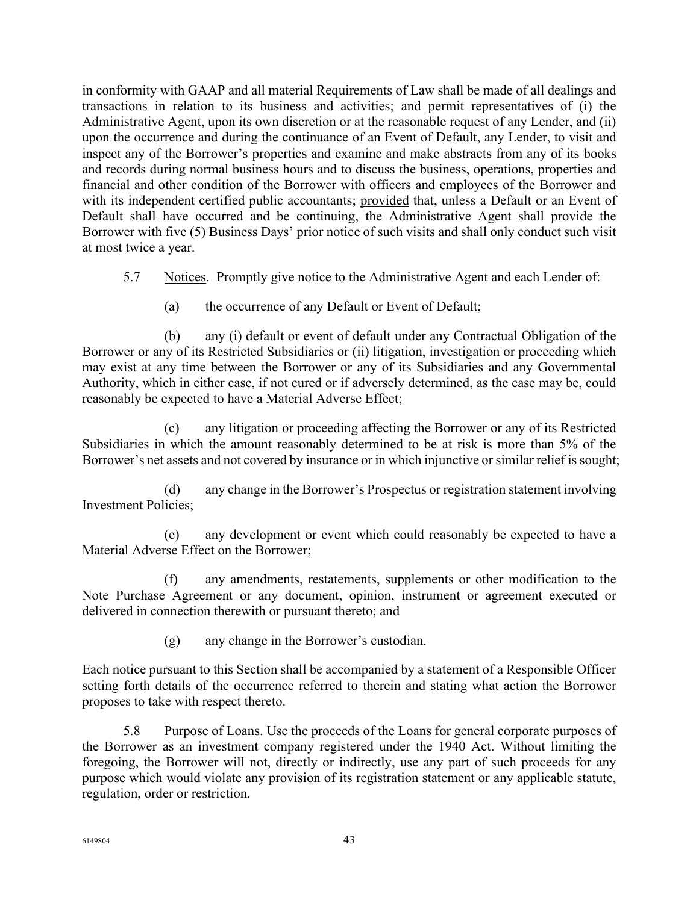in conformity with GAAP and all material Requirements of Law shall be made of all dealings and transactions in relation to its business and activities; and permit representatives of (i) the Administrative Agent, upon its own discretion or at the reasonable request of any Lender, and (ii) upon the occurrence and during the continuance of an Event of Default, any Lender, to visit and inspect any of the Borrower's properties and examine and make abstracts from any of its books and records during normal business hours and to discuss the business, operations, properties and financial and other condition of the Borrower with officers and employees of the Borrower and with its independent certified public accountants; provided that, unless a Default or an Event of Default shall have occurred and be continuing, the Administrative Agent shall provide the Borrower with five (5) Business Days' prior notice of such visits and shall only conduct such visit at most twice a year.

5.7 Notices. Promptly give notice to the Administrative Agent and each Lender of:

(a) the occurrence of any Default or Event of Default;

(b) any (i) default or event of default under any Contractual Obligation of the Borrower or any of its Restricted Subsidiaries or (ii) litigation, investigation or proceeding which may exist at any time between the Borrower or any of its Subsidiaries and any Governmental Authority, which in either case, if not cured or if adversely determined, as the case may be, could reasonably be expected to have a Material Adverse Effect;

(c) any litigation or proceeding affecting the Borrower or any of its Restricted Subsidiaries in which the amount reasonably determined to be at risk is more than 5% of the Borrower's net assets and not covered by insurance or in which injunctive or similar relief is sought;

(d) any change in the Borrower's Prospectus or registration statement involving Investment Policies;

(e) any development or event which could reasonably be expected to have a Material Adverse Effect on the Borrower;

(f) any amendments, restatements, supplements or other modification to the Note Purchase Agreement or any document, opinion, instrument or agreement executed or delivered in connection therewith or pursuant thereto; and

(g) any change in the Borrower's custodian.

Each notice pursuant to this Section shall be accompanied by a statement of a Responsible Officer setting forth details of the occurrence referred to therein and stating what action the Borrower proposes to take with respect thereto.

5.8 Purpose of Loans. Use the proceeds of the Loans for general corporate purposes of the Borrower as an investment company registered under the 1940 Act. Without limiting the foregoing, the Borrower will not, directly or indirectly, use any part of such proceeds for any purpose which would violate any provision of its registration statement or any applicable statute, regulation, order or restriction.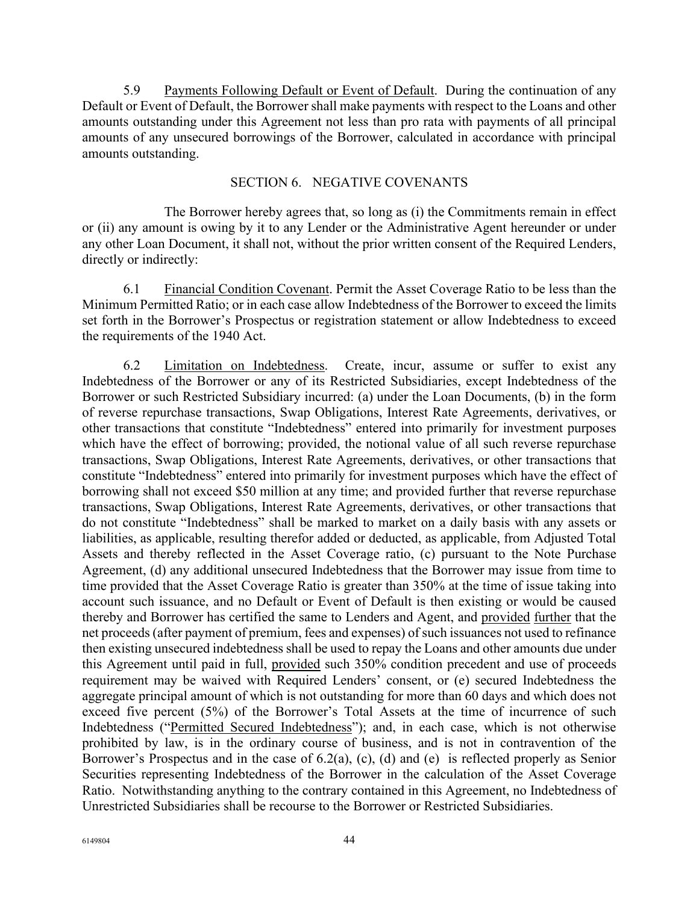5.9 Payments Following Default or Event of Default. During the continuation of any Default or Event of Default, the Borrower shall make payments with respect to the Loans and other amounts outstanding under this Agreement not less than pro rata with payments of all principal amounts of any unsecured borrowings of the Borrower, calculated in accordance with principal amounts outstanding.

## SECTION 6. NEGATIVE COVENANTS

The Borrower hereby agrees that, so long as (i) the Commitments remain in effect or (ii) any amount is owing by it to any Lender or the Administrative Agent hereunder or under any other Loan Document, it shall not, without the prior written consent of the Required Lenders, directly or indirectly:

6.1 Financial Condition Covenant. Permit the Asset Coverage Ratio to be less than the Minimum Permitted Ratio; or in each case allow Indebtedness of the Borrower to exceed the limits set forth in the Borrower's Prospectus or registration statement or allow Indebtedness to exceed the requirements of the 1940 Act.

6.2 Limitation on Indebtedness. Create, incur, assume or suffer to exist any Indebtedness of the Borrower or any of its Restricted Subsidiaries, except Indebtedness of the Borrower or such Restricted Subsidiary incurred: (a) under the Loan Documents, (b) in the form of reverse repurchase transactions, Swap Obligations, Interest Rate Agreements, derivatives, or other transactions that constitute "Indebtedness" entered into primarily for investment purposes which have the effect of borrowing; provided, the notional value of all such reverse repurchase transactions, Swap Obligations, Interest Rate Agreements, derivatives, or other transactions that constitute "Indebtedness" entered into primarily for investment purposes which have the effect of borrowing shall not exceed \$50 million at any time; and provided further that reverse repurchase transactions, Swap Obligations, Interest Rate Agreements, derivatives, or other transactions that do not constitute "Indebtedness" shall be marked to market on a daily basis with any assets or liabilities, as applicable, resulting therefor added or deducted, as applicable, from Adjusted Total Assets and thereby reflected in the Asset Coverage ratio, (c) pursuant to the Note Purchase Agreement, (d) any additional unsecured Indebtedness that the Borrower may issue from time to time provided that the Asset Coverage Ratio is greater than 350% at the time of issue taking into account such issuance, and no Default or Event of Default is then existing or would be caused thereby and Borrower has certified the same to Lenders and Agent, and provided further that the net proceeds (after payment of premium, fees and expenses) of such issuances not used to refinance then existing unsecured indebtedness shall be used to repay the Loans and other amounts due under this Agreement until paid in full, provided such 350% condition precedent and use of proceeds requirement may be waived with Required Lenders' consent, or (e) secured Indebtedness the aggregate principal amount of which is not outstanding for more than 60 days and which does not exceed five percent (5%) of the Borrower's Total Assets at the time of incurrence of such Indebtedness ("Permitted Secured Indebtedness"); and, in each case, which is not otherwise prohibited by law, is in the ordinary course of business, and is not in contravention of the Borrower's Prospectus and in the case of 6.2(a), (c), (d) and (e) is reflected properly as Senior Securities representing Indebtedness of the Borrower in the calculation of the Asset Coverage Ratio. Notwithstanding anything to the contrary contained in this Agreement, no Indebtedness of Unrestricted Subsidiaries shall be recourse to the Borrower or Restricted Subsidiaries.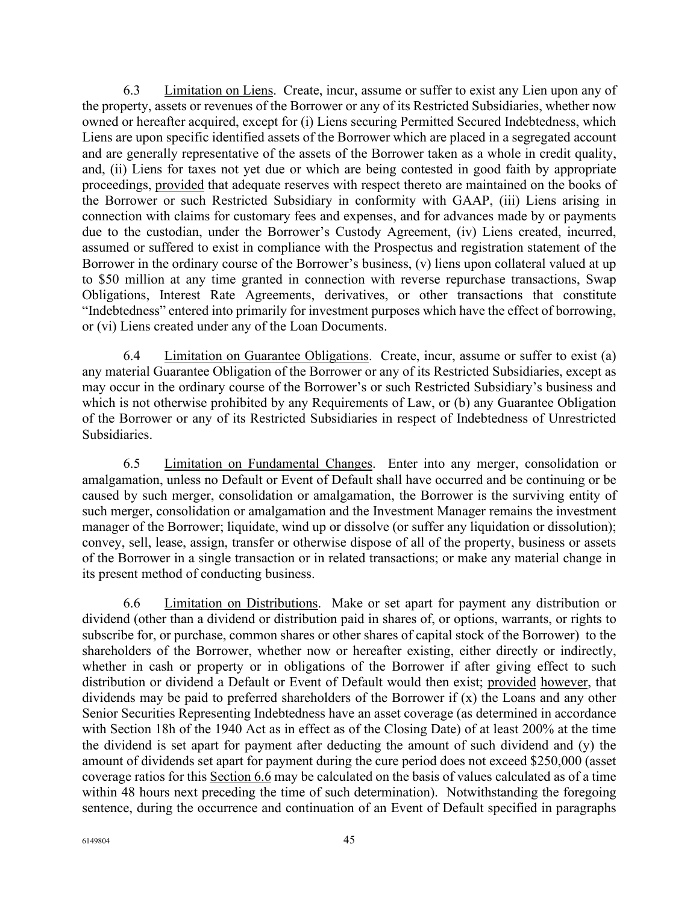6.3 Limitation on Liens. Create, incur, assume or suffer to exist any Lien upon any of the property, assets or revenues of the Borrower or any of its Restricted Subsidiaries, whether now owned or hereafter acquired, except for (i) Liens securing Permitted Secured Indebtedness, which Liens are upon specific identified assets of the Borrower which are placed in a segregated account and are generally representative of the assets of the Borrower taken as a whole in credit quality, and, (ii) Liens for taxes not yet due or which are being contested in good faith by appropriate proceedings, provided that adequate reserves with respect thereto are maintained on the books of the Borrower or such Restricted Subsidiary in conformity with GAAP, (iii) Liens arising in connection with claims for customary fees and expenses, and for advances made by or payments due to the custodian, under the Borrower's Custody Agreement, (iv) Liens created, incurred, assumed or suffered to exist in compliance with the Prospectus and registration statement of the Borrower in the ordinary course of the Borrower's business, (v) liens upon collateral valued at up to \$50 million at any time granted in connection with reverse repurchase transactions, Swap Obligations, Interest Rate Agreements, derivatives, or other transactions that constitute "Indebtedness" entered into primarily for investment purposes which have the effect of borrowing, or (vi) Liens created under any of the Loan Documents.

6.4 Limitation on Guarantee Obligations. Create, incur, assume or suffer to exist (a) any material Guarantee Obligation of the Borrower or any of its Restricted Subsidiaries, except as may occur in the ordinary course of the Borrower's or such Restricted Subsidiary's business and which is not otherwise prohibited by any Requirements of Law, or (b) any Guarantee Obligation of the Borrower or any of its Restricted Subsidiaries in respect of Indebtedness of Unrestricted Subsidiaries.

6.5 Limitation on Fundamental Changes. Enter into any merger, consolidation or amalgamation, unless no Default or Event of Default shall have occurred and be continuing or be caused by such merger, consolidation or amalgamation, the Borrower is the surviving entity of such merger, consolidation or amalgamation and the Investment Manager remains the investment manager of the Borrower; liquidate, wind up or dissolve (or suffer any liquidation or dissolution); convey, sell, lease, assign, transfer or otherwise dispose of all of the property, business or assets of the Borrower in a single transaction or in related transactions; or make any material change in its present method of conducting business.

6.6 Limitation on Distributions. Make or set apart for payment any distribution or dividend (other than a dividend or distribution paid in shares of, or options, warrants, or rights to subscribe for, or purchase, common shares or other shares of capital stock of the Borrower) to the shareholders of the Borrower, whether now or hereafter existing, either directly or indirectly, whether in cash or property or in obligations of the Borrower if after giving effect to such distribution or dividend a Default or Event of Default would then exist; provided however, that dividends may be paid to preferred shareholders of the Borrower if (x) the Loans and any other Senior Securities Representing Indebtedness have an asset coverage (as determined in accordance with Section 18h of the 1940 Act as in effect as of the Closing Date) of at least 200% at the time the dividend is set apart for payment after deducting the amount of such dividend and (y) the amount of dividends set apart for payment during the cure period does not exceed \$250,000 (asset coverage ratios for this Section 6.6 may be calculated on the basis of values calculated as of a time within 48 hours next preceding the time of such determination). Notwithstanding the foregoing sentence, during the occurrence and continuation of an Event of Default specified in paragraphs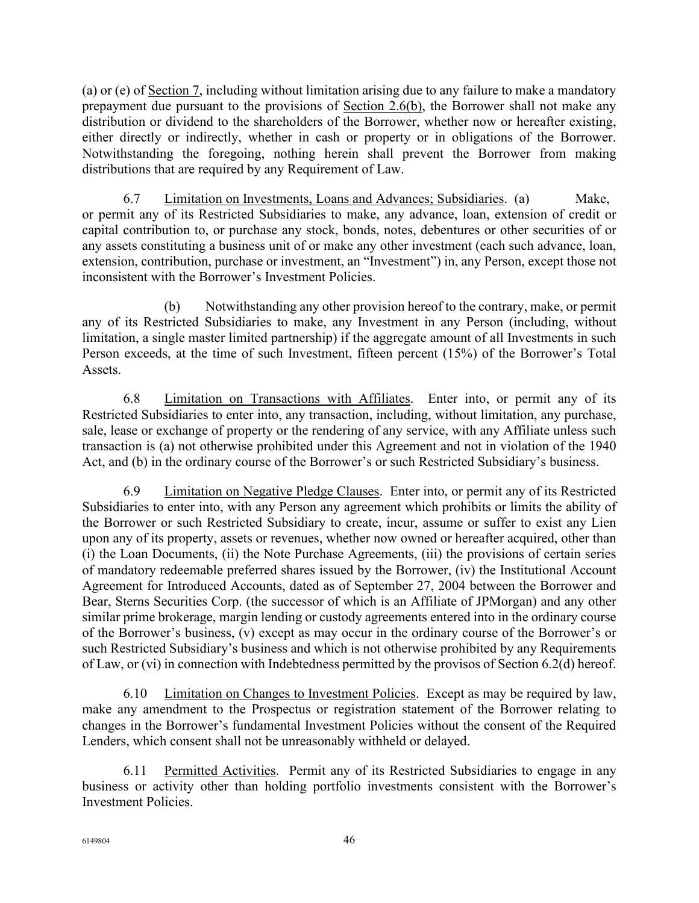(a) or (e) of Section 7, including without limitation arising due to any failure to make a mandatory prepayment due pursuant to the provisions of Section 2.6(b), the Borrower shall not make any distribution or dividend to the shareholders of the Borrower, whether now or hereafter existing, either directly or indirectly, whether in cash or property or in obligations of the Borrower. Notwithstanding the foregoing, nothing herein shall prevent the Borrower from making distributions that are required by any Requirement of Law.

6.7 Limitation on Investments, Loans and Advances; Subsidiaries. (a) Make, or permit any of its Restricted Subsidiaries to make, any advance, loan, extension of credit or capital contribution to, or purchase any stock, bonds, notes, debentures or other securities of or any assets constituting a business unit of or make any other investment (each such advance, loan, extension, contribution, purchase or investment, an "Investment") in, any Person, except those not inconsistent with the Borrower's Investment Policies.

(b) Notwithstanding any other provision hereof to the contrary, make, or permit any of its Restricted Subsidiaries to make, any Investment in any Person (including, without limitation, a single master limited partnership) if the aggregate amount of all Investments in such Person exceeds, at the time of such Investment, fifteen percent (15%) of the Borrower's Total Assets.

6.8 Limitation on Transactions with Affiliates. Enter into, or permit any of its Restricted Subsidiaries to enter into, any transaction, including, without limitation, any purchase, sale, lease or exchange of property or the rendering of any service, with any Affiliate unless such transaction is (a) not otherwise prohibited under this Agreement and not in violation of the 1940 Act, and (b) in the ordinary course of the Borrower's or such Restricted Subsidiary's business.

6.9 Limitation on Negative Pledge Clauses. Enter into, or permit any of its Restricted Subsidiaries to enter into, with any Person any agreement which prohibits or limits the ability of the Borrower or such Restricted Subsidiary to create, incur, assume or suffer to exist any Lien upon any of its property, assets or revenues, whether now owned or hereafter acquired, other than (i) the Loan Documents, (ii) the Note Purchase Agreements, (iii) the provisions of certain series of mandatory redeemable preferred shares issued by the Borrower, (iv) the Institutional Account Agreement for Introduced Accounts, dated as of September 27, 2004 between the Borrower and Bear, Sterns Securities Corp. (the successor of which is an Affiliate of JPMorgan) and any other similar prime brokerage, margin lending or custody agreements entered into in the ordinary course of the Borrower's business, (v) except as may occur in the ordinary course of the Borrower's or such Restricted Subsidiary's business and which is not otherwise prohibited by any Requirements of Law, or (vi) in connection with Indebtedness permitted by the provisos of Section 6.2(d) hereof.

6.10 Limitation on Changes to Investment Policies. Except as may be required by law, make any amendment to the Prospectus or registration statement of the Borrower relating to changes in the Borrower's fundamental Investment Policies without the consent of the Required Lenders, which consent shall not be unreasonably withheld or delayed.

6.11 Permitted Activities. Permit any of its Restricted Subsidiaries to engage in any business or activity other than holding portfolio investments consistent with the Borrower's Investment Policies.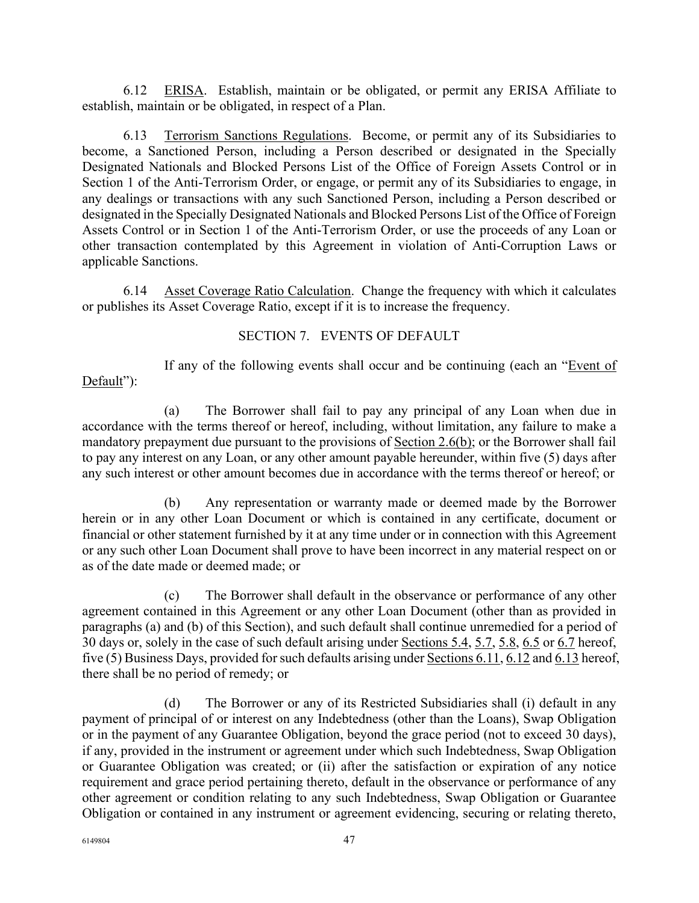6.12 ERISA. Establish, maintain or be obligated, or permit any ERISA Affiliate to establish, maintain or be obligated, in respect of a Plan.

6.13 Terrorism Sanctions Regulations. Become, or permit any of its Subsidiaries to become, a Sanctioned Person, including a Person described or designated in the Specially Designated Nationals and Blocked Persons List of the Office of Foreign Assets Control or in Section 1 of the Anti-Terrorism Order, or engage, or permit any of its Subsidiaries to engage, in any dealings or transactions with any such Sanctioned Person, including a Person described or designated in the Specially Designated Nationals and Blocked Persons List of the Office of Foreign Assets Control or in Section 1 of the Anti-Terrorism Order, or use the proceeds of any Loan or other transaction contemplated by this Agreement in violation of Anti-Corruption Laws or applicable Sanctions.

6.14 Asset Coverage Ratio Calculation. Change the frequency with which it calculates or publishes its Asset Coverage Ratio, except if it is to increase the frequency.

## SECTION 7. EVENTS OF DEFAULT

If any of the following events shall occur and be continuing (each an "Event of Default":

(a) The Borrower shall fail to pay any principal of any Loan when due in accordance with the terms thereof or hereof, including, without limitation, any failure to make a mandatory prepayment due pursuant to the provisions of Section 2.6(b); or the Borrower shall fail to pay any interest on any Loan, or any other amount payable hereunder, within five (5) days after any such interest or other amount becomes due in accordance with the terms thereof or hereof; or

(b) Any representation or warranty made or deemed made by the Borrower herein or in any other Loan Document or which is contained in any certificate, document or financial or other statement furnished by it at any time under or in connection with this Agreement or any such other Loan Document shall prove to have been incorrect in any material respect on or as of the date made or deemed made; or

(c) The Borrower shall default in the observance or performance of any other agreement contained in this Agreement or any other Loan Document (other than as provided in paragraphs (a) and (b) of this Section), and such default shall continue unremedied for a period of 30 days or, solely in the case of such default arising under Sections 5.4, 5.7, 5.8, 6.5 or 6.7 hereof, five (5) Business Days, provided for such defaults arising under Sections 6.11, 6.12 and 6.13 hereof, there shall be no period of remedy; or

(d) The Borrower or any of its Restricted Subsidiaries shall (i) default in any payment of principal of or interest on any Indebtedness (other than the Loans), Swap Obligation or in the payment of any Guarantee Obligation, beyond the grace period (not to exceed 30 days), if any, provided in the instrument or agreement under which such Indebtedness, Swap Obligation or Guarantee Obligation was created; or (ii) after the satisfaction or expiration of any notice requirement and grace period pertaining thereto, default in the observance or performance of any other agreement or condition relating to any such Indebtedness, Swap Obligation or Guarantee Obligation or contained in any instrument or agreement evidencing, securing or relating thereto,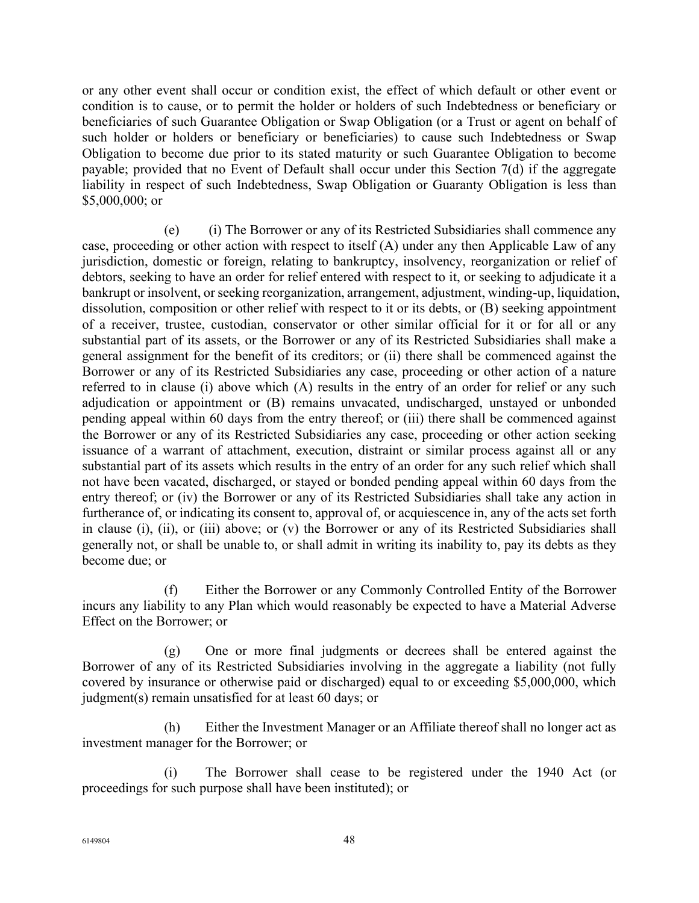or any other event shall occur or condition exist, the effect of which default or other event or condition is to cause, or to permit the holder or holders of such Indebtedness or beneficiary or beneficiaries of such Guarantee Obligation or Swap Obligation (or a Trust or agent on behalf of such holder or holders or beneficiary or beneficiaries) to cause such Indebtedness or Swap Obligation to become due prior to its stated maturity or such Guarantee Obligation to become payable; provided that no Event of Default shall occur under this Section 7(d) if the aggregate liability in respect of such Indebtedness, Swap Obligation or Guaranty Obligation is less than \$5,000,000; or

(e) (i) The Borrower or any of its Restricted Subsidiaries shall commence any case, proceeding or other action with respect to itself (A) under any then Applicable Law of any jurisdiction, domestic or foreign, relating to bankruptcy, insolvency, reorganization or relief of debtors, seeking to have an order for relief entered with respect to it, or seeking to adjudicate it a bankrupt or insolvent, or seeking reorganization, arrangement, adjustment, winding-up, liquidation, dissolution, composition or other relief with respect to it or its debts, or (B) seeking appointment of a receiver, trustee, custodian, conservator or other similar official for it or for all or any substantial part of its assets, or the Borrower or any of its Restricted Subsidiaries shall make a general assignment for the benefit of its creditors; or (ii) there shall be commenced against the Borrower or any of its Restricted Subsidiaries any case, proceeding or other action of a nature referred to in clause (i) above which (A) results in the entry of an order for relief or any such adjudication or appointment or (B) remains unvacated, undischarged, unstayed or unbonded pending appeal within 60 days from the entry thereof; or (iii) there shall be commenced against the Borrower or any of its Restricted Subsidiaries any case, proceeding or other action seeking issuance of a warrant of attachment, execution, distraint or similar process against all or any substantial part of its assets which results in the entry of an order for any such relief which shall not have been vacated, discharged, or stayed or bonded pending appeal within 60 days from the entry thereof; or (iv) the Borrower or any of its Restricted Subsidiaries shall take any action in furtherance of, or indicating its consent to, approval of, or acquiescence in, any of the acts set forth in clause (i), (ii), or (iii) above; or (v) the Borrower or any of its Restricted Subsidiaries shall generally not, or shall be unable to, or shall admit in writing its inability to, pay its debts as they become due; or

(f) Either the Borrower or any Commonly Controlled Entity of the Borrower incurs any liability to any Plan which would reasonably be expected to have a Material Adverse Effect on the Borrower; or

(g) One or more final judgments or decrees shall be entered against the Borrower of any of its Restricted Subsidiaries involving in the aggregate a liability (not fully covered by insurance or otherwise paid or discharged) equal to or exceeding \$5,000,000, which judgment(s) remain unsatisfied for at least 60 days; or

(h) Either the Investment Manager or an Affiliate thereof shall no longer act as investment manager for the Borrower; or

(i) The Borrower shall cease to be registered under the 1940 Act (or proceedings for such purpose shall have been instituted); or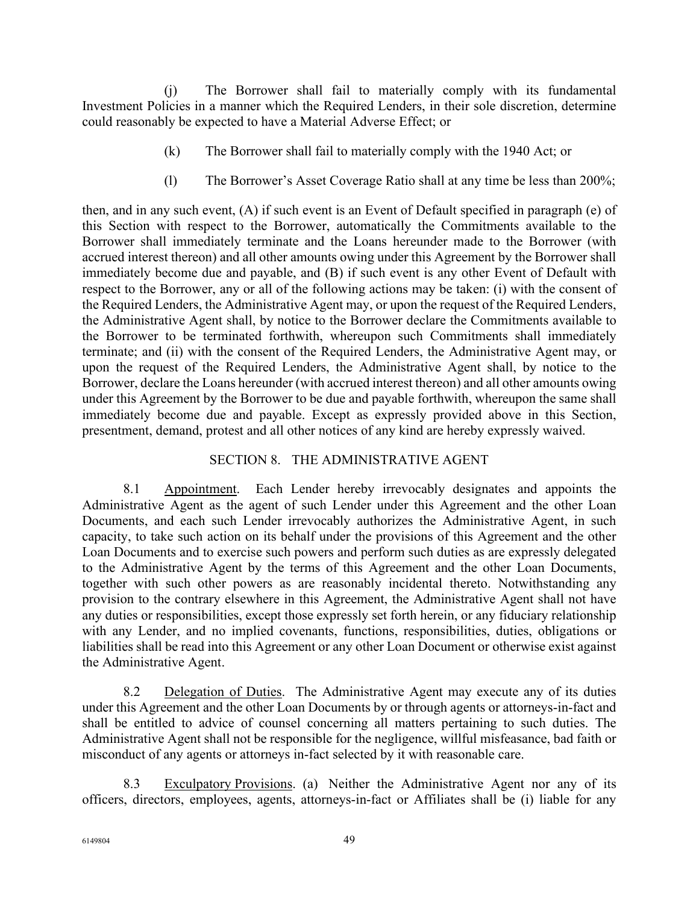(j) The Borrower shall fail to materially comply with its fundamental Investment Policies in a manner which the Required Lenders, in their sole discretion, determine could reasonably be expected to have a Material Adverse Effect; or

- (k) The Borrower shall fail to materially comply with the 1940 Act; or
- (l) The Borrower's Asset Coverage Ratio shall at any time be less than 200%;

then, and in any such event, (A) if such event is an Event of Default specified in paragraph (e) of this Section with respect to the Borrower, automatically the Commitments available to the Borrower shall immediately terminate and the Loans hereunder made to the Borrower (with accrued interest thereon) and all other amounts owing under this Agreement by the Borrower shall immediately become due and payable, and (B) if such event is any other Event of Default with respect to the Borrower, any or all of the following actions may be taken: (i) with the consent of the Required Lenders, the Administrative Agent may, or upon the request of the Required Lenders, the Administrative Agent shall, by notice to the Borrower declare the Commitments available to the Borrower to be terminated forthwith, whereupon such Commitments shall immediately terminate; and (ii) with the consent of the Required Lenders, the Administrative Agent may, or upon the request of the Required Lenders, the Administrative Agent shall, by notice to the Borrower, declare the Loans hereunder (with accrued interest thereon) and all other amounts owing under this Agreement by the Borrower to be due and payable forthwith, whereupon the same shall immediately become due and payable. Except as expressly provided above in this Section, presentment, demand, protest and all other notices of any kind are hereby expressly waived.

# SECTION 8. THE ADMINISTRATIVE AGENT

8.1 Appointment. Each Lender hereby irrevocably designates and appoints the Administrative Agent as the agent of such Lender under this Agreement and the other Loan Documents, and each such Lender irrevocably authorizes the Administrative Agent, in such capacity, to take such action on its behalf under the provisions of this Agreement and the other Loan Documents and to exercise such powers and perform such duties as are expressly delegated to the Administrative Agent by the terms of this Agreement and the other Loan Documents, together with such other powers as are reasonably incidental thereto. Notwithstanding any provision to the contrary elsewhere in this Agreement, the Administrative Agent shall not have any duties or responsibilities, except those expressly set forth herein, or any fiduciary relationship with any Lender, and no implied covenants, functions, responsibilities, duties, obligations or liabilities shall be read into this Agreement or any other Loan Document or otherwise exist against the Administrative Agent.

8.2 Delegation of Duties. The Administrative Agent may execute any of its duties under this Agreement and the other Loan Documents by or through agents or attorneys-in-fact and shall be entitled to advice of counsel concerning all matters pertaining to such duties. The Administrative Agent shall not be responsible for the negligence, willful misfeasance, bad faith or misconduct of any agents or attorneys in-fact selected by it with reasonable care.

8.3 Exculpatory Provisions. (a) Neither the Administrative Agent nor any of its officers, directors, employees, agents, attorneys-in-fact or Affiliates shall be (i) liable for any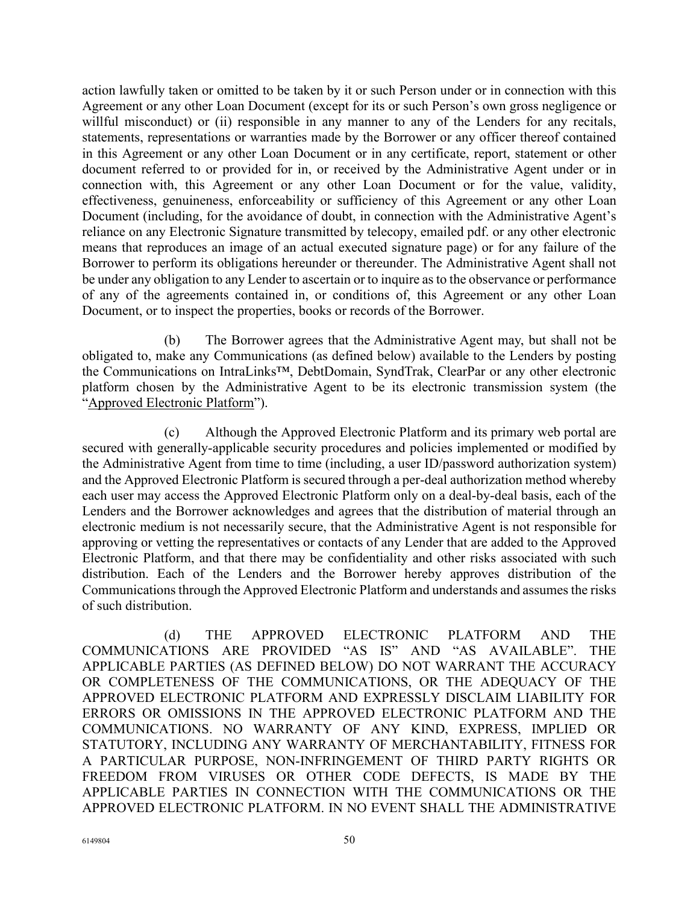action lawfully taken or omitted to be taken by it or such Person under or in connection with this Agreement or any other Loan Document (except for its or such Person's own gross negligence or willful misconduct) or (ii) responsible in any manner to any of the Lenders for any recitals, statements, representations or warranties made by the Borrower or any officer thereof contained in this Agreement or any other Loan Document or in any certificate, report, statement or other document referred to or provided for in, or received by the Administrative Agent under or in connection with, this Agreement or any other Loan Document or for the value, validity, effectiveness, genuineness, enforceability or sufficiency of this Agreement or any other Loan Document (including, for the avoidance of doubt, in connection with the Administrative Agent's reliance on any Electronic Signature transmitted by telecopy, emailed pdf. or any other electronic means that reproduces an image of an actual executed signature page) or for any failure of the Borrower to perform its obligations hereunder or thereunder. The Administrative Agent shall not be under any obligation to any Lender to ascertain or to inquire as to the observance or performance of any of the agreements contained in, or conditions of, this Agreement or any other Loan Document, or to inspect the properties, books or records of the Borrower.

(b) The Borrower agrees that the Administrative Agent may, but shall not be obligated to, make any Communications (as defined below) available to the Lenders by posting the Communications on IntraLinks™, DebtDomain, SyndTrak, ClearPar or any other electronic platform chosen by the Administrative Agent to be its electronic transmission system (the "Approved Electronic Platform").

(c) Although the Approved Electronic Platform and its primary web portal are secured with generally-applicable security procedures and policies implemented or modified by the Administrative Agent from time to time (including, a user ID/password authorization system) and the Approved Electronic Platform is secured through a per-deal authorization method whereby each user may access the Approved Electronic Platform only on a deal-by-deal basis, each of the Lenders and the Borrower acknowledges and agrees that the distribution of material through an electronic medium is not necessarily secure, that the Administrative Agent is not responsible for approving or vetting the representatives or contacts of any Lender that are added to the Approved Electronic Platform, and that there may be confidentiality and other risks associated with such distribution. Each of the Lenders and the Borrower hereby approves distribution of the Communications through the Approved Electronic Platform and understands and assumes the risks of such distribution.

(d) THE APPROVED ELECTRONIC PLATFORM AND THE COMMUNICATIONS ARE PROVIDED "AS IS" AND "AS AVAILABLE". THE APPLICABLE PARTIES (AS DEFINED BELOW) DO NOT WARRANT THE ACCURACY OR COMPLETENESS OF THE COMMUNICATIONS, OR THE ADEQUACY OF THE APPROVED ELECTRONIC PLATFORM AND EXPRESSLY DISCLAIM LIABILITY FOR ERRORS OR OMISSIONS IN THE APPROVED ELECTRONIC PLATFORM AND THE COMMUNICATIONS. NO WARRANTY OF ANY KIND, EXPRESS, IMPLIED OR STATUTORY, INCLUDING ANY WARRANTY OF MERCHANTABILITY, FITNESS FOR A PARTICULAR PURPOSE, NON-INFRINGEMENT OF THIRD PARTY RIGHTS OR FREEDOM FROM VIRUSES OR OTHER CODE DEFECTS, IS MADE BY THE APPLICABLE PARTIES IN CONNECTION WITH THE COMMUNICATIONS OR THE APPROVED ELECTRONIC PLATFORM. IN NO EVENT SHALL THE ADMINISTRATIVE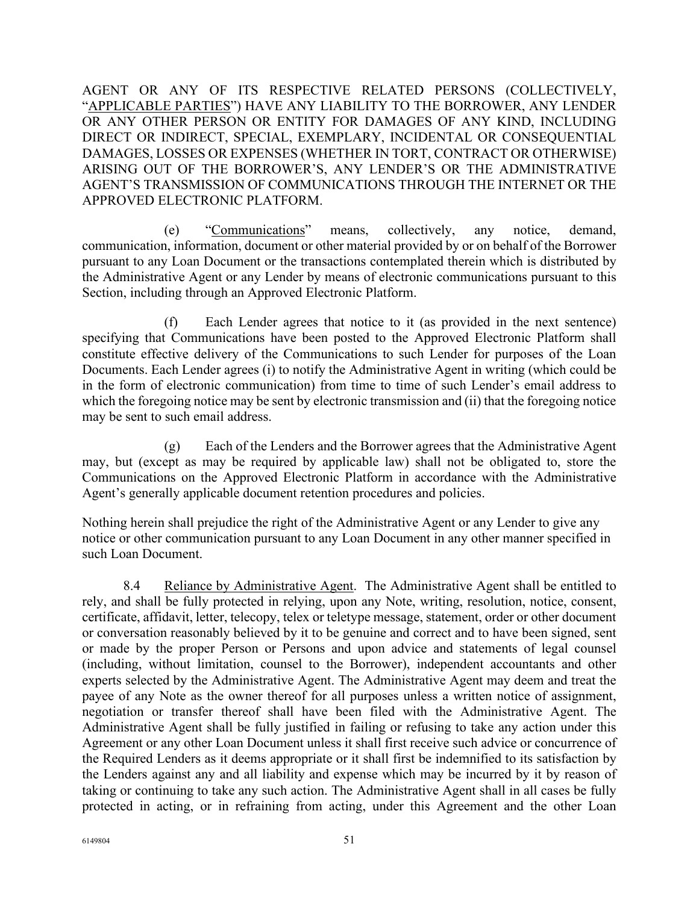AGENT OR ANY OF ITS RESPECTIVE RELATED PERSONS (COLLECTIVELY, "APPLICABLE PARTIES") HAVE ANY LIABILITY TO THE BORROWER, ANY LENDER OR ANY OTHER PERSON OR ENTITY FOR DAMAGES OF ANY KIND, INCLUDING DIRECT OR INDIRECT, SPECIAL, EXEMPLARY, INCIDENTAL OR CONSEQUENTIAL DAMAGES, LOSSES OR EXPENSES (WHETHER IN TORT, CONTRACT OR OTHERWISE) ARISING OUT OF THE BORROWER'S, ANY LENDER'S OR THE ADMINISTRATIVE AGENT'S TRANSMISSION OF COMMUNICATIONS THROUGH THE INTERNET OR THE APPROVED ELECTRONIC PLATFORM.

(e) "Communications" means, collectively, any notice, demand, communication, information, document or other material provided by or on behalf of the Borrower pursuant to any Loan Document or the transactions contemplated therein which is distributed by the Administrative Agent or any Lender by means of electronic communications pursuant to this Section, including through an Approved Electronic Platform.

(f) Each Lender agrees that notice to it (as provided in the next sentence) specifying that Communications have been posted to the Approved Electronic Platform shall constitute effective delivery of the Communications to such Lender for purposes of the Loan Documents. Each Lender agrees (i) to notify the Administrative Agent in writing (which could be in the form of electronic communication) from time to time of such Lender's email address to which the foregoing notice may be sent by electronic transmission and (ii) that the foregoing notice may be sent to such email address.

(g) Each of the Lenders and the Borrower agrees that the Administrative Agent may, but (except as may be required by applicable law) shall not be obligated to, store the Communications on the Approved Electronic Platform in accordance with the Administrative Agent's generally applicable document retention procedures and policies.

Nothing herein shall prejudice the right of the Administrative Agent or any Lender to give any notice or other communication pursuant to any Loan Document in any other manner specified in such Loan Document.

8.4 Reliance by Administrative Agent. The Administrative Agent shall be entitled to rely, and shall be fully protected in relying, upon any Note, writing, resolution, notice, consent, certificate, affidavit, letter, telecopy, telex or teletype message, statement, order or other document or conversation reasonably believed by it to be genuine and correct and to have been signed, sent or made by the proper Person or Persons and upon advice and statements of legal counsel (including, without limitation, counsel to the Borrower), independent accountants and other experts selected by the Administrative Agent. The Administrative Agent may deem and treat the payee of any Note as the owner thereof for all purposes unless a written notice of assignment, negotiation or transfer thereof shall have been filed with the Administrative Agent. The Administrative Agent shall be fully justified in failing or refusing to take any action under this Agreement or any other Loan Document unless it shall first receive such advice or concurrence of the Required Lenders as it deems appropriate or it shall first be indemnified to its satisfaction by the Lenders against any and all liability and expense which may be incurred by it by reason of taking or continuing to take any such action. The Administrative Agent shall in all cases be fully protected in acting, or in refraining from acting, under this Agreement and the other Loan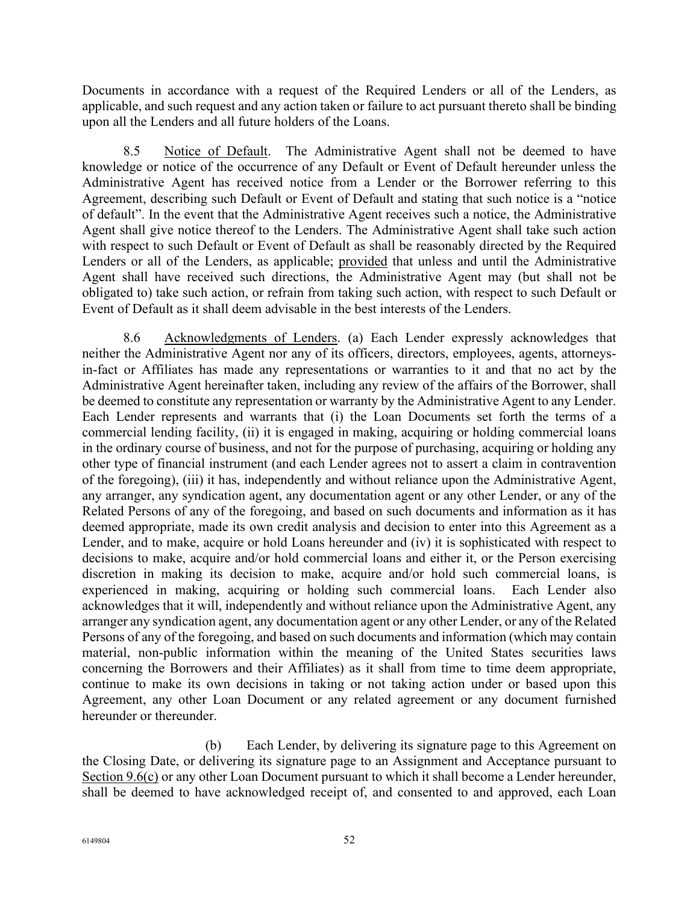Documents in accordance with a request of the Required Lenders or all of the Lenders, as applicable, and such request and any action taken or failure to act pursuant thereto shall be binding upon all the Lenders and all future holders of the Loans.

8.5 Notice of Default. The Administrative Agent shall not be deemed to have knowledge or notice of the occurrence of any Default or Event of Default hereunder unless the Administrative Agent has received notice from a Lender or the Borrower referring to this Agreement, describing such Default or Event of Default and stating that such notice is a "notice of default". In the event that the Administrative Agent receives such a notice, the Administrative Agent shall give notice thereof to the Lenders. The Administrative Agent shall take such action with respect to such Default or Event of Default as shall be reasonably directed by the Required Lenders or all of the Lenders, as applicable; provided that unless and until the Administrative Agent shall have received such directions, the Administrative Agent may (but shall not be obligated to) take such action, or refrain from taking such action, with respect to such Default or Event of Default as it shall deem advisable in the best interests of the Lenders.

8.6 Acknowledgments of Lenders. (a) Each Lender expressly acknowledges that neither the Administrative Agent nor any of its officers, directors, employees, agents, attorneysin-fact or Affiliates has made any representations or warranties to it and that no act by the Administrative Agent hereinafter taken, including any review of the affairs of the Borrower, shall be deemed to constitute any representation or warranty by the Administrative Agent to any Lender. Each Lender represents and warrants that (i) the Loan Documents set forth the terms of a commercial lending facility, (ii) it is engaged in making, acquiring or holding commercial loans in the ordinary course of business, and not for the purpose of purchasing, acquiring or holding any other type of financial instrument (and each Lender agrees not to assert a claim in contravention of the foregoing), (iii) it has, independently and without reliance upon the Administrative Agent, any arranger, any syndication agent, any documentation agent or any other Lender, or any of the Related Persons of any of the foregoing, and based on such documents and information as it has deemed appropriate, made its own credit analysis and decision to enter into this Agreement as a Lender, and to make, acquire or hold Loans hereunder and (iv) it is sophisticated with respect to decisions to make, acquire and/or hold commercial loans and either it, or the Person exercising discretion in making its decision to make, acquire and/or hold such commercial loans, is experienced in making, acquiring or holding such commercial loans. Each Lender also acknowledges that it will, independently and without reliance upon the Administrative Agent, any arranger any syndication agent, any documentation agent or any other Lender, or any of the Related Persons of any of the foregoing, and based on such documents and information (which may contain material, non-public information within the meaning of the United States securities laws concerning the Borrowers and their Affiliates) as it shall from time to time deem appropriate, continue to make its own decisions in taking or not taking action under or based upon this Agreement, any other Loan Document or any related agreement or any document furnished hereunder or thereunder.

(b) Each Lender, by delivering its signature page to this Agreement on the Closing Date, or delivering its signature page to an Assignment and Acceptance pursuant to Section 9.6(c) or any other Loan Document pursuant to which it shall become a Lender hereunder, shall be deemed to have acknowledged receipt of, and consented to and approved, each Loan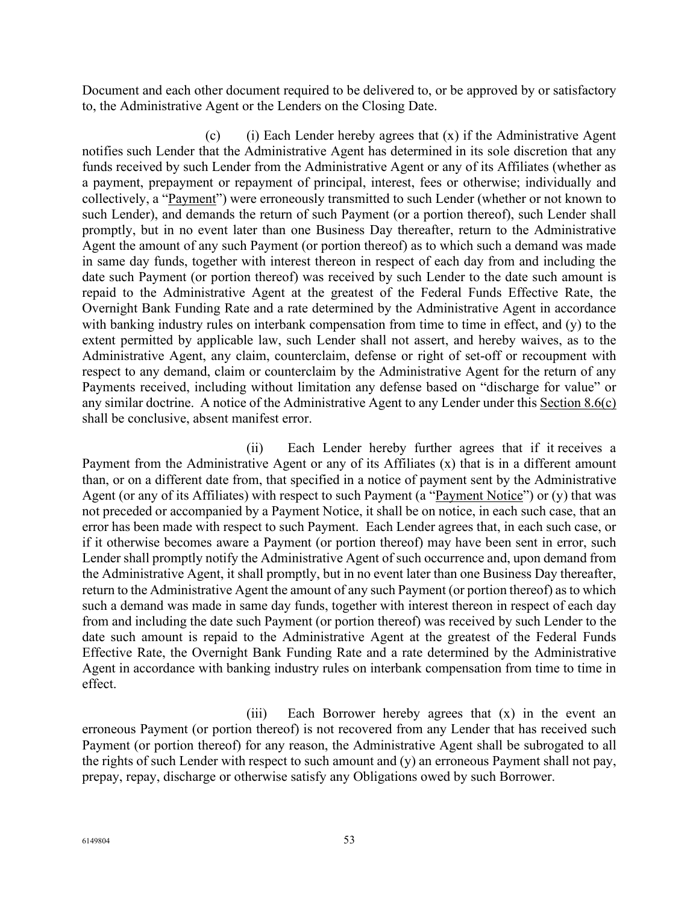Document and each other document required to be delivered to, or be approved by or satisfactory to, the Administrative Agent or the Lenders on the Closing Date.

(c) (i) Each Lender hereby agrees that  $(x)$  if the Administrative Agent notifies such Lender that the Administrative Agent has determined in its sole discretion that any funds received by such Lender from the Administrative Agent or any of its Affiliates (whether as a payment, prepayment or repayment of principal, interest, fees or otherwise; individually and collectively, a "Payment") were erroneously transmitted to such Lender (whether or not known to such Lender), and demands the return of such Payment (or a portion thereof), such Lender shall promptly, but in no event later than one Business Day thereafter, return to the Administrative Agent the amount of any such Payment (or portion thereof) as to which such a demand was made in same day funds, together with interest thereon in respect of each day from and including the date such Payment (or portion thereof) was received by such Lender to the date such amount is repaid to the Administrative Agent at the greatest of the Federal Funds Effective Rate, the Overnight Bank Funding Rate and a rate determined by the Administrative Agent in accordance with banking industry rules on interbank compensation from time to time in effect, and (y) to the extent permitted by applicable law, such Lender shall not assert, and hereby waives, as to the Administrative Agent, any claim, counterclaim, defense or right of set-off or recoupment with respect to any demand, claim or counterclaim by the Administrative Agent for the return of any Payments received, including without limitation any defense based on "discharge for value" or any similar doctrine. A notice of the Administrative Agent to any Lender under this Section 8.6(c) shall be conclusive, absent manifest error.

(ii) Each Lender hereby further agrees that if it receives a Payment from the Administrative Agent or any of its Affiliates (x) that is in a different amount than, or on a different date from, that specified in a notice of payment sent by the Administrative Agent (or any of its Affiliates) with respect to such Payment (a "Payment Notice") or (y) that was not preceded or accompanied by a Payment Notice, it shall be on notice, in each such case, that an error has been made with respect to such Payment. Each Lender agrees that, in each such case, or if it otherwise becomes aware a Payment (or portion thereof) may have been sent in error, such Lender shall promptly notify the Administrative Agent of such occurrence and, upon demand from the Administrative Agent, it shall promptly, but in no event later than one Business Day thereafter, return to the Administrative Agent the amount of any such Payment (or portion thereof) as to which such a demand was made in same day funds, together with interest thereon in respect of each day from and including the date such Payment (or portion thereof) was received by such Lender to the date such amount is repaid to the Administrative Agent at the greatest of the Federal Funds Effective Rate, the Overnight Bank Funding Rate and a rate determined by the Administrative Agent in accordance with banking industry rules on interbank compensation from time to time in effect.

(iii) Each Borrower hereby agrees that (x) in the event an erroneous Payment (or portion thereof) is not recovered from any Lender that has received such Payment (or portion thereof) for any reason, the Administrative Agent shall be subrogated to all the rights of such Lender with respect to such amount and (y) an erroneous Payment shall not pay, prepay, repay, discharge or otherwise satisfy any Obligations owed by such Borrower.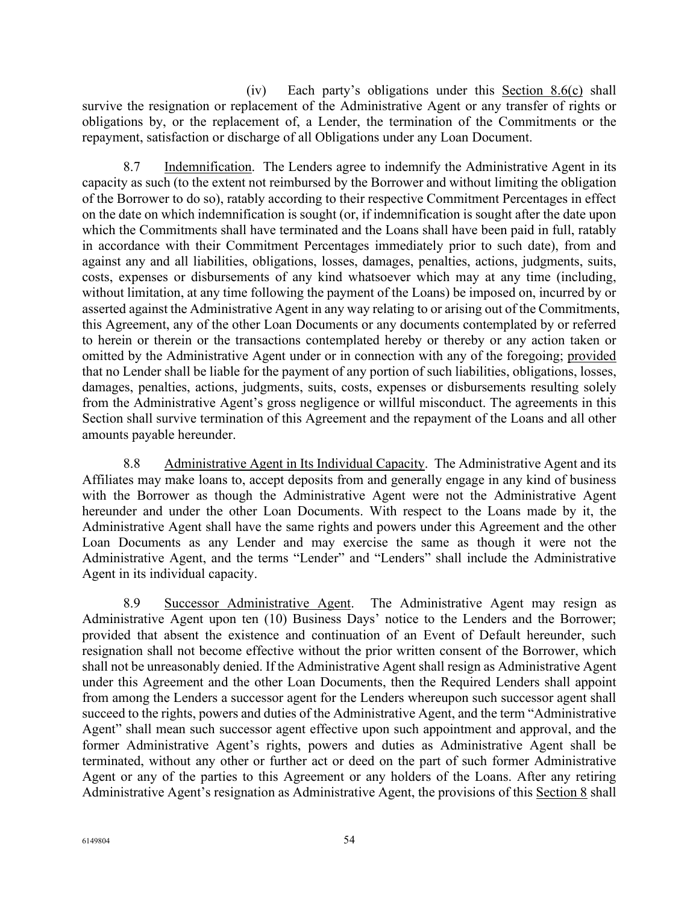(iv) Each party's obligations under this Section 8.6(c) shall survive the resignation or replacement of the Administrative Agent or any transfer of rights or obligations by, or the replacement of, a Lender, the termination of the Commitments or the repayment, satisfaction or discharge of all Obligations under any Loan Document.

8.7 Indemnification. The Lenders agree to indemnify the Administrative Agent in its capacity as such (to the extent not reimbursed by the Borrower and without limiting the obligation of the Borrower to do so), ratably according to their respective Commitment Percentages in effect on the date on which indemnification is sought (or, if indemnification is sought after the date upon which the Commitments shall have terminated and the Loans shall have been paid in full, ratably in accordance with their Commitment Percentages immediately prior to such date), from and against any and all liabilities, obligations, losses, damages, penalties, actions, judgments, suits, costs, expenses or disbursements of any kind whatsoever which may at any time (including, without limitation, at any time following the payment of the Loans) be imposed on, incurred by or asserted against the Administrative Agent in any way relating to or arising out of the Commitments, this Agreement, any of the other Loan Documents or any documents contemplated by or referred to herein or therein or the transactions contemplated hereby or thereby or any action taken or omitted by the Administrative Agent under or in connection with any of the foregoing; provided that no Lender shall be liable for the payment of any portion of such liabilities, obligations, losses, damages, penalties, actions, judgments, suits, costs, expenses or disbursements resulting solely from the Administrative Agent's gross negligence or willful misconduct. The agreements in this Section shall survive termination of this Agreement and the repayment of the Loans and all other amounts payable hereunder.

8.8 Administrative Agent in Its Individual Capacity. The Administrative Agent and its Affiliates may make loans to, accept deposits from and generally engage in any kind of business with the Borrower as though the Administrative Agent were not the Administrative Agent hereunder and under the other Loan Documents. With respect to the Loans made by it, the Administrative Agent shall have the same rights and powers under this Agreement and the other Loan Documents as any Lender and may exercise the same as though it were not the Administrative Agent, and the terms "Lender" and "Lenders" shall include the Administrative Agent in its individual capacity.

8.9 Successor Administrative Agent. The Administrative Agent may resign as Administrative Agent upon ten (10) Business Days' notice to the Lenders and the Borrower; provided that absent the existence and continuation of an Event of Default hereunder, such resignation shall not become effective without the prior written consent of the Borrower, which shall not be unreasonably denied. If the Administrative Agent shall resign as Administrative Agent under this Agreement and the other Loan Documents, then the Required Lenders shall appoint from among the Lenders a successor agent for the Lenders whereupon such successor agent shall succeed to the rights, powers and duties of the Administrative Agent, and the term "Administrative Agent" shall mean such successor agent effective upon such appointment and approval, and the former Administrative Agent's rights, powers and duties as Administrative Agent shall be terminated, without any other or further act or deed on the part of such former Administrative Agent or any of the parties to this Agreement or any holders of the Loans. After any retiring Administrative Agent's resignation as Administrative Agent, the provisions of this Section 8 shall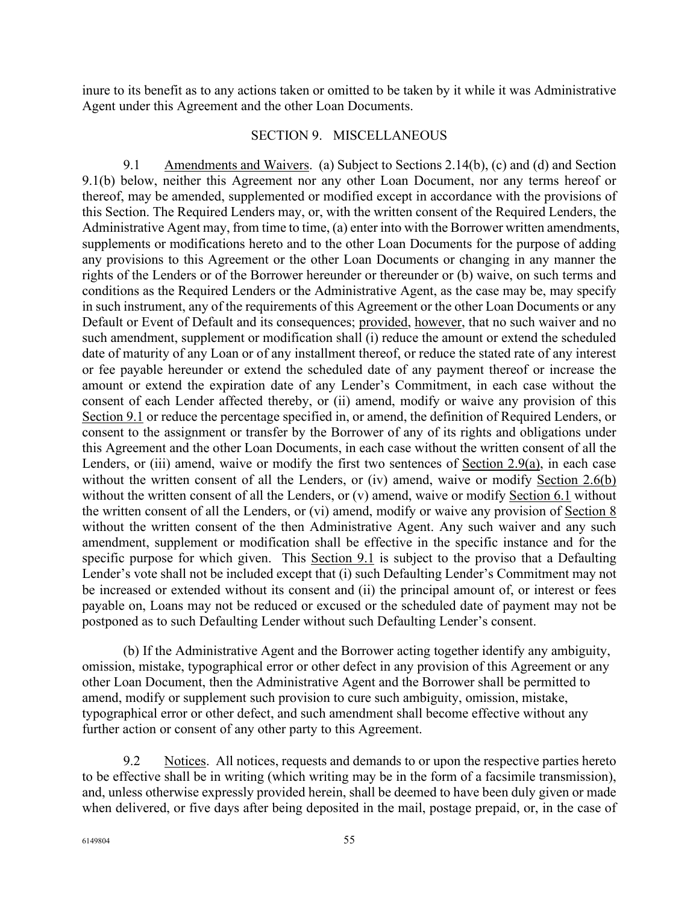inure to its benefit as to any actions taken or omitted to be taken by it while it was Administrative Agent under this Agreement and the other Loan Documents.

### SECTION 9. MISCELLANEOUS

9.1 Amendments and Waivers. (a) Subject to Sections 2.14(b), (c) and (d) and Section 9.1(b) below, neither this Agreement nor any other Loan Document, nor any terms hereof or thereof, may be amended, supplemented or modified except in accordance with the provisions of this Section. The Required Lenders may, or, with the written consent of the Required Lenders, the Administrative Agent may, from time to time, (a) enter into with the Borrower written amendments, supplements or modifications hereto and to the other Loan Documents for the purpose of adding any provisions to this Agreement or the other Loan Documents or changing in any manner the rights of the Lenders or of the Borrower hereunder or thereunder or (b) waive, on such terms and conditions as the Required Lenders or the Administrative Agent, as the case may be, may specify in such instrument, any of the requirements of this Agreement or the other Loan Documents or any Default or Event of Default and its consequences; provided, however, that no such waiver and no such amendment, supplement or modification shall (i) reduce the amount or extend the scheduled date of maturity of any Loan or of any installment thereof, or reduce the stated rate of any interest or fee payable hereunder or extend the scheduled date of any payment thereof or increase the amount or extend the expiration date of any Lender's Commitment, in each case without the consent of each Lender affected thereby, or (ii) amend, modify or waive any provision of this Section 9.1 or reduce the percentage specified in, or amend, the definition of Required Lenders, or consent to the assignment or transfer by the Borrower of any of its rights and obligations under this Agreement and the other Loan Documents, in each case without the written consent of all the Lenders, or (iii) amend, waive or modify the first two sentences of Section 2.9(a), in each case without the written consent of all the Lenders, or (iv) amend, waive or modify Section 2.6(b) without the written consent of all the Lenders, or (v) amend, waive or modify Section 6.1 without the written consent of all the Lenders, or (vi) amend, modify or waive any provision of Section 8 without the written consent of the then Administrative Agent. Any such waiver and any such amendment, supplement or modification shall be effective in the specific instance and for the specific purpose for which given. This Section 9.1 is subject to the proviso that a Defaulting Lender's vote shall not be included except that (i) such Defaulting Lender's Commitment may not be increased or extended without its consent and (ii) the principal amount of, or interest or fees payable on, Loans may not be reduced or excused or the scheduled date of payment may not be postponed as to such Defaulting Lender without such Defaulting Lender's consent.

(b) If the Administrative Agent and the Borrower acting together identify any ambiguity, omission, mistake, typographical error or other defect in any provision of this Agreement or any other Loan Document, then the Administrative Agent and the Borrower shall be permitted to amend, modify or supplement such provision to cure such ambiguity, omission, mistake, typographical error or other defect, and such amendment shall become effective without any further action or consent of any other party to this Agreement.

9.2 Notices. All notices, requests and demands to or upon the respective parties hereto to be effective shall be in writing (which writing may be in the form of a facsimile transmission), and, unless otherwise expressly provided herein, shall be deemed to have been duly given or made when delivered, or five days after being deposited in the mail, postage prepaid, or, in the case of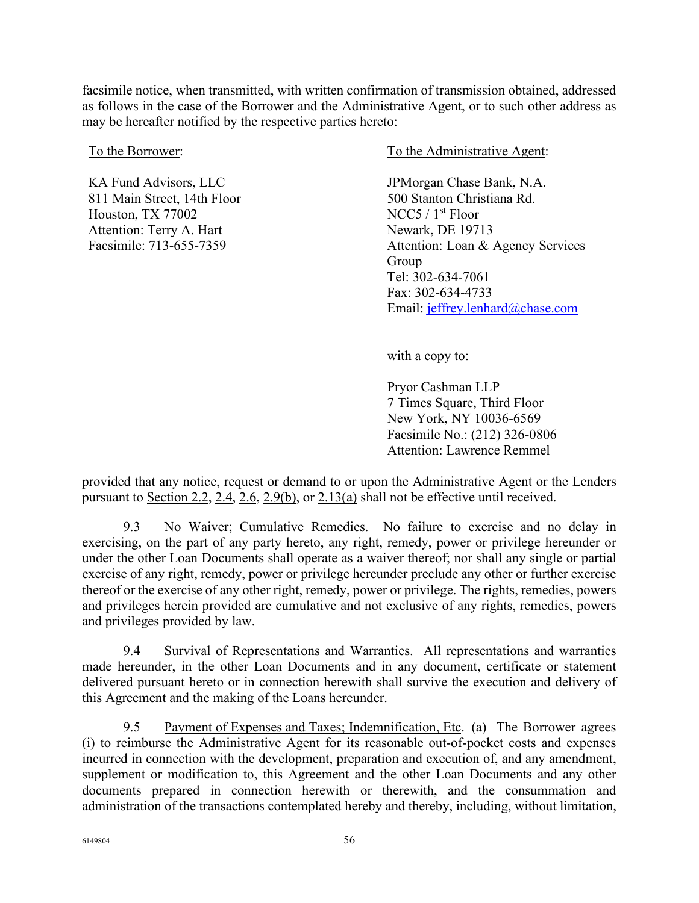facsimile notice, when transmitted, with written confirmation of transmission obtained, addressed as follows in the case of the Borrower and the Administrative Agent, or to such other address as may be hereafter notified by the respective parties hereto:

KA Fund Advisors, LLC 811 Main Street, 14th Floor Houston, TX 77002 Attention: Terry A. Hart Facsimile: 713-655-7359

To the Borrower: To the Administrative Agent:

JPMorgan Chase Bank, N.A. 500 Stanton Christiana Rd. NCC5 / 1st Floor Newark, DE 19713 Attention: Loan & Agency Services Group Tel: 302-634-7061 Fax: 302-634-4733 Email: [jeffrey.lenhard@chase.com](mailto:jeffrey.lenhard@chase.com)

with a copy to:

Pryor Cashman LLP 7 Times Square, Third Floor New York, NY 10036-6569 Facsimile No.: (212) 326-0806 Attention: Lawrence Remmel

provided that any notice, request or demand to or upon the Administrative Agent or the Lenders pursuant to Section 2.2, 2.4, 2.6, 2.9(b), or 2.13(a) shall not be effective until received.

9.3 No Waiver; Cumulative Remedies. No failure to exercise and no delay in exercising, on the part of any party hereto, any right, remedy, power or privilege hereunder or under the other Loan Documents shall operate as a waiver thereof; nor shall any single or partial exercise of any right, remedy, power or privilege hereunder preclude any other or further exercise thereof or the exercise of any other right, remedy, power or privilege. The rights, remedies, powers and privileges herein provided are cumulative and not exclusive of any rights, remedies, powers and privileges provided by law.

9.4 Survival of Representations and Warranties. All representations and warranties made hereunder, in the other Loan Documents and in any document, certificate or statement delivered pursuant hereto or in connection herewith shall survive the execution and delivery of this Agreement and the making of the Loans hereunder.

9.5 Payment of Expenses and Taxes; Indemnification, Etc. (a) The Borrower agrees (i) to reimburse the Administrative Agent for its reasonable out-of-pocket costs and expenses incurred in connection with the development, preparation and execution of, and any amendment, supplement or modification to, this Agreement and the other Loan Documents and any other documents prepared in connection herewith or therewith, and the consummation and administration of the transactions contemplated hereby and thereby, including, without limitation,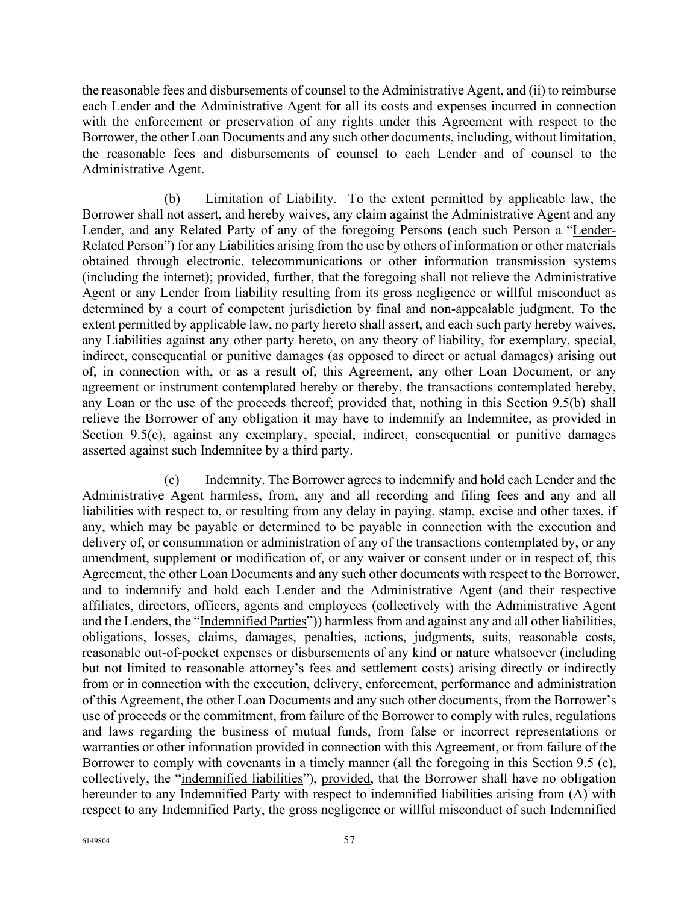the reasonable fees and disbursements of counsel to the Administrative Agent, and (ii) to reimburse each Lender and the Administrative Agent for all its costs and expenses incurred in connection with the enforcement or preservation of any rights under this Agreement with respect to the Borrower, the other Loan Documents and any such other documents, including, without limitation, the reasonable fees and disbursements of counsel to each Lender and of counsel to the Administrative Agent.

(b) Limitation of Liability. To the extent permitted by applicable law, the Borrower shall not assert, and hereby waives, any claim against the Administrative Agent and any Lender, and any Related Party of any of the foregoing Persons (each such Person a "Lender-Related Person") for any Liabilities arising from the use by others of information or other materials obtained through electronic, telecommunications or other information transmission systems (including the internet); provided, further, that the foregoing shall not relieve the Administrative Agent or any Lender from liability resulting from its gross negligence or willful misconduct as determined by a court of competent jurisdiction by final and non-appealable judgment. To the extent permitted by applicable law, no party hereto shall assert, and each such party hereby waives, any Liabilities against any other party hereto, on any theory of liability, for exemplary, special, indirect, consequential or punitive damages (as opposed to direct or actual damages) arising out of, in connection with, or as a result of, this Agreement, any other Loan Document, or any agreement or instrument contemplated hereby or thereby, the transactions contemplated hereby, any Loan or the use of the proceeds thereof; provided that, nothing in this Section 9.5(b) shall relieve the Borrower of any obligation it may have to indemnify an Indemnitee, as provided in Section 9.5(c), against any exemplary, special, indirect, consequential or punitive damages asserted against such Indemnitee by a third party.

(c) Indemnity. The Borrower agrees to indemnify and hold each Lender and the Administrative Agent harmless, from, any and all recording and filing fees and any and all liabilities with respect to, or resulting from any delay in paying, stamp, excise and other taxes, if any, which may be payable or determined to be payable in connection with the execution and delivery of, or consummation or administration of any of the transactions contemplated by, or any amendment, supplement or modification of, or any waiver or consent under or in respect of, this Agreement, the other Loan Documents and any such other documents with respect to the Borrower, and to indemnify and hold each Lender and the Administrative Agent (and their respective affiliates, directors, officers, agents and employees (collectively with the Administrative Agent and the Lenders, the "Indemnified Parties")) harmless from and against any and all other liabilities, obligations, losses, claims, damages, penalties, actions, judgments, suits, reasonable costs, reasonable out-of-pocket expenses or disbursements of any kind or nature whatsoever (including but not limited to reasonable attorney's fees and settlement costs) arising directly or indirectly from or in connection with the execution, delivery, enforcement, performance and administration of this Agreement, the other Loan Documents and any such other documents, from the Borrower's use of proceeds or the commitment, from failure of the Borrower to comply with rules, regulations and laws regarding the business of mutual funds, from false or incorrect representations or warranties or other information provided in connection with this Agreement, or from failure of the Borrower to comply with covenants in a timely manner (all the foregoing in this Section 9.5 (c), collectively, the "indemnified liabilities"), provided, that the Borrower shall have no obligation hereunder to any Indemnified Party with respect to indemnified liabilities arising from (A) with respect to any Indemnified Party, the gross negligence or willful misconduct of such Indemnified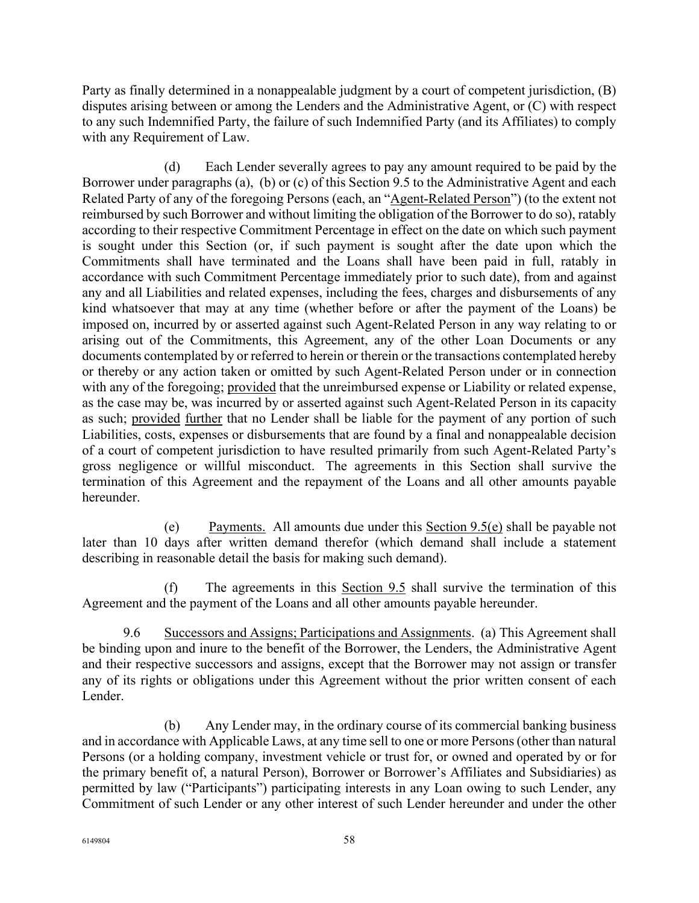Party as finally determined in a nonappealable judgment by a court of competent jurisdiction, (B) disputes arising between or among the Lenders and the Administrative Agent, or (C) with respect to any such Indemnified Party, the failure of such Indemnified Party (and its Affiliates) to comply with any Requirement of Law.

(d) Each Lender severally agrees to pay any amount required to be paid by the Borrower under paragraphs (a), (b) or (c) of this Section 9.5 to the Administrative Agent and each Related Party of any of the foregoing Persons (each, an "Agent-Related Person") (to the extent not reimbursed by such Borrower and without limiting the obligation of the Borrower to do so), ratably according to their respective Commitment Percentage in effect on the date on which such payment is sought under this Section (or, if such payment is sought after the date upon which the Commitments shall have terminated and the Loans shall have been paid in full, ratably in accordance with such Commitment Percentage immediately prior to such date), from and against any and all Liabilities and related expenses, including the fees, charges and disbursements of any kind whatsoever that may at any time (whether before or after the payment of the Loans) be imposed on, incurred by or asserted against such Agent-Related Person in any way relating to or arising out of the Commitments, this Agreement, any of the other Loan Documents or any documents contemplated by or referred to herein or therein or the transactions contemplated hereby or thereby or any action taken or omitted by such Agent-Related Person under or in connection with any of the foregoing; provided that the unreimbursed expense or Liability or related expense, as the case may be, was incurred by or asserted against such Agent-Related Person in its capacity as such; provided further that no Lender shall be liable for the payment of any portion of such Liabilities, costs, expenses or disbursements that are found by a final and nonappealable decision of a court of competent jurisdiction to have resulted primarily from such Agent-Related Party's gross negligence or willful misconduct. The agreements in this Section shall survive the termination of this Agreement and the repayment of the Loans and all other amounts payable hereunder.

(e) Payments. All amounts due under this Section 9.5(e) shall be payable not later than 10 days after written demand therefor (which demand shall include a statement describing in reasonable detail the basis for making such demand).

(f) The agreements in this Section 9.5 shall survive the termination of this Agreement and the payment of the Loans and all other amounts payable hereunder.

9.6 Successors and Assigns; Participations and Assignments. (a) This Agreement shall be binding upon and inure to the benefit of the Borrower, the Lenders, the Administrative Agent and their respective successors and assigns, except that the Borrower may not assign or transfer any of its rights or obligations under this Agreement without the prior written consent of each Lender.

(b) Any Lender may, in the ordinary course of its commercial banking business and in accordance with Applicable Laws, at any time sell to one or more Persons (other than natural Persons (or a holding company, investment vehicle or trust for, or owned and operated by or for the primary benefit of, a natural Person), Borrower or Borrower's Affiliates and Subsidiaries) as permitted by law ("Participants") participating interests in any Loan owing to such Lender, any Commitment of such Lender or any other interest of such Lender hereunder and under the other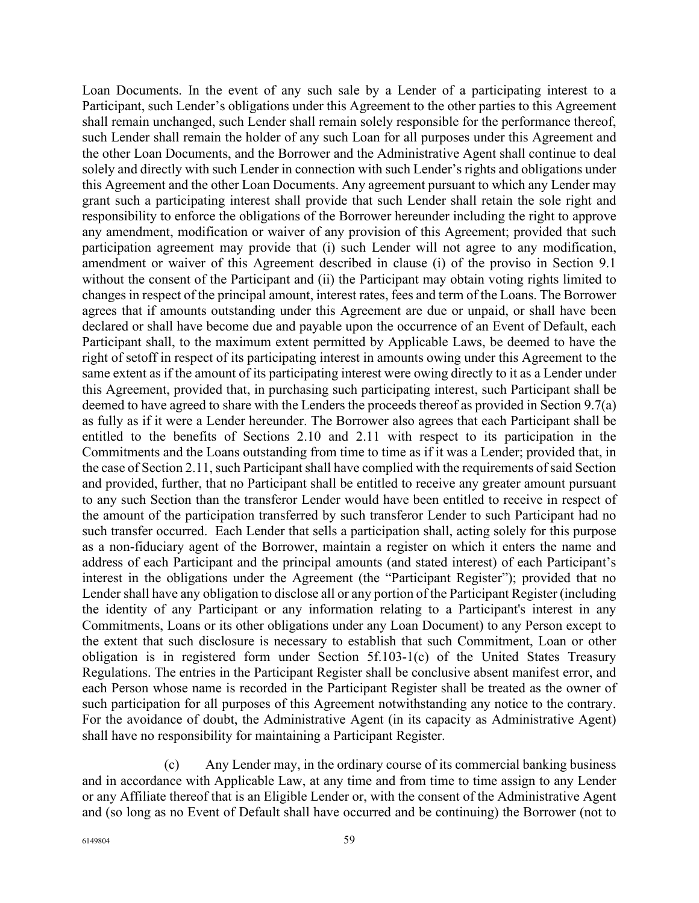Loan Documents. In the event of any such sale by a Lender of a participating interest to a Participant, such Lender's obligations under this Agreement to the other parties to this Agreement shall remain unchanged, such Lender shall remain solely responsible for the performance thereof, such Lender shall remain the holder of any such Loan for all purposes under this Agreement and the other Loan Documents, and the Borrower and the Administrative Agent shall continue to deal solely and directly with such Lender in connection with such Lender's rights and obligations under this Agreement and the other Loan Documents. Any agreement pursuant to which any Lender may grant such a participating interest shall provide that such Lender shall retain the sole right and responsibility to enforce the obligations of the Borrower hereunder including the right to approve any amendment, modification or waiver of any provision of this Agreement; provided that such participation agreement may provide that (i) such Lender will not agree to any modification, amendment or waiver of this Agreement described in clause (i) of the proviso in Section 9.1 without the consent of the Participant and (ii) the Participant may obtain voting rights limited to changes in respect of the principal amount, interest rates, fees and term of the Loans. The Borrower agrees that if amounts outstanding under this Agreement are due or unpaid, or shall have been declared or shall have become due and payable upon the occurrence of an Event of Default, each Participant shall, to the maximum extent permitted by Applicable Laws, be deemed to have the right of setoff in respect of its participating interest in amounts owing under this Agreement to the same extent as if the amount of its participating interest were owing directly to it as a Lender under this Agreement, provided that, in purchasing such participating interest, such Participant shall be deemed to have agreed to share with the Lenders the proceeds thereof as provided in Section 9.7(a) as fully as if it were a Lender hereunder. The Borrower also agrees that each Participant shall be entitled to the benefits of Sections 2.10 and 2.11 with respect to its participation in the Commitments and the Loans outstanding from time to time as if it was a Lender; provided that, in the case of Section 2.11, such Participant shall have complied with the requirements of said Section and provided, further, that no Participant shall be entitled to receive any greater amount pursuant to any such Section than the transferor Lender would have been entitled to receive in respect of the amount of the participation transferred by such transferor Lender to such Participant had no such transfer occurred. Each Lender that sells a participation shall, acting solely for this purpose as a non-fiduciary agent of the Borrower, maintain a register on which it enters the name and address of each Participant and the principal amounts (and stated interest) of each Participant's interest in the obligations under the Agreement (the "Participant Register"); provided that no Lender shall have any obligation to disclose all or any portion of the Participant Register (including the identity of any Participant or any information relating to a Participant's interest in any Commitments, Loans or its other obligations under any Loan Document) to any Person except to the extent that such disclosure is necessary to establish that such Commitment, Loan or other obligation is in registered form under Section 5f.103-1(c) of the United States Treasury Regulations. The entries in the Participant Register shall be conclusive absent manifest error, and each Person whose name is recorded in the Participant Register shall be treated as the owner of such participation for all purposes of this Agreement notwithstanding any notice to the contrary. For the avoidance of doubt, the Administrative Agent (in its capacity as Administrative Agent) shall have no responsibility for maintaining a Participant Register.

(c) Any Lender may, in the ordinary course of its commercial banking business and in accordance with Applicable Law, at any time and from time to time assign to any Lender or any Affiliate thereof that is an Eligible Lender or, with the consent of the Administrative Agent and (so long as no Event of Default shall have occurred and be continuing) the Borrower (not to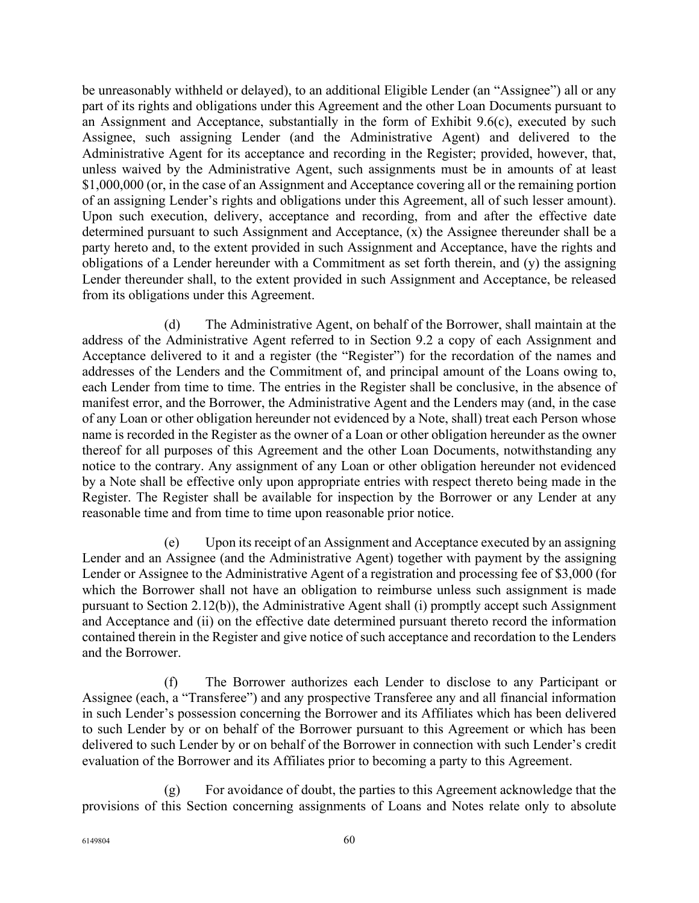be unreasonably withheld or delayed), to an additional Eligible Lender (an "Assignee") all or any part of its rights and obligations under this Agreement and the other Loan Documents pursuant to an Assignment and Acceptance, substantially in the form of Exhibit 9.6(c), executed by such Assignee, such assigning Lender (and the Administrative Agent) and delivered to the Administrative Agent for its acceptance and recording in the Register; provided, however, that, unless waived by the Administrative Agent, such assignments must be in amounts of at least \$1,000,000 (or, in the case of an Assignment and Acceptance covering all or the remaining portion of an assigning Lender's rights and obligations under this Agreement, all of such lesser amount). Upon such execution, delivery, acceptance and recording, from and after the effective date determined pursuant to such Assignment and Acceptance, (x) the Assignee thereunder shall be a party hereto and, to the extent provided in such Assignment and Acceptance, have the rights and obligations of a Lender hereunder with a Commitment as set forth therein, and (y) the assigning Lender thereunder shall, to the extent provided in such Assignment and Acceptance, be released from its obligations under this Agreement.

(d) The Administrative Agent, on behalf of the Borrower, shall maintain at the address of the Administrative Agent referred to in Section 9.2 a copy of each Assignment and Acceptance delivered to it and a register (the "Register") for the recordation of the names and addresses of the Lenders and the Commitment of, and principal amount of the Loans owing to, each Lender from time to time. The entries in the Register shall be conclusive, in the absence of manifest error, and the Borrower, the Administrative Agent and the Lenders may (and, in the case of any Loan or other obligation hereunder not evidenced by a Note, shall) treat each Person whose name is recorded in the Register as the owner of a Loan or other obligation hereunder as the owner thereof for all purposes of this Agreement and the other Loan Documents, notwithstanding any notice to the contrary. Any assignment of any Loan or other obligation hereunder not evidenced by a Note shall be effective only upon appropriate entries with respect thereto being made in the Register. The Register shall be available for inspection by the Borrower or any Lender at any reasonable time and from time to time upon reasonable prior notice.

(e) Upon its receipt of an Assignment and Acceptance executed by an assigning Lender and an Assignee (and the Administrative Agent) together with payment by the assigning Lender or Assignee to the Administrative Agent of a registration and processing fee of \$3,000 (for which the Borrower shall not have an obligation to reimburse unless such assignment is made pursuant to Section 2.12(b)), the Administrative Agent shall (i) promptly accept such Assignment and Acceptance and (ii) on the effective date determined pursuant thereto record the information contained therein in the Register and give notice of such acceptance and recordation to the Lenders and the Borrower.

(f) The Borrower authorizes each Lender to disclose to any Participant or Assignee (each, a "Transferee") and any prospective Transferee any and all financial information in such Lender's possession concerning the Borrower and its Affiliates which has been delivered to such Lender by or on behalf of the Borrower pursuant to this Agreement or which has been delivered to such Lender by or on behalf of the Borrower in connection with such Lender's credit evaluation of the Borrower and its Affiliates prior to becoming a party to this Agreement.

(g) For avoidance of doubt, the parties to this Agreement acknowledge that the provisions of this Section concerning assignments of Loans and Notes relate only to absolute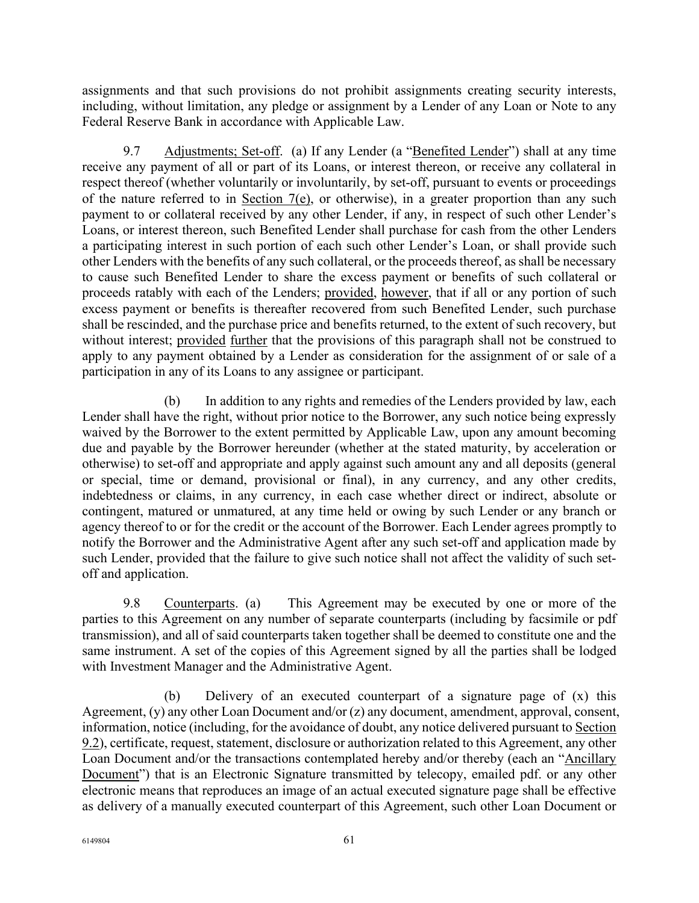assignments and that such provisions do not prohibit assignments creating security interests, including, without limitation, any pledge or assignment by a Lender of any Loan or Note to any Federal Reserve Bank in accordance with Applicable Law.

9.7 Adjustments; Set-off. (a) If any Lender (a "Benefited Lender") shall at any time receive any payment of all or part of its Loans, or interest thereon, or receive any collateral in respect thereof (whether voluntarily or involuntarily, by set-off, pursuant to events or proceedings of the nature referred to in Section 7(e), or otherwise), in a greater proportion than any such payment to or collateral received by any other Lender, if any, in respect of such other Lender's Loans, or interest thereon, such Benefited Lender shall purchase for cash from the other Lenders a participating interest in such portion of each such other Lender's Loan, or shall provide such other Lenders with the benefits of any such collateral, or the proceeds thereof, as shall be necessary to cause such Benefited Lender to share the excess payment or benefits of such collateral or proceeds ratably with each of the Lenders; provided, however, that if all or any portion of such excess payment or benefits is thereafter recovered from such Benefited Lender, such purchase shall be rescinded, and the purchase price and benefits returned, to the extent of such recovery, but without interest; provided further that the provisions of this paragraph shall not be construed to apply to any payment obtained by a Lender as consideration for the assignment of or sale of a participation in any of its Loans to any assignee or participant.

(b) In addition to any rights and remedies of the Lenders provided by law, each Lender shall have the right, without prior notice to the Borrower, any such notice being expressly waived by the Borrower to the extent permitted by Applicable Law, upon any amount becoming due and payable by the Borrower hereunder (whether at the stated maturity, by acceleration or otherwise) to set-off and appropriate and apply against such amount any and all deposits (general or special, time or demand, provisional or final), in any currency, and any other credits, indebtedness or claims, in any currency, in each case whether direct or indirect, absolute or contingent, matured or unmatured, at any time held or owing by such Lender or any branch or agency thereof to or for the credit or the account of the Borrower. Each Lender agrees promptly to notify the Borrower and the Administrative Agent after any such set-off and application made by such Lender, provided that the failure to give such notice shall not affect the validity of such setoff and application.

9.8 Counterparts. (a) This Agreement may be executed by one or more of the parties to this Agreement on any number of separate counterparts (including by facsimile or pdf transmission), and all of said counterparts taken together shall be deemed to constitute one and the same instrument. A set of the copies of this Agreement signed by all the parties shall be lodged with Investment Manager and the Administrative Agent.

(b) Delivery of an executed counterpart of a signature page of (x) this Agreement, (y) any other Loan Document and/or (z) any document, amendment, approval, consent, information, notice (including, for the avoidance of doubt, any notice delivered pursuant to Section 9.2), certificate, request, statement, disclosure or authorization related to this Agreement, any other Loan Document and/or the transactions contemplated hereby and/or thereby (each an "Ancillary Document") that is an Electronic Signature transmitted by telecopy, emailed pdf. or any other electronic means that reproduces an image of an actual executed signature page shall be effective as delivery of a manually executed counterpart of this Agreement, such other Loan Document or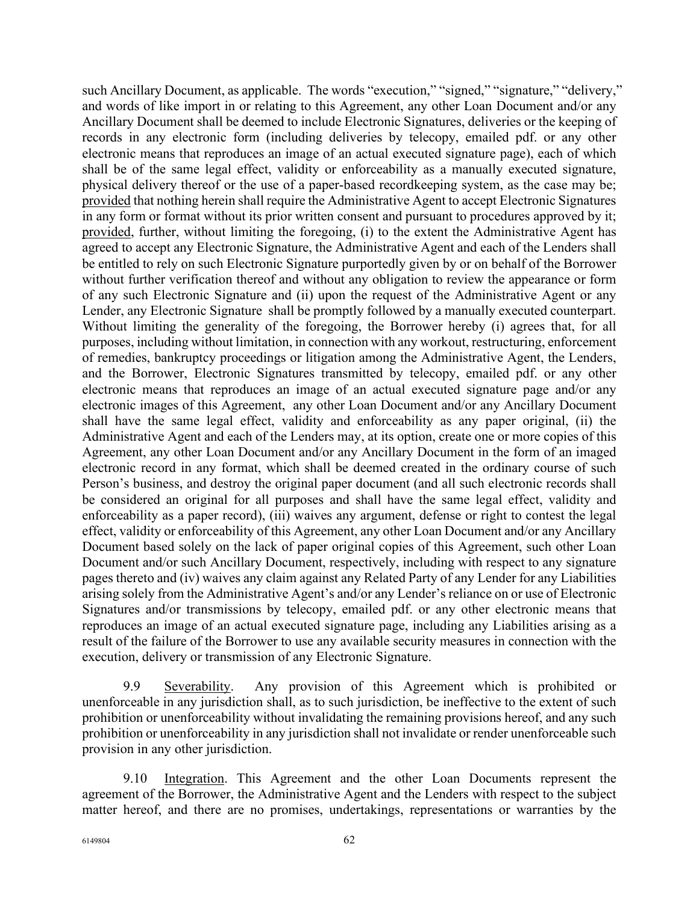such Ancillary Document, as applicable. The words "execution," "signed," "signature," "delivery," and words of like import in or relating to this Agreement, any other Loan Document and/or any Ancillary Document shall be deemed to include Electronic Signatures, deliveries or the keeping of records in any electronic form (including deliveries by telecopy, emailed pdf. or any other electronic means that reproduces an image of an actual executed signature page), each of which shall be of the same legal effect, validity or enforceability as a manually executed signature, physical delivery thereof or the use of a paper-based recordkeeping system, as the case may be; provided that nothing herein shall require the Administrative Agent to accept Electronic Signatures in any form or format without its prior written consent and pursuant to procedures approved by it; provided, further, without limiting the foregoing, (i) to the extent the Administrative Agent has agreed to accept any Electronic Signature, the Administrative Agent and each of the Lenders shall be entitled to rely on such Electronic Signature purportedly given by or on behalf of the Borrower without further verification thereof and without any obligation to review the appearance or form of any such Electronic Signature and (ii) upon the request of the Administrative Agent or any Lender, any Electronic Signature shall be promptly followed by a manually executed counterpart. Without limiting the generality of the foregoing, the Borrower hereby (i) agrees that, for all purposes, including without limitation, in connection with any workout, restructuring, enforcement of remedies, bankruptcy proceedings or litigation among the Administrative Agent, the Lenders, and the Borrower, Electronic Signatures transmitted by telecopy, emailed pdf. or any other electronic means that reproduces an image of an actual executed signature page and/or any electronic images of this Agreement, any other Loan Document and/or any Ancillary Document shall have the same legal effect, validity and enforceability as any paper original, (ii) the Administrative Agent and each of the Lenders may, at its option, create one or more copies of this Agreement, any other Loan Document and/or any Ancillary Document in the form of an imaged electronic record in any format, which shall be deemed created in the ordinary course of such Person's business, and destroy the original paper document (and all such electronic records shall be considered an original for all purposes and shall have the same legal effect, validity and enforceability as a paper record), (iii) waives any argument, defense or right to contest the legal effect, validity or enforceability of this Agreement, any other Loan Document and/or any Ancillary Document based solely on the lack of paper original copies of this Agreement, such other Loan Document and/or such Ancillary Document, respectively, including with respect to any signature pages thereto and (iv) waives any claim against any Related Party of any Lender for any Liabilities arising solely from the Administrative Agent's and/or any Lender's reliance on or use of Electronic Signatures and/or transmissions by telecopy, emailed pdf. or any other electronic means that reproduces an image of an actual executed signature page, including any Liabilities arising as a result of the failure of the Borrower to use any available security measures in connection with the execution, delivery or transmission of any Electronic Signature.

9.9 Severability. Any provision of this Agreement which is prohibited or unenforceable in any jurisdiction shall, as to such jurisdiction, be ineffective to the extent of such prohibition or unenforceability without invalidating the remaining provisions hereof, and any such prohibition or unenforceability in any jurisdiction shall not invalidate or render unenforceable such provision in any other jurisdiction.

9.10 Integration. This Agreement and the other Loan Documents represent the agreement of the Borrower, the Administrative Agent and the Lenders with respect to the subject matter hereof, and there are no promises, undertakings, representations or warranties by the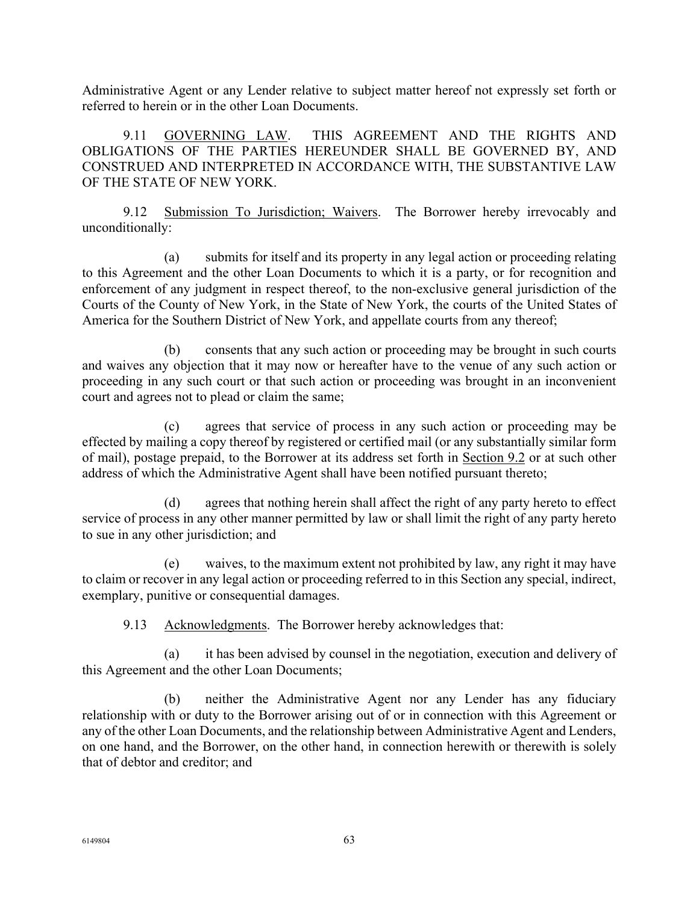Administrative Agent or any Lender relative to subject matter hereof not expressly set forth or referred to herein or in the other Loan Documents.

9.11 GOVERNING LAW. THIS AGREEMENT AND THE RIGHTS AND OBLIGATIONS OF THE PARTIES HEREUNDER SHALL BE GOVERNED BY, AND CONSTRUED AND INTERPRETED IN ACCORDANCE WITH, THE SUBSTANTIVE LAW OF THE STATE OF NEW YORK.

9.12 Submission To Jurisdiction; Waivers. The Borrower hereby irrevocably and unconditionally:

(a) submits for itself and its property in any legal action or proceeding relating to this Agreement and the other Loan Documents to which it is a party, or for recognition and enforcement of any judgment in respect thereof, to the non-exclusive general jurisdiction of the Courts of the County of New York, in the State of New York, the courts of the United States of America for the Southern District of New York, and appellate courts from any thereof;

(b) consents that any such action or proceeding may be brought in such courts and waives any objection that it may now or hereafter have to the venue of any such action or proceeding in any such court or that such action or proceeding was brought in an inconvenient court and agrees not to plead or claim the same;

(c) agrees that service of process in any such action or proceeding may be effected by mailing a copy thereof by registered or certified mail (or any substantially similar form of mail), postage prepaid, to the Borrower at its address set forth in Section 9.2 or at such other address of which the Administrative Agent shall have been notified pursuant thereto;

(d) agrees that nothing herein shall affect the right of any party hereto to effect service of process in any other manner permitted by law or shall limit the right of any party hereto to sue in any other jurisdiction; and

(e) waives, to the maximum extent not prohibited by law, any right it may have to claim or recover in any legal action or proceeding referred to in this Section any special, indirect, exemplary, punitive or consequential damages.

9.13 Acknowledgments. The Borrower hereby acknowledges that:

(a) it has been advised by counsel in the negotiation, execution and delivery of this Agreement and the other Loan Documents;

(b) neither the Administrative Agent nor any Lender has any fiduciary relationship with or duty to the Borrower arising out of or in connection with this Agreement or any of the other Loan Documents, and the relationship between Administrative Agent and Lenders, on one hand, and the Borrower, on the other hand, in connection herewith or therewith is solely that of debtor and creditor; and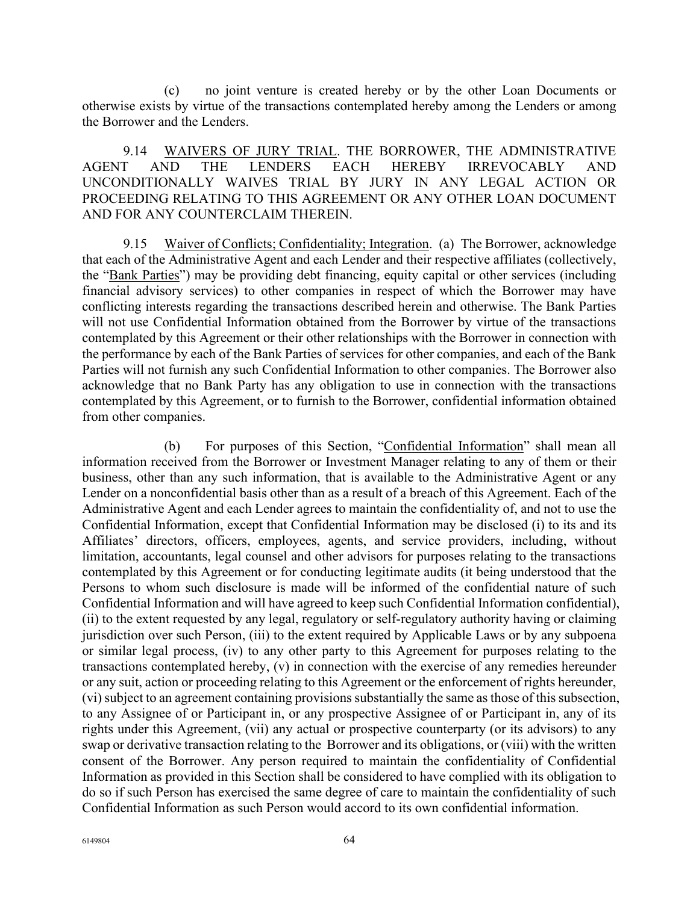(c) no joint venture is created hereby or by the other Loan Documents or otherwise exists by virtue of the transactions contemplated hereby among the Lenders or among the Borrower and the Lenders.

9.14 WAIVERS OF JURY TRIAL. THE BORROWER, THE ADMINISTRATIVE AGENT AND THE LENDERS EACH HEREBY IRREVOCABLY AND UNCONDITIONALLY WAIVES TRIAL BY JURY IN ANY LEGAL ACTION OR PROCEEDING RELATING TO THIS AGREEMENT OR ANY OTHER LOAN DOCUMENT AND FOR ANY COUNTERCLAIM THEREIN.

9.15 Waiver of Conflicts; Confidentiality; Integration. (a) The Borrower, acknowledge that each of the Administrative Agent and each Lender and their respective affiliates (collectively, the "Bank Parties") may be providing debt financing, equity capital or other services (including financial advisory services) to other companies in respect of which the Borrower may have conflicting interests regarding the transactions described herein and otherwise. The Bank Parties will not use Confidential Information obtained from the Borrower by virtue of the transactions contemplated by this Agreement or their other relationships with the Borrower in connection with the performance by each of the Bank Parties of services for other companies, and each of the Bank Parties will not furnish any such Confidential Information to other companies. The Borrower also acknowledge that no Bank Party has any obligation to use in connection with the transactions contemplated by this Agreement, or to furnish to the Borrower, confidential information obtained from other companies.

(b) For purposes of this Section, "Confidential Information" shall mean all information received from the Borrower or Investment Manager relating to any of them or their business, other than any such information, that is available to the Administrative Agent or any Lender on a nonconfidential basis other than as a result of a breach of this Agreement. Each of the Administrative Agent and each Lender agrees to maintain the confidentiality of, and not to use the Confidential Information, except that Confidential Information may be disclosed (i) to its and its Affiliates' directors, officers, employees, agents, and service providers, including, without limitation, accountants, legal counsel and other advisors for purposes relating to the transactions contemplated by this Agreement or for conducting legitimate audits (it being understood that the Persons to whom such disclosure is made will be informed of the confidential nature of such Confidential Information and will have agreed to keep such Confidential Information confidential), (ii) to the extent requested by any legal, regulatory or self-regulatory authority having or claiming jurisdiction over such Person, (iii) to the extent required by Applicable Laws or by any subpoena or similar legal process, (iv) to any other party to this Agreement for purposes relating to the transactions contemplated hereby, (v) in connection with the exercise of any remedies hereunder or any suit, action or proceeding relating to this Agreement or the enforcement of rights hereunder, (vi) subject to an agreement containing provisions substantially the same as those of this subsection, to any Assignee of or Participant in, or any prospective Assignee of or Participant in, any of its rights under this Agreement, (vii) any actual or prospective counterparty (or its advisors) to any swap or derivative transaction relating to the Borrower and its obligations, or (viii) with the written consent of the Borrower. Any person required to maintain the confidentiality of Confidential Information as provided in this Section shall be considered to have complied with its obligation to do so if such Person has exercised the same degree of care to maintain the confidentiality of such Confidential Information as such Person would accord to its own confidential information.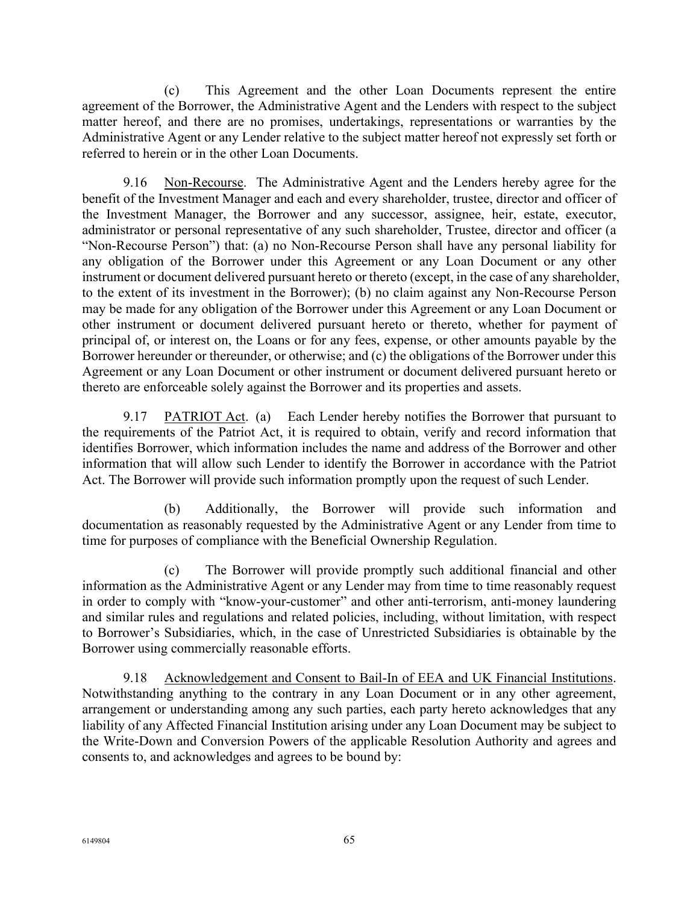(c) This Agreement and the other Loan Documents represent the entire agreement of the Borrower, the Administrative Agent and the Lenders with respect to the subject matter hereof, and there are no promises, undertakings, representations or warranties by the Administrative Agent or any Lender relative to the subject matter hereof not expressly set forth or referred to herein or in the other Loan Documents.

9.16 Non-Recourse. The Administrative Agent and the Lenders hereby agree for the benefit of the Investment Manager and each and every shareholder, trustee, director and officer of the Investment Manager, the Borrower and any successor, assignee, heir, estate, executor, administrator or personal representative of any such shareholder, Trustee, director and officer (a "Non-Recourse Person") that: (a) no Non-Recourse Person shall have any personal liability for any obligation of the Borrower under this Agreement or any Loan Document or any other instrument or document delivered pursuant hereto or thereto (except, in the case of any shareholder, to the extent of its investment in the Borrower); (b) no claim against any Non-Recourse Person may be made for any obligation of the Borrower under this Agreement or any Loan Document or other instrument or document delivered pursuant hereto or thereto, whether for payment of principal of, or interest on, the Loans or for any fees, expense, or other amounts payable by the Borrower hereunder or thereunder, or otherwise; and (c) the obligations of the Borrower under this Agreement or any Loan Document or other instrument or document delivered pursuant hereto or thereto are enforceable solely against the Borrower and its properties and assets.

9.17 PATRIOT Act. (a) Each Lender hereby notifies the Borrower that pursuant to the requirements of the Patriot Act, it is required to obtain, verify and record information that identifies Borrower, which information includes the name and address of the Borrower and other information that will allow such Lender to identify the Borrower in accordance with the Patriot Act. The Borrower will provide such information promptly upon the request of such Lender.

(b) Additionally, the Borrower will provide such information and documentation as reasonably requested by the Administrative Agent or any Lender from time to time for purposes of compliance with the Beneficial Ownership Regulation.

(c) The Borrower will provide promptly such additional financial and other information as the Administrative Agent or any Lender may from time to time reasonably request in order to comply with "know-your-customer" and other anti-terrorism, anti-money laundering and similar rules and regulations and related policies, including, without limitation, with respect to Borrower's Subsidiaries, which, in the case of Unrestricted Subsidiaries is obtainable by the Borrower using commercially reasonable efforts.

9.18 Acknowledgement and Consent to Bail-In of EEA and UK Financial Institutions. Notwithstanding anything to the contrary in any Loan Document or in any other agreement, arrangement or understanding among any such parties, each party hereto acknowledges that any liability of any Affected Financial Institution arising under any Loan Document may be subject to the Write-Down and Conversion Powers of the applicable Resolution Authority and agrees and consents to, and acknowledges and agrees to be bound by: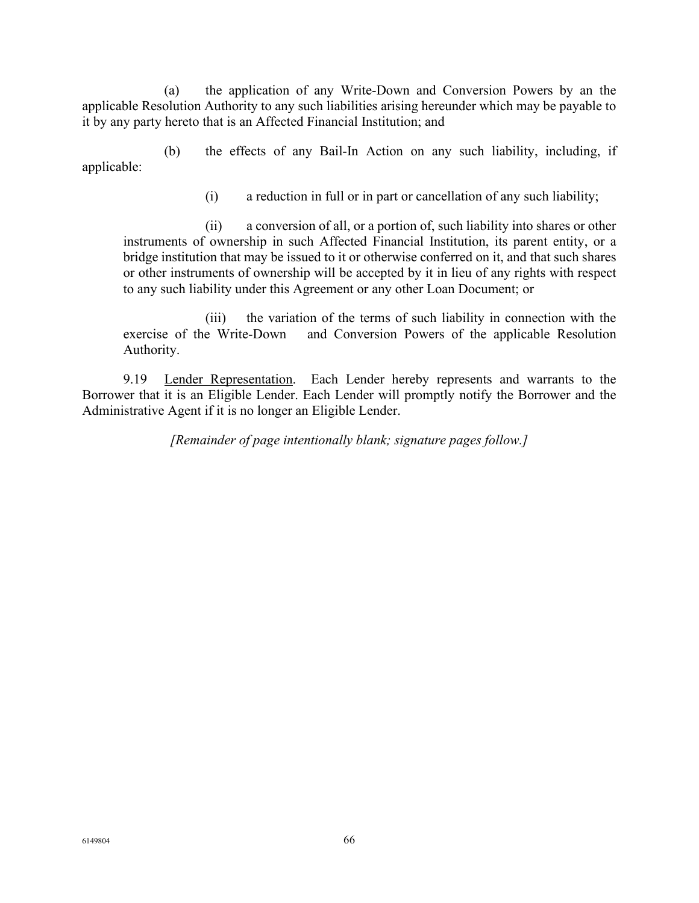(a) the application of any Write-Down and Conversion Powers by an the applicable Resolution Authority to any such liabilities arising hereunder which may be payable to it by any party hereto that is an Affected Financial Institution; and

(b) the effects of any Bail-In Action on any such liability, including, if applicable:

(i) a reduction in full or in part or cancellation of any such liability;

(ii) a conversion of all, or a portion of, such liability into shares or other instruments of ownership in such Affected Financial Institution, its parent entity, or a bridge institution that may be issued to it or otherwise conferred on it, and that such shares or other instruments of ownership will be accepted by it in lieu of any rights with respect to any such liability under this Agreement or any other Loan Document; or

(iii) the variation of the terms of such liability in connection with the exercise of the Write-Down and Conversion Powers of the applicable Resolution Authority.

9.19 Lender Representation. Each Lender hereby represents and warrants to the Borrower that it is an Eligible Lender. Each Lender will promptly notify the Borrower and the Administrative Agent if it is no longer an Eligible Lender.

*[Remainder of page intentionally blank; signature pages follow.]*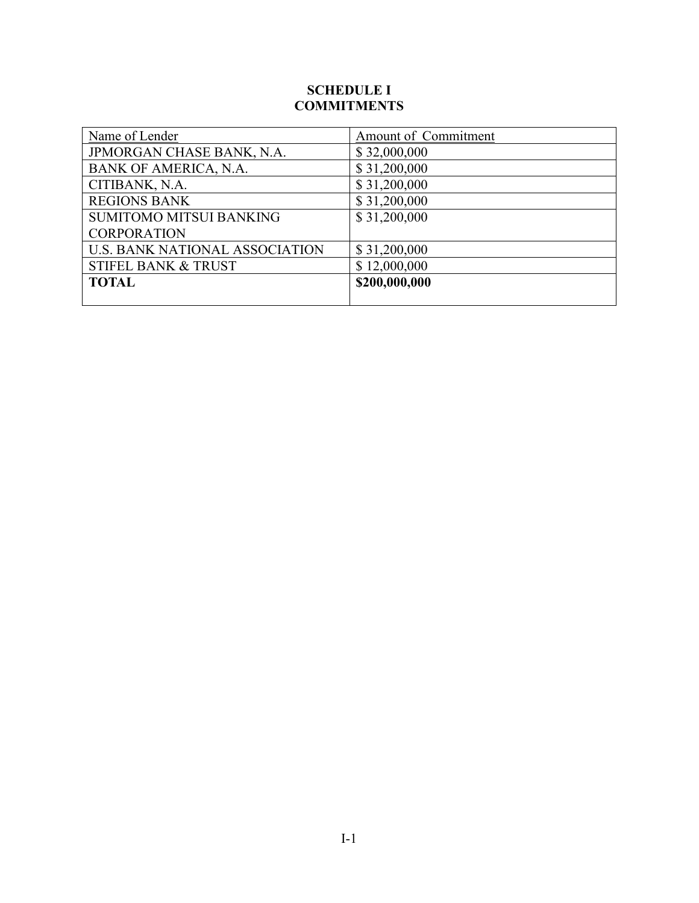# **SCHEDULE I COMMITMENTS**

| Name of Lender                        | Amount of Commitment |
|---------------------------------------|----------------------|
| JPMORGAN CHASE BANK, N.A.             | \$32,000,000         |
| BANK OF AMERICA, N.A.                 | \$31,200,000         |
| CITIBANK, N.A.                        | \$31,200,000         |
| <b>REGIONS BANK</b>                   | \$31,200,000         |
| <b>SUMITOMO MITSUI BANKING</b>        | \$31,200,000         |
| <b>CORPORATION</b>                    |                      |
| <b>U.S. BANK NATIONAL ASSOCIATION</b> | \$31,200,000         |
| <b>STIFEL BANK &amp; TRUST</b>        | \$12,000,000         |
| <b>TOTAL</b>                          | \$200,000,000        |
|                                       |                      |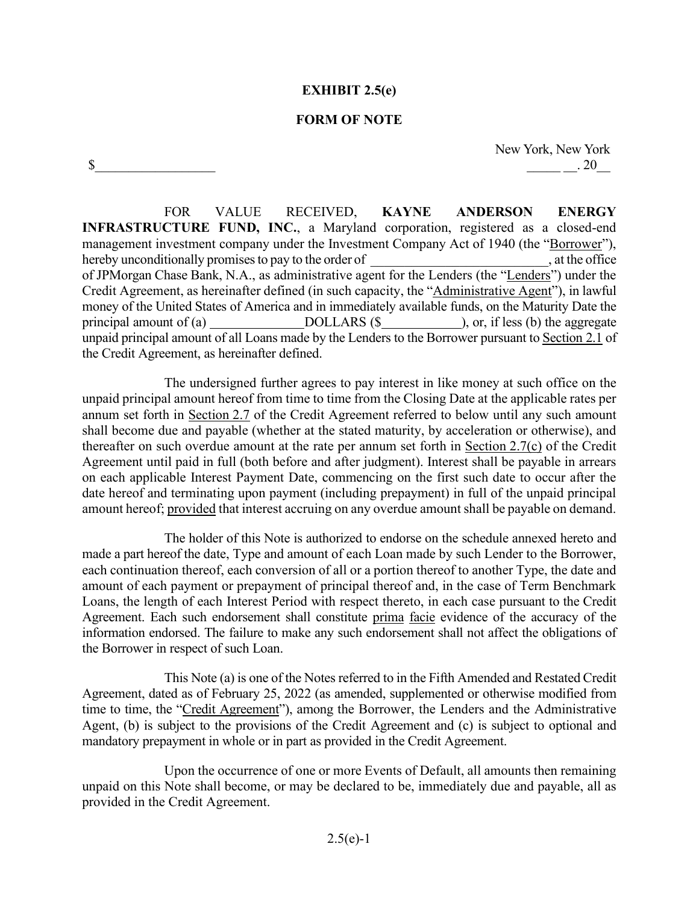### **EXHIBIT 2.5(e)**

### **FORM OF NOTE**

 $\mathbb{S}$ 

New York, New York  $.20$ 

FOR VALUE RECEIVED, **KAYNE ANDERSON ENERGY INFRASTRUCTURE FUND, INC.**, a Maryland corporation, registered as a closed-end management investment company under the Investment Company Act of 1940 (the "Borrower"), hereby unconditionally promises to pay to the order of  $\Box$ , at the office of JPMorgan Chase Bank, N.A., as administrative agent for the Lenders (the "Lenders") under the Credit Agreement, as hereinafter defined (in such capacity, the "Administrative Agent"), in lawful money of the United States of America and in immediately available funds, on the Maturity Date the principal amount of (a) DOLLARS (\$), or, if less (b) the aggregate unpaid principal amount of all Loans made by the Lenders to the Borrower pursuant to Section 2.1 of the Credit Agreement, as hereinafter defined.

The undersigned further agrees to pay interest in like money at such office on the unpaid principal amount hereof from time to time from the Closing Date at the applicable rates per annum set forth in Section 2.7 of the Credit Agreement referred to below until any such amount shall become due and payable (whether at the stated maturity, by acceleration or otherwise), and thereafter on such overdue amount at the rate per annum set forth in Section 2.7(c) of the Credit Agreement until paid in full (both before and after judgment). Interest shall be payable in arrears on each applicable Interest Payment Date, commencing on the first such date to occur after the date hereof and terminating upon payment (including prepayment) in full of the unpaid principal amount hereof; provided that interest accruing on any overdue amount shall be payable on demand.

The holder of this Note is authorized to endorse on the schedule annexed hereto and made a part hereof the date, Type and amount of each Loan made by such Lender to the Borrower, each continuation thereof, each conversion of all or a portion thereof to another Type, the date and amount of each payment or prepayment of principal thereof and, in the case of Term Benchmark Loans, the length of each Interest Period with respect thereto, in each case pursuant to the Credit Agreement. Each such endorsement shall constitute prima facie evidence of the accuracy of the information endorsed. The failure to make any such endorsement shall not affect the obligations of the Borrower in respect of such Loan.

This Note (a) is one of the Notes referred to in the Fifth Amended and Restated Credit Agreement, dated as of February 25, 2022 (as amended, supplemented or otherwise modified from time to time, the "Credit Agreement"), among the Borrower, the Lenders and the Administrative Agent, (b) is subject to the provisions of the Credit Agreement and (c) is subject to optional and mandatory prepayment in whole or in part as provided in the Credit Agreement.

Upon the occurrence of one or more Events of Default, all amounts then remaining unpaid on this Note shall become, or may be declared to be, immediately due and payable, all as provided in the Credit Agreement.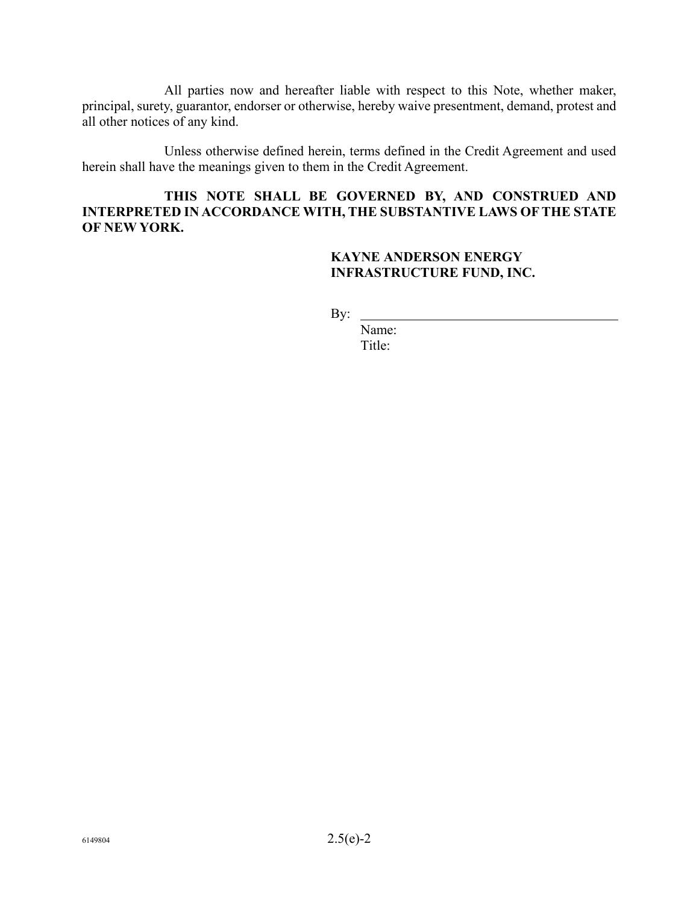All parties now and hereafter liable with respect to this Note, whether maker, principal, surety, guarantor, endorser or otherwise, hereby waive presentment, demand, protest and all other notices of any kind.

Unless otherwise defined herein, terms defined in the Credit Agreement and used herein shall have the meanings given to them in the Credit Agreement.

# **THIS NOTE SHALL BE GOVERNED BY, AND CONSTRUED AND INTERPRETED IN ACCORDANCE WITH, THE SUBSTANTIVE LAWS OF THE STATE OF NEW YORK.**

# **KAYNE ANDERSON ENERGY INFRASTRUCTURE FUND, INC.**

By:

Name: Title: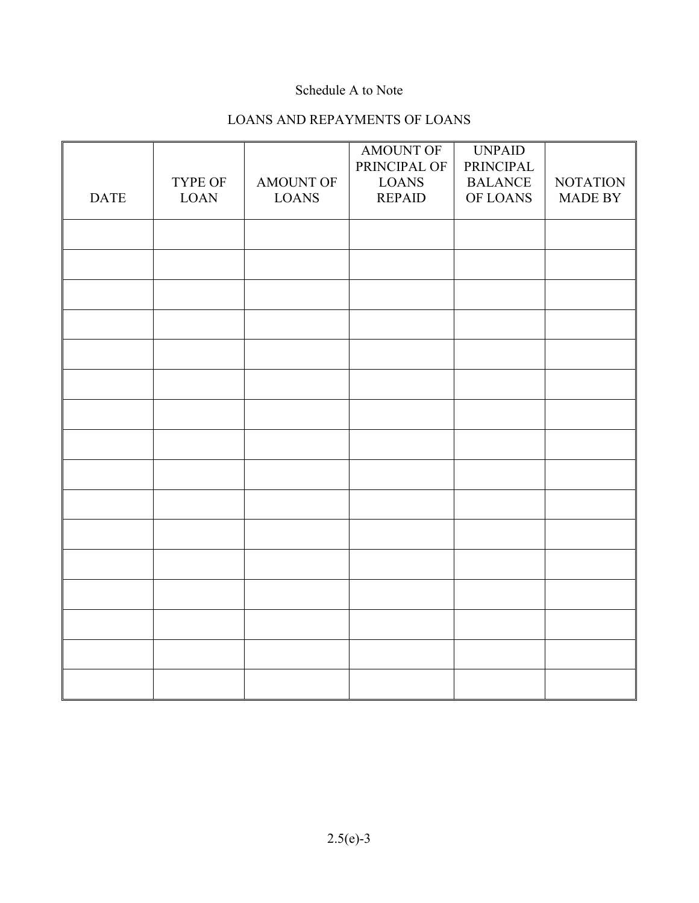# Schedule A to Note

# LOANS AND REPAYMENTS OF LOANS

|             |                        |                           | AMOUNT OF<br>PRINCIPAL OF     | <b>UNPAID</b><br>PRINCIPAL |                                   |
|-------------|------------------------|---------------------------|-------------------------------|----------------------------|-----------------------------------|
| <b>DATE</b> | TYPE OF<br><b>LOAN</b> | AMOUNT OF<br><b>LOANS</b> | <b>LOANS</b><br><b>REPAID</b> | <b>BALANCE</b><br>OF LOANS | <b>NOTATION</b><br><b>MADE BY</b> |
|             |                        |                           |                               |                            |                                   |
|             |                        |                           |                               |                            |                                   |
|             |                        |                           |                               |                            |                                   |
|             |                        |                           |                               |                            |                                   |
|             |                        |                           |                               |                            |                                   |
|             |                        |                           |                               |                            |                                   |
|             |                        |                           |                               |                            |                                   |
|             |                        |                           |                               |                            |                                   |
|             |                        |                           |                               |                            |                                   |
|             |                        |                           |                               |                            |                                   |
|             |                        |                           |                               |                            |                                   |
|             |                        |                           |                               |                            |                                   |
|             |                        |                           |                               |                            |                                   |
|             |                        |                           |                               |                            |                                   |
|             |                        |                           |                               |                            |                                   |
|             |                        |                           |                               |                            |                                   |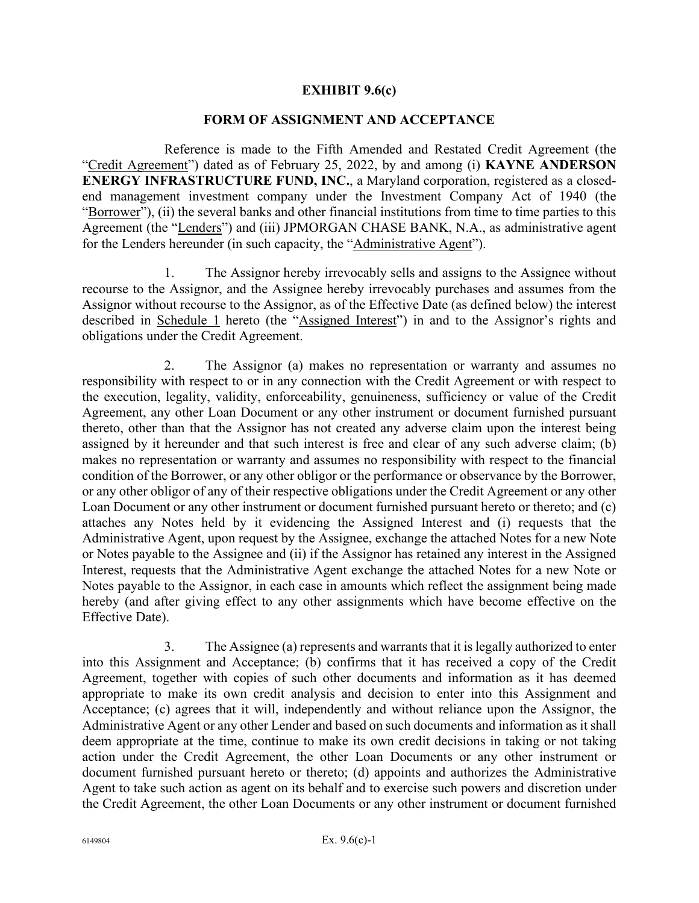### **EXHIBIT 9.6(c)**

#### **FORM OF ASSIGNMENT AND ACCEPTANCE**

Reference is made to the Fifth Amended and Restated Credit Agreement (the "Credit Agreement") dated as of February 25, 2022, by and among (i) **KAYNE ANDERSON ENERGY INFRASTRUCTURE FUND, INC.**, a Maryland corporation, registered as a closedend management investment company under the Investment Company Act of 1940 (the "Borrower"), (ii) the several banks and other financial institutions from time to time parties to this Agreement (the "Lenders") and (iii) JPMORGAN CHASE BANK, N.A., as administrative agent for the Lenders hereunder (in such capacity, the "Administrative Agent").

1. The Assignor hereby irrevocably sells and assigns to the Assignee without recourse to the Assignor, and the Assignee hereby irrevocably purchases and assumes from the Assignor without recourse to the Assignor, as of the Effective Date (as defined below) the interest described in Schedule 1 hereto (the "Assigned Interest") in and to the Assignor's rights and obligations under the Credit Agreement.

2. The Assignor (a) makes no representation or warranty and assumes no responsibility with respect to or in any connection with the Credit Agreement or with respect to the execution, legality, validity, enforceability, genuineness, sufficiency or value of the Credit Agreement, any other Loan Document or any other instrument or document furnished pursuant thereto, other than that the Assignor has not created any adverse claim upon the interest being assigned by it hereunder and that such interest is free and clear of any such adverse claim; (b) makes no representation or warranty and assumes no responsibility with respect to the financial condition of the Borrower, or any other obligor or the performance or observance by the Borrower, or any other obligor of any of their respective obligations under the Credit Agreement or any other Loan Document or any other instrument or document furnished pursuant hereto or thereto; and (c) attaches any Notes held by it evidencing the Assigned Interest and (i) requests that the Administrative Agent, upon request by the Assignee, exchange the attached Notes for a new Note or Notes payable to the Assignee and (ii) if the Assignor has retained any interest in the Assigned Interest, requests that the Administrative Agent exchange the attached Notes for a new Note or Notes payable to the Assignor, in each case in amounts which reflect the assignment being made hereby (and after giving effect to any other assignments which have become effective on the Effective Date).

3. The Assignee (a) represents and warrants that it is legally authorized to enter into this Assignment and Acceptance; (b) confirms that it has received a copy of the Credit Agreement, together with copies of such other documents and information as it has deemed appropriate to make its own credit analysis and decision to enter into this Assignment and Acceptance; (c) agrees that it will, independently and without reliance upon the Assignor, the Administrative Agent or any other Lender and based on such documents and information as it shall deem appropriate at the time, continue to make its own credit decisions in taking or not taking action under the Credit Agreement, the other Loan Documents or any other instrument or document furnished pursuant hereto or thereto; (d) appoints and authorizes the Administrative Agent to take such action as agent on its behalf and to exercise such powers and discretion under the Credit Agreement, the other Loan Documents or any other instrument or document furnished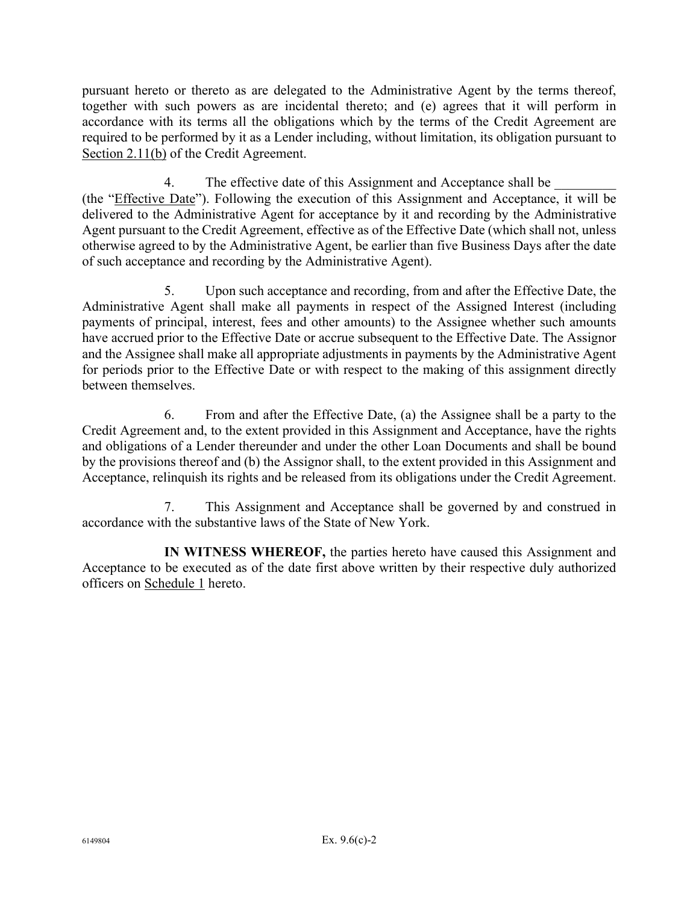pursuant hereto or thereto as are delegated to the Administrative Agent by the terms thereof, together with such powers as are incidental thereto; and (e) agrees that it will perform in accordance with its terms all the obligations which by the terms of the Credit Agreement are required to be performed by it as a Lender including, without limitation, its obligation pursuant to Section 2.11(b) of the Credit Agreement.

4. The effective date of this Assignment and Acceptance shall be (the "Effective Date"). Following the execution of this Assignment and Acceptance, it will be delivered to the Administrative Agent for acceptance by it and recording by the Administrative Agent pursuant to the Credit Agreement, effective as of the Effective Date (which shall not, unless otherwise agreed to by the Administrative Agent, be earlier than five Business Days after the date of such acceptance and recording by the Administrative Agent).

5. Upon such acceptance and recording, from and after the Effective Date, the Administrative Agent shall make all payments in respect of the Assigned Interest (including payments of principal, interest, fees and other amounts) to the Assignee whether such amounts have accrued prior to the Effective Date or accrue subsequent to the Effective Date. The Assignor and the Assignee shall make all appropriate adjustments in payments by the Administrative Agent for periods prior to the Effective Date or with respect to the making of this assignment directly between themselves.

6. From and after the Effective Date, (a) the Assignee shall be a party to the Credit Agreement and, to the extent provided in this Assignment and Acceptance, have the rights and obligations of a Lender thereunder and under the other Loan Documents and shall be bound by the provisions thereof and (b) the Assignor shall, to the extent provided in this Assignment and Acceptance, relinquish its rights and be released from its obligations under the Credit Agreement.

7. This Assignment and Acceptance shall be governed by and construed in accordance with the substantive laws of the State of New York.

**IN WITNESS WHEREOF,** the parties hereto have caused this Assignment and Acceptance to be executed as of the date first above written by their respective duly authorized officers on Schedule 1 hereto.